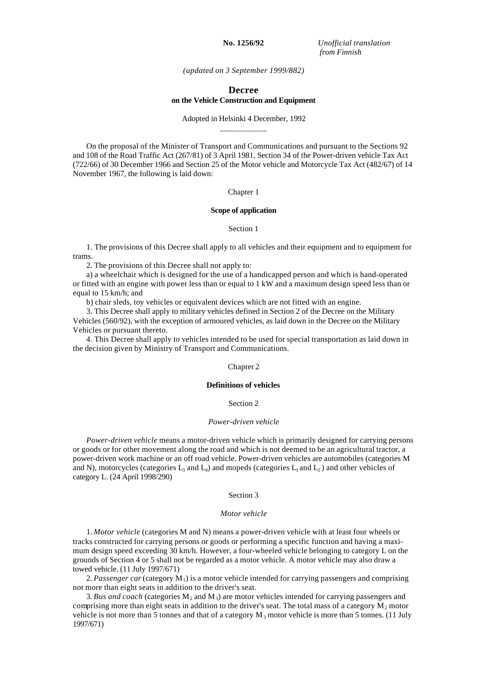**No. 1256/92** *Unofficial translation from Finnish*

*(updated on 3 September 1999/882)*

# **Decree on the Vehicle Construction and Equipment**

Adopted in Helsinki 4 December, 1992 \_\_\_\_\_\_\_\_\_\_\_

On the proposal of the Minister of Transport and Communications and pursuant to the Sections 92 and 108 of the Road Traffic Act (267/81) of 3 April 1981, Section 34 of the Power-driven vehicle Tax Act (722/66) of 30 December 1966 and Section 25 of the Motor vehicle and Motorcycle Tax Act (482/67) of 14 November 1967, the following is laid down:

# Chapter 1

### **Scope of application**

### Section 1

1. The provisions of this Decree shall apply to all vehicles and their equipment and to equipment for trams.

2. The provisions of this Decree shall not apply to:

a) a wheelchair which is designed for the use of a handicapped person and which is hand-operated or fitted with an engine with power less than or equal to 1 kW and a maximum design speed less than or equal to 15 km/h; and

b) chair sleds, toy vehicles or equivalent devices which are not fitted with an engine.

3. This Decree shall apply to military vehicles defined in Section 2 of the Decree on the Military Vehicles (560/92), with the exception of armoured vehicles, as laid down in the Decree on the Military Vehicles or pursuant thereto.

4. This Decree shall apply to vehicles intended to be used for special transportation as laid down in the decision given by Ministry of Transport and Communications.

## Chapter 2

### **Definitions of vehicles**

# Section 2

### *Power-driven vehicle*

*Power-driven vehicle* means a motor-driven vehicle which is primarily designed for carrying persons or goods or for other movement along the road and which is not deemed to be an agricultural tractor, a power-driven work machine or an off road vehicle. Power-driven vehicles are automobiles (categories M and N), motorcycles (categories  $L_3$  and  $L_4$ ) and mopeds (categories  $L_1$  and  $L_2$ ) and other vehicles of category L. (24 April 1998/290)

### Section 3

# *Motor vehicle*

1. *Motor vehicle* (categories M and N) means a power-driven vehicle with at least four wheels or tracks constructed for carrying persons or goods or performing a specific function and having a maximum design speed exceeding 30 km/h. However, a four-wheeled vehicle belonging to category L on the grounds of Section 4 or 5 shall not be regarded as a motor vehicle. A motor vehicle may also draw a towed vehicle. (11 July 1997/671)

2. *Passenger car* (category  $M_1$ ) is a motor vehicle intended for carrying passengers and comprising not more than eight seats in addition to the driver's seat.

3. Bus and coach (categories  $M_2$  and  $M_3$ ) are motor vehicles intended for carrying passengers and comprising more than eight seats in addition to the driver's seat. The total mass of a category  $M_2$  motor vehicle is not more than 5 tonnes and that of a category  $M_3$  motor vehicle is more than 5 tonnes. (11 July 1997/671)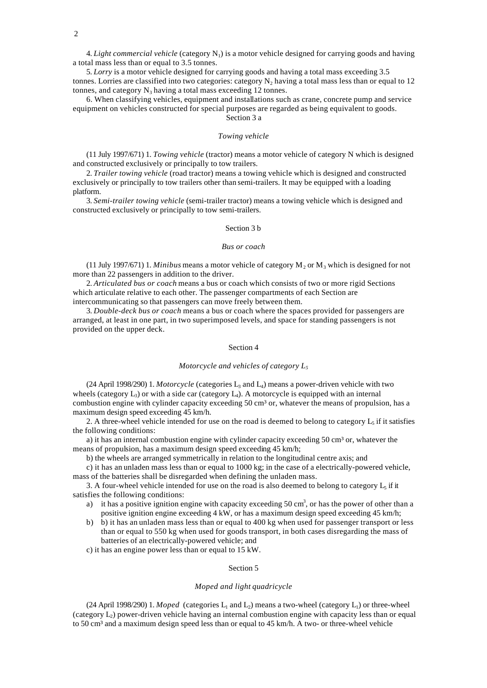4. *Light commercial vehicle* (category  $N_1$ ) is a motor vehicle designed for carrying goods and having a total mass less than or equal to 3.5 tonnes.

5. *Lorry* is a motor vehicle designed for carrying goods and having a total mass exceeding 3.5 tonnes. Lorries are classified into two categories: category  $N_2$  having a total mass less than or equal to 12 tonnes, and category  $N_3$  having a total mass exceeding 12 tonnes.

6. When classifying vehicles, equipment and installations such as crane, concrete pump and service equipment on vehicles constructed for special purposes are regarded as being equivalent to goods. Section 3 a

### *Towing vehicle*

(11 July 1997/671) 1. *Towing vehicle* (tractor) means a motor vehicle of category N which is designed and constructed exclusively or principally to tow trailers.

2. *Trailer towing vehicle* (road tractor) means a towing vehicle which is designed and constructed exclusively or principally to tow trailers other than semi-trailers. It may be equipped with a loading platform.

3. *Semi-trailer towing vehicle* (semi-trailer tractor) means a towing vehicle which is designed and constructed exclusively or principally to tow semi-trailers.

# Section 3 b

# *Bus or coach*

(11 July 1997/671) 1. *Minibus* means a motor vehicle of category  $M_2$  or  $M_3$  which is designed for not more than 22 passengers in addition to the driver.

2. *Articulated bus or coach* means a bus or coach which consists of two or more rigid Sections which articulate relative to each other. The passenger compartments of each Section are intercommunicating so that passengers can move freely between them.

3. *Double-deck bus or coach* means a bus or coach where the spaces provided for passengers are arranged, at least in one part, in two superimposed levels, and space for standing passengers is not provided on the upper deck.

### Section 4

#### *Motorcycle and vehicles of category L<sup>5</sup>*

 $(24$  April 1998/290) 1. *Motorcycle* (categories L<sub>3</sub> and L<sub>4</sub>) means a power-driven vehicle with two wheels (category  $L_3$ ) or with a side car (category  $L_4$ ). A motorcycle is equipped with an internal combustion engine with cylinder capacity exceeding 50 cm<sup>3</sup> or, whatever the means of propulsion, has a maximum design speed exceeding 45 km/h.

2. A three-wheel vehicle intended for use on the road is deemed to belong to category  $L_5$  if it satisfies the following conditions:

a) it has an internal combustion engine with cylinder capacity exceeding  $50 \text{ cm}^3$  or, whatever the means of propulsion, has a maximum design speed exceeding 45 km/h;

b) the wheels are arranged symmetrically in relation to the longitudinal centre axis; and

c) it has an unladen mass less than or equal to 1000 kg; in the case of a electrically-powered vehicle, mass of the batteries shall be disregarded when defining the unladen mass.

3. A four-wheel vehicle intended for use on the road is also deemed to belong to category  $L_5$  if it satisfies the following conditions:

- a) it has a positive ignition engine with capacity exceeding 50 cm<sup>3</sup>, or has the power of other than a positive ignition engine exceeding 4 kW, or has a maximum design speed exceeding 45 km/h;
- b) b) it has an unladen mass less than or equal to 400 kg when used for passenger transport or less than or equal to 550 kg when used for goods transport, in both cases disregarding the mass of batteries of an electrically-powered vehicle; and
- c) it has an engine power less than or equal to 15 kW.

# Section 5

## *Moped and light quadricycle*

 $(24$  April 1998/290) 1. *Moped* (categories  $L_1$  and  $L_2$ ) means a two-wheel (category  $L_1$ ) or three-wheel (category  $L_2$ ) power-driven vehicle having an internal combustion engine with capacity less than or equal to 50 cm<sup>3</sup> and a maximum design speed less than or equal to  $45 \text{ km/h}$ . A two- or three-wheel vehicle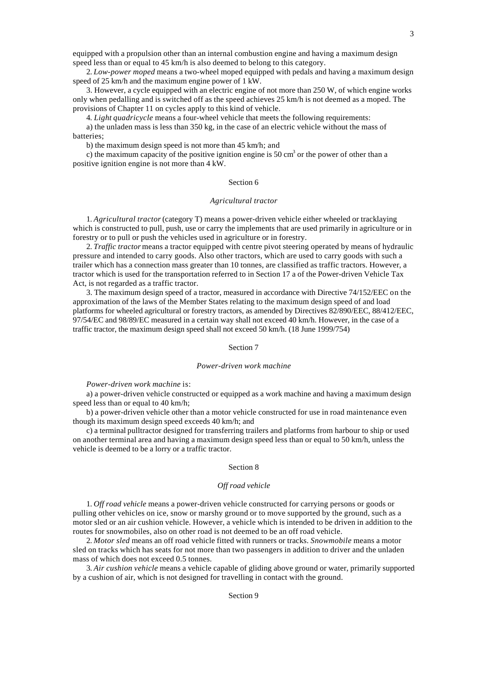equipped with a propulsion other than an internal combustion engine and having a maximum design speed less than or equal to 45 km/h is also deemed to belong to this category.

2. *Low-power moped* means a two-wheel moped equipped with pedals and having a maximum design speed of 25 km/h and the maximum engine power of 1 kW.

3. However, a cycle equipped with an electric engine of not more than 250 W, of which engine works only when pedalling and is switched off as the speed achieves 25 km/h is not deemed as a moped. The provisions of Chapter 11 on cycles apply to this kind of vehicle.

4. *Light quadricycle* means a four-wheel vehicle that meets the following requirements:

a) the unladen mass is less than 350 kg, in the case of an electric vehicle without the mass of batteries;

b) the maximum design speed is not more than 45 km/h; and

c) the maximum capacity of the positive ignition engine is 50 cm<sup>3</sup> or the power of other than a positive ignition engine is not more than 4 kW.

# Section 6

## *Agricultural tractor*

1. *Agricultural tractor* (category T) means a power-driven vehicle either wheeled or tracklaying which is constructed to pull, push, use or carry the implements that are used primarily in agriculture or in forestry or to pull or push the vehicles used in agriculture or in forestry.

2. *Traffic tractor* means a tractor equipped with centre pivot steering operated by means of hydraulic pressure and intended to carry goods. Also other tractors, which are used to carry goods with such a trailer which has a connection mass greater than 10 tonnes, are classified as traffic tractors. However, a tractor which is used for the transportation referred to in Section 17 a of the Power-driven Vehicle Tax Act, is not regarded as a traffic tractor.

3. The maximum design speed of a tractor, measured in accordance with Directive 74/152/EEC on the approximation of the laws of the Member States relating to the maximum design speed of and load platforms for wheeled agricultural or forestry tractors, as amended by Directives 82/890/EEC, 88/412/EEC, 97/54/EC and 98/89/EC measured in a certain way shall not exceed 40 km/h. However, in the case of a traffic tractor, the maximum design speed shall not exceed 50 km/h. (18 June 1999/754)

# Section 7

#### *Power-driven work machine*

#### *Power-driven work machine* is:

a) a power-driven vehicle constructed or equipped as a work machine and having a maximum design speed less than or equal to 40 km/h;

b) a power-driven vehicle other than a motor vehicle constructed for use in road maintenance even though its maximum design speed exceeds 40 km/h; and

c) a terminal pulltractor designed for transferring trailers and platforms from harbour to ship or used on another terminal area and having a maximum design speed less than or equal to 50 km/h, unless the vehicle is deemed to be a lorry or a traffic tractor.

#### Section 8

### *Off road vehicle*

1. *Off road vehicle* means a power-driven vehicle constructed for carrying persons or goods or pulling other vehicles on ice, snow or marshy ground or to move supported by the ground, such as a motor sled or an air cushion vehicle. However, a vehicle which is intended to be driven in addition to the routes for snowmobiles, also on other road is not deemed to be an off road vehicle.

2. *Motor sled* means an off road vehicle fitted with runners or tracks. *Snowmobile* means a motor sled on tracks which has seats for not more than two passengers in addition to driver and the unladen mass of which does not exceed 0.5 tonnes.

3. *Air cushion vehicle* means a vehicle capable of gliding above ground or water, primarily supported by a cushion of air, which is not designed for travelling in contact with the ground.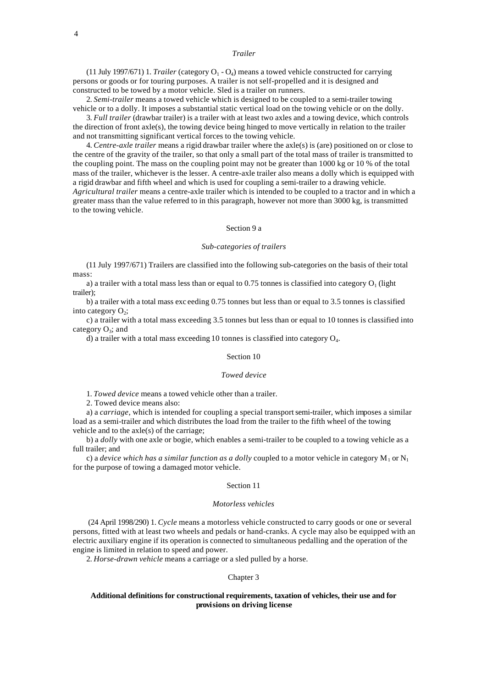# *Trailer*

(11 July 1997/671) 1. *Trailer* (category  $O_1 - O_4$ ) means a towed vehicle constructed for carrying persons or goods or for touring purposes. A trailer is not self-propelled and it is designed and constructed to be towed by a motor vehicle. Sled is a trailer on runners.

2. *Semi-trailer* means a towed vehicle which is designed to be coupled to a semi-trailer towing vehicle or to a dolly. It imposes a substantial static vertical load on the towing vehicle or on the dolly.

3. *Full trailer* (drawbar trailer) is a trailer with at least two axles and a towing device, which controls the direction of front axle(s), the towing device being hinged to move vertically in relation to the trailer and not transmitting significant vertical forces to the towing vehicle.

4. *Centre-axle trailer* means a rigid drawbar trailer where the axle(s) is (are) positioned on or close to the centre of the gravity of the trailer, so that only a small part of the total mass of trailer is transmitted to the coupling point. The mass on the coupling point may not be greater than 1000 kg or 10 % of the total mass of the trailer, whichever is the lesser. A centre-axle trailer also means a dolly which is equipped with a rigid drawbar and fifth wheel and which is used for coupling a semi-trailer to a drawing vehicle. *Agricultural trailer* means a centre-axle trailer which is intended to be coupled to a tractor and in which a greater mass than the value referred to in this paragraph, however not more than 3000 kg, is transmitted to the towing vehicle.

# Section 9 a

## *Sub-categories of trailers*

(11 July 1997/671) Trailers are classified into the following sub-categories on the basis of their total mass:

a) a trailer with a total mass less than or equal to  $0.75$  tonnes is classified into category  $O<sub>1</sub>$  (light trailer);

b) a trailer with a total mass exc eeding 0.75 tonnes but less than or equal to 3.5 tonnes is classified into category  $O_2$ ;

c) a trailer with a total mass exceeding 3.5 tonnes but less than or equal to 10 tonnes is classified into category  $O_3$ ; and

d) a trailer with a total mass exceeding 10 tonnes is classified into category  $O_4$ .

# Section 10

# *Towed device*

1. *Towed device* means a towed vehicle other than a trailer.

2. Towed device means also:

a) a *carriage*, which is intended for coupling a special transport semi-trailer, which imposes a similar load as a semi-trailer and which distributes the load from the trailer to the fifth wheel of the towing vehicle and to the axle(s) of the carriage;

b) a *dolly* with one axle or bogie, which enables a semi-trailer to be coupled to a towing vehicle as a full trailer; and

c) a *device which has a similar function as a dolly* coupled to a motor vehicle in category  $M_1$  or  $N_1$ for the purpose of towing a damaged motor vehicle.

### Section 11

### *Motorless vehicles*

 (24 April 1998/290) 1. *Cycle* means a motorless vehicle constructed to carry goods or one or several persons, fitted with at least two wheels and pedals or hand-cranks. A cycle may also be equipped with an electric auxiliary engine if its operation is connected to simultaneous pedalling and the operation of the engine is limited in relation to speed and power.

2. *Horse-drawn vehicle* means a carriage or a sled pulled by a horse.

# Chapter 3

# **Additional definitions for constructional requirements, taxation of vehicles, their use and for provisions on driving license**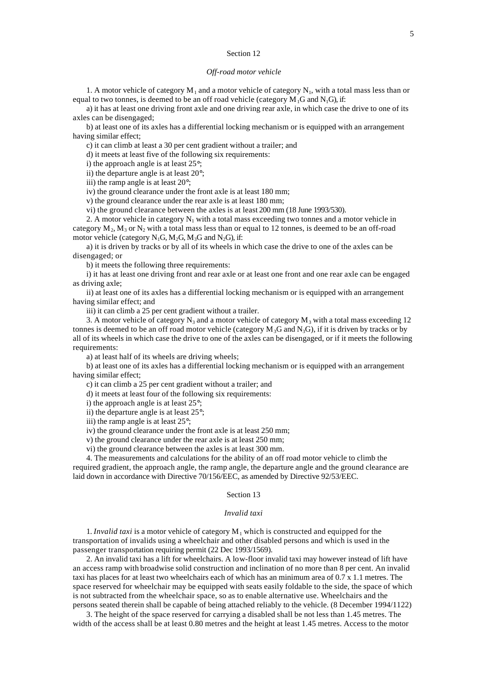### *Off-road motor vehicle*

1. A motor vehicle of category  $M_1$  and a motor vehicle of category  $N_1$ , with a total mass less than or equal to two tonnes, is deemed to be an off road vehicle (category  $M_1G$  and  $N_1G$ ), if:

a) it has at least one driving front axle and one driving rear axle, in which case the drive to one of its axles can be disengaged;

b) at least one of its axles has a differential locking mechanism or is equipped with an arrangement having similar effect;

c) it can climb at least a 30 per cent gradient without a trailer; and

d) it meets at least five of the following six requirements:

i) the approach angle is at least 25°;

ii) the departure angle is at least 20°;

iii) the ramp angle is at least 20°;

iv) the ground clearance under the front axle is at least 180 mm;

v) the ground clearance under the rear axle is at least 180 mm;

vi) the ground clearance between the axles is at least 200 mm (18 June 1993/530).

2. A motor vehicle in category  $N_1$  with a total mass exceeding two tonnes and a motor vehicle in category  $M_2, M_3$  or  $N_2$  with a total mass less than or equal to 12 tonnes, is deemed to be an off-road motor vehicle (category  $N_1G$ ,  $M_2G$ ,  $M_3G$  and  $N_2G$ ), if:

a) it is driven by tracks or by all of its wheels in which case the drive to one of the axles can be disengaged; or

b) it meets the following three requirements:

i) it has at least one driving front and rear axle or at least one front and one rear axle can be engaged as driving axle;

ii) at least one of its axles has a differential locking mechanism or is equipped with an arrangement having similar effect; and

iii) it can climb a 25 per cent gradient without a trailer.

3. A motor vehicle of category  $N_3$  and a motor vehicle of category  $M_3$  with a total mass exceeding 12 tonnes is deemed to be an off road motor vehicle (category  $M_3G$  and  $N_3G$ ), if it is driven by tracks or by all of its wheels in which case the drive to one of the axles can be disengaged, or if it meets the following requirements:

a) at least half of its wheels are driving wheels;

b) at least one of its axles has a differential locking mechanism or is equipped with an arrangement having similar effect;

c) it can climb a 25 per cent gradient without a trailer; and

d) it meets at least four of the following six requirements:

i) the approach angle is at least 25°;

ii) the departure angle is at least 25°;

iii) the ramp angle is at least 25°;

iv) the ground clearance under the front axle is at least 250 mm;

v) the ground clearance under the rear axle is at least 250 mm;

vi) the ground clearance between the axles is at least 300 mm.

4. The measurements and calculations for the ability of an off road motor vehicle to climb the required gradient, the approach angle, the ramp angle, the departure angle and the ground clearance are laid down in accordance with Directive 70/156/EEC, as amended by Directive 92/53/EEC.

### Section 13

# *Invalid taxi*

1. *Invalid taxi* is a motor vehicle of category  $M_1$  which is constructed and equipped for the transportation of invalids using a wheelchair and other disabled persons and which is used in the passenger transportation requiring permit (22 Dec 1993/1569).

2. An invalid taxi has a lift for wheelchairs. A low-floor invalid taxi may however instead of lift have an access ramp with broadwise solid construction and inclination of no more than 8 per cent. An invalid taxi has places for at least two wheelchairs each of which has an minimum area of 0.7 x 1.1 metres. The space reserved for wheelchair may be equipped with seats easily foldable to the side, the space of which is not subtracted from the wheelchair space, so as to enable alternative use. Wheelchairs and the persons seated therein shall be capable of being attached reliably to the vehicle. (8 December 1994/1122)

3. The height of the space reserved for carrying a disabled shall be not less than 1.45 metres. The width of the access shall be at least 0.80 metres and the height at least 1.45 metres. Access to the motor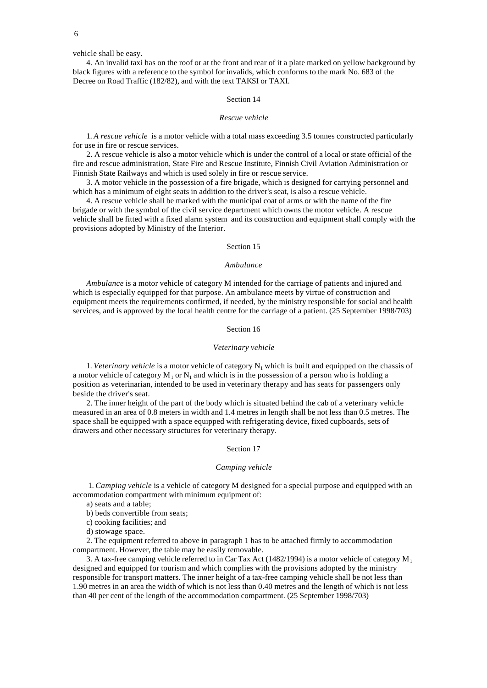vehicle shall be easy.

4. An invalid taxi has on the roof or at the front and rear of it a plate marked on yellow background by black figures with a reference to the symbol for invalids, which conforms to the mark No. 683 of the Decree on Road Traffic (182/82), and with the text TAKSI or TAXI.

# Section 14

# *Rescue vehicle*

1. *A rescue vehicle* is a motor vehicle with a total mass exceeding 3.5 tonnes constructed particularly for use in fire or rescue services.

2. A rescue vehicle is also a motor vehicle which is under the control of a local or state official of the fire and rescue administration, State Fire and Rescue Institute, Finnish Civil Aviation Administration or Finnish State Railways and which is used solely in fire or rescue service.

3. A motor vehicle in the possession of a fire brigade, which is designed for carrying personnel and which has a minimum of eight seats in addition to the driver's seat, is also a rescue vehicle.

4. A rescue vehicle shall be marked with the municipal coat of arms or with the name of the fire brigade or with the symbol of the civil service department which owns the motor vehicle. A rescue vehicle shall be fitted with a fixed alarm system and its construction and equipment shall comply with the provisions adopted by Ministry of the Interior.

## Section 15

## *Ambulance*

*Ambulance* is a motor vehicle of category M intended for the carriage of patients and injured and which is especially equipped for that purpose. An ambulance meets by virtue of construction and equipment meets the requirements confirmed, if needed, by the ministry responsible for social and health services, and is approved by the local health centre for the carriage of a patient. (25 September 1998/703)

# Section 16

#### *Veterinary vehicle*

1. *Veterinary vehicle* is a motor vehicle of category  $N_1$  which is built and equipped on the chassis of a motor vehicle of category  $M_1$  or  $N_1$  and which is in the possession of a person who is holding a position as veterinarian, intended to be used in veterinary therapy and has seats for passengers only beside the driver's seat.

2. The inner height of the part of the body which is situated behind the cab of a veterinary vehicle measured in an area of 0.8 meters in width and 1.4 metres in length shall be not less than 0.5 metres. The space shall be equipped with a space equipped with refrigerating device, fixed cupboards, sets of drawers and other necessary structures for veterinary therapy.

### Section 17

#### *Camping vehicle*

 1. *Camping vehicle* is a vehicle of category M designed for a special purpose and equipped with an accommodation compartment with minimum equipment of:

a) seats and a table;

b) beds convertible from seats;

c) cooking facilities; and

d) stowage space.

2. The equipment referred to above in paragraph 1 has to be attached firmly to accommodation compartment. However, the table may be easily removable.

3. A tax-free camping vehicle referred to in Car Tax Act (1482/1994) is a motor vehicle of category  $M_1$ designed and equipped for tourism and which complies with the provisions adopted by the ministry responsible for transport matters. The inner height of a tax-free camping vehicle shall be not less than 1.90 metres in an area the width of which is not less than 0.40 metres and the length of which is not less than 40 per cent of the length of the accommodation compartment. (25 September 1998/703)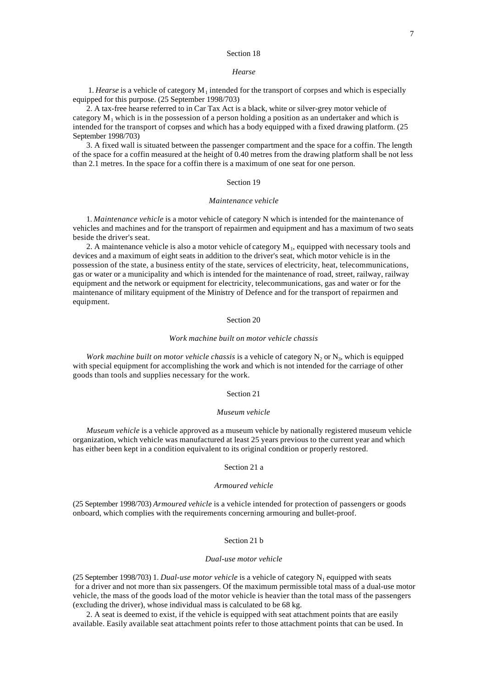## *Hearse*

 1. *Hearse* is a vehicle of category M<sup>1</sup> intended for the transport of corpses and which is especially equipped for this purpose. (25 September 1998/703)

2. A tax-free hearse referred to in Car Tax Act is a black, white or silver-grey motor vehicle of category  $M_1$  which is in the possession of a person holding a position as an undertaker and which is intended for the transport of corpses and which has a body equipped with a fixed drawing platform. (25 September 1998/703)

3. A fixed wall is situated between the passenger compartment and the space for a coffin. The length of the space for a coffin measured at the height of 0.40 metres from the drawing platform shall be not less than 2.1 metres. In the space for a coffin there is a maximum of one seat for one person.

# Section 19

### *Maintenance vehicle*

1. *Maintenance vehicle* is a motor vehicle of category N which is intended for the maintenance of vehicles and machines and for the transport of repairmen and equipment and has a maximum of two seats beside the driver's seat.

2. A maintenance vehicle is also a motor vehicle of category  $M_1$ , equipped with necessary tools and devices and a maximum of eight seats in addition to the driver's seat, which motor vehicle is in the possession of the state, a business entity of the state, services of electricity, heat, telecommunications, gas or water or a municipality and which is intended for the maintenance of road, street, railway, railway equipment and the network or equipment for electricity, telecommunications, gas and water or for the maintenance of military equipment of the Ministry of Defence and for the transport of repairmen and equipment.

# Section 20

### *Work machine built on motor vehicle chassis*

*Work machine built on motor vehicle chassis* is a vehicle of category  $N_2$  or  $N_3$ , which is equipped with special equipment for accomplishing the work and which is not intended for the carriage of other goods than tools and supplies necessary for the work.

### Section 21

#### *Museum vehicle*

*Museum vehicle* is a vehicle approved as a museum vehicle by nationally registered museum vehicle organization, which vehicle was manufactured at least 25 years previous to the current year and which has either been kept in a condition equivalent to its original condition or properly restored.

#### Section 21 a

## *Armoured vehicle*

(25 September 1998/703) *Armoured vehicle* is a vehicle intended for protection of passengers or goods onboard, which complies with the requirements concerning armouring and bullet-proof.

## Section 21 b

# *Dual-use motor vehicle*

(25 September 1998/703) 1. *Dual-use motor vehicle* is a vehicle of category  $N_1$  equipped with seats for a driver and not more than six passengers. Of the maximum permissible total mass of a dual-use motor vehicle, the mass of the goods load of the motor vehicle is heavier than the total mass of the passengers (excluding the driver), whose individual mass is calculated to be 68 kg.

2. A seat is deemed to exist, if the vehicle is equipped with seat attachment points that are easily available. Easily available seat attachment points refer to those attachment points that can be used. In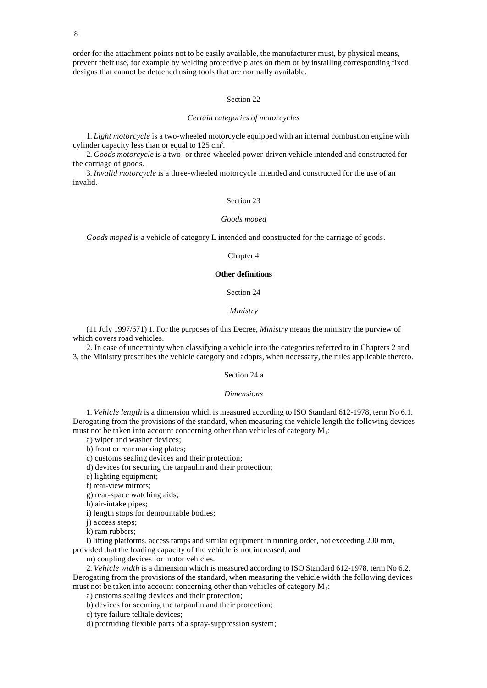order for the attachment points not to be easily available, the manufacturer must, by physical means, prevent their use, for example by welding protective plates on them or by installing corresponding fixed designs that cannot be detached using tools that are normally available.

# Section 22

#### *Certain categories of motorcycles*

1. *Light motorcycle* is a two-wheeled motorcycle equipped with an internal combustion engine with cylinder capacity less than or equal to  $125 \text{ cm}^3$ .

2. *Goods motorcycle* is a two- or three-wheeled power-driven vehicle intended and constructed for the carriage of goods.

3. *Invalid motorcycle* is a three-wheeled motorcycle intended and constructed for the use of an invalid.

# Section 23

## *Goods moped*

*Goods moped* is a vehicle of category L intended and constructed for the carriage of goods.

# Chapter 4

# **Other definitions**

Section 24

# *Ministry*

(11 July 1997/671) 1. For the purposes of this Decree, *Ministry* means the ministry the purview of which covers road vehicles.

2. In case of uncertainty when classifying a vehicle into the categories referred to in Chapters 2 and 3, the Ministry prescribes the vehicle category and adopts, when necessary, the rules applicable thereto.

# Section 24 a

#### *Dimensions*

1. *Vehicle length* is a dimension which is measured according to ISO Standard 612-1978, term No 6.1. Derogating from the provisions of the standard, when measuring the vehicle length the following devices must not be taken into account concerning other than vehicles of category  $M_1$ :

a) wiper and washer devices;

b) front or rear marking plates;

c) customs sealing devices and their protection;

d) devices for securing the tarpaulin and their protection;

e) lighting equipment;

f) rear-view mirrors;

g) rear-space watching aids;

h) air-intake pipes;

i) length stops for demountable bodies;

j) access steps;

k) ram rubbers;

l) lifting platforms, access ramps and similar equipment in running order, not exceeding 200 mm, provided that the loading capacity of the vehicle is not increased; and

m) coupling devices for motor vehicles.

2. *Vehicle width* is a dimension which is measured according to ISO Standard 612-1978, term No 6.2. Derogating from the provisions of the standard, when measuring the vehicle width the following devices must not be taken into account concerning other than vehicles of category  $M_1$ :

a) customs sealing devices and their protection;

b) devices for securing the tarpaulin and their protection;

c) tyre failure telltale devices;

d) protruding flexible parts of a spray-suppression system;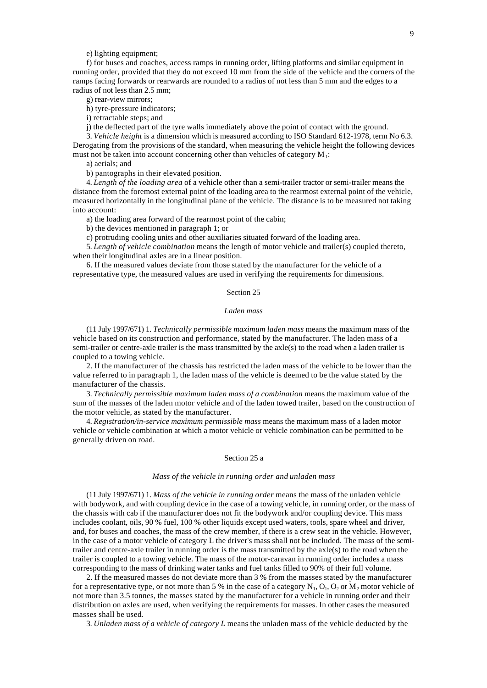e) lighting equipment;

f) for buses and coaches, access ramps in running order, lifting platforms and similar equipment in running order, provided that they do not exceed 10 mm from the side of the vehicle and the corners of the ramps facing forwards or rearwards are rounded to a radius of not less than 5 mm and the edges to a radius of not less than 2.5 mm;

g) rear-view mirrors;

h) tyre-pressure indicators;

i) retractable steps; and

j) the deflected part of the tyre walls immediately above the point of contact with the ground.

3. *Vehicle height* is a dimension which is measured according to ISO Standard 612-1978, term No 6.3. Derogating from the provisions of the standard, when measuring the vehicle height the following devices must not be taken into account concerning other than vehicles of category  $M_1$ :

a) aerials; and

b) pantographs in their elevated position.

4. *Length of the loading area* of a vehicle other than a semi-trailer tractor or semi-trailer means the distance from the foremost external point of the loading area to the rearmost external point of the vehicle, measured horizontally in the longitudinal plane of the vehicle. The distance is to be measured not taking into account:

a) the loading area forward of the rearmost point of the cabin;

b) the devices mentioned in paragraph 1; or

c) protruding cooling units and other auxiliaries situated forward of the loading area.

5. *Length of vehicle combination* means the length of motor vehicle and trailer(s) coupled thereto, when their longitudinal axles are in a linear position.

6. If the measured values deviate from those stated by the manufacturer for the vehicle of a representative type, the measured values are used in verifying the requirements for dimensions.

# Section 25

## *Laden mass*

(11 July 1997/671) 1. *Technically permissible maximum laden mass* means the maximum mass of the vehicle based on its construction and performance, stated by the manufacturer. The laden mass of a semi-trailer or centre-axle trailer is the mass transmitted by the axle(s) to the road when a laden trailer is coupled to a towing vehicle.

2. If the manufacturer of the chassis has restricted the laden mass of the vehicle to be lower than the value referred to in paragraph 1, the laden mass of the vehicle is deemed to be the value stated by the manufacturer of the chassis.

3. *Technically permissible maximum laden mass of a combination* means the maximum value of the sum of the masses of the laden motor vehicle and of the laden towed trailer, based on the construction of the motor vehicle, as stated by the manufacturer.

4. *Registration/in-service maximum permissible mass* means the maximum mass of a laden motor vehicle or vehicle combination at which a motor vehicle or vehicle combination can be permitted to be generally driven on road.

### Section 25 a

# *Mass of the vehicle in running order and unladen mass*

(11 July 1997/671) 1. *Mass of the vehicle in running order* means the mass of the unladen vehicle with bodywork, and with coupling device in the case of a towing vehicle, in running order, or the mass of the chassis with cab if the manufacturer does not fit the bodywork and/or coupling device. This mass includes coolant, oils, 90 % fuel, 100 % other liquids except used waters, tools, spare wheel and driver, and, for buses and coaches, the mass of the crew member, if there is a crew seat in the vehicle. However, in the case of a motor vehicle of category L the driver's mass shall not be included. The mass of the semitrailer and centre-axle trailer in running order is the mass transmitted by the axle(s) to the road when the trailer is coupled to a towing vehicle. The mass of the motor-caravan in running order includes a mass corresponding to the mass of drinking water tanks and fuel tanks filled to 90% of their full volume.

2. If the measured masses do not deviate more than 3 % from the masses stated by the manufacturer for a representative type, or not more than 5 % in the case of a category  $N_1$ ,  $O_1$ ,  $O_2$  or  $M_2$  motor vehicle of not more than 3.5 tonnes, the masses stated by the manufacturer for a vehicle in running order and their distribution on axles are used, when verifying the requirements for masses. In other cases the measured masses shall be used.

3. *Unladen mass of a vehicle of category L* means the unladen mass of the vehicle deducted by the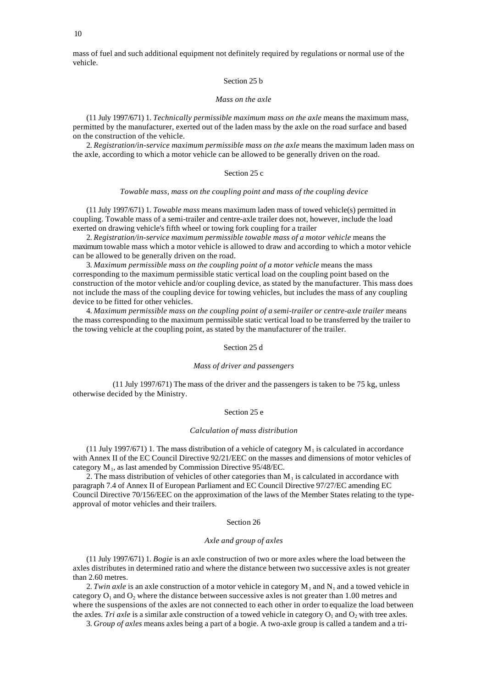mass of fuel and such additional equipment not definitely required by regulations or normal use of the vehicle.

# Section 25 b

### *Mass on the axle*

(11 July 1997/671) 1. *Technically permissible maximum mass on the axle* means the maximum mass, permitted by the manufacturer, exerted out of the laden mass by the axle on the road surface and based on the construction of the vehicle.

2. *Registration/in-service maximum permissible mass on the axle* means the maximum laden mass on the axle, according to which a motor vehicle can be allowed to be generally driven on the road.

## Section 25 c

# *Towable mass, mass on the coupling point and mass of the coupling device*

(11 July 1997/671) 1. *Towable mass* means maximum laden mass of towed vehicle(s) permitted in coupling. Towable mass of a semi-trailer and centre-axle trailer does not, however, include the load exerted on drawing vehicle's fifth wheel or towing fork coupling for a trailer

2. *Registration/in-service maximum permissible towable mass of a motor vehicle* means the maximum towable mass which a motor vehicle is allowed to draw and according to which a motor vehicle can be allowed to be generally driven on the road.

3. *Maximum permissible mass on the coupling point of a motor vehicle* means the mass corresponding to the maximum permissible static vertical load on the coupling point based on the construction of the motor vehicle and/or coupling device, as stated by the manufacturer. This mass does not include the mass of the coupling device for towing vehicles, but includes the mass of any coupling device to be fitted for other vehicles.

4. *Maximum permissible mass on the coupling point of a semi-trailer or centre-axle trailer* means the mass corresponding to the maximum permissible static vertical load to be transferred by the trailer to the towing vehicle at the coupling point, as stated by the manufacturer of the trailer.

### Section 25 d

### *Mass of driver and passengers*

(11 July 1997/671) The mass of the driver and the passengers is taken to be 75 kg, unless otherwise decided by the Ministry.

#### Section 25 e

#### *Calculation of mass distribution*

(11 July 1997/671) 1. The mass distribution of a vehicle of category  $M_1$  is calculated in accordance with Annex II of the EC Council Directive 92/21/EEC on the masses and dimensions of motor vehicles of category  $M_1$ , as last amended by Commission Directive 95/48/EC.

2. The mass distribution of vehicles of other categories than  $M<sub>1</sub>$  is calculated in accordance with paragraph 7.4 of Annex II of European Parliament and EC Council Directive 97/27/EC amending EC Council Directive 70/156/EEC on the approximation of the laws of the Member States relating to the typeapproval of motor vehicles and their trailers.

# Section 26

# *Axle and group of axles*

(11 July 1997/671) 1. *Bogie* is an axle construction of two or more axles where the load between the axles distributes in determined ratio and where the distance between two successive axles is not greater than 2.60 metres.

2. *Twin axle* is an axle construction of a motor vehicle in category  $M_1$  and  $N_1$  and a towed vehicle in category  $O_1$  and  $O_2$  where the distance between successive axles is not greater than 1.00 metres and where the suspensions of the axles are not connected to each other in order to equalize the load between the axles. *Tri axle* is a similar axle construction of a towed vehicle in category  $O_1$  and  $O_2$  with tree axles.

3. *Group of axles* means axles being a part of a bogie. A two-axle group is called a tandem and a tri-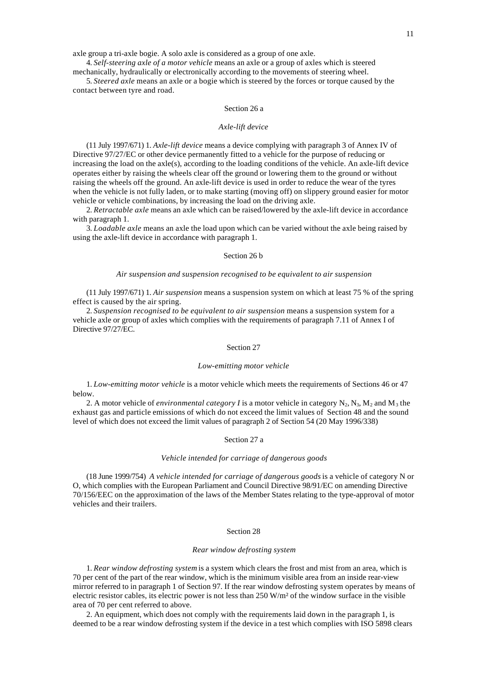axle group a tri-axle bogie. A solo axle is considered as a group of one axle.

4. *Self-steering axle of a motor vehicle* means an axle or a group of axles which is steered mechanically, hydraulically or electronically according to the movements of steering wheel.

5. *Steered axle* means an axle or a bogie which is steered by the forces or torque caused by the contact between tyre and road.

### Section 26 a

#### *Axle-lift device*

(11 July 1997/671) 1. *Axle-lift device* means a device complying with paragraph 3 of Annex IV of Directive 97/27/EC or other device permanently fitted to a vehicle for the purpose of reducing or increasing the load on the axle(s), according to the loading conditions of the vehicle. An axle-lift device operates either by raising the wheels clear off the ground or lowering them to the ground or without raising the wheels off the ground. An axle-lift device is used in order to reduce the wear of the tyres when the vehicle is not fully laden, or to make starting (moving off) on slippery ground easier for motor vehicle or vehicle combinations, by increasing the load on the driving axle.

2. *Retractable axle* means an axle which can be raised/lowered by the axle-lift device in accordance with paragraph 1.

3. *Loadable axle* means an axle the load upon which can be varied without the axle being raised by using the axle-lift device in accordance with paragraph 1.

# Section 26 b

# *Air suspension and suspension recognised to be equivalent to air suspension*

(11 July 1997/671) 1. *Air suspension* means a suspension system on which at least 75 % of the spring effect is caused by the air spring.

2. *Suspension recognised to be equivalent to air suspension* means a suspension system for a vehicle axle or group of axles which complies with the requirements of paragraph 7.11 of Annex I of Directive 97/27/EC.

### Section 27

#### *Low-emitting motor vehicle*

1. *Low-emitting motor vehicle* is a motor vehicle which meets the requirements of Sections 46 or 47 below.

2. A motor vehicle of *environmental category I* is a motor vehicle in category  $N_2$ ,  $N_3$ ,  $M_2$  and  $M_3$  the exhaust gas and particle emissions of which do not exceed the limit values of Section 48 and the sound level of which does not exceed the limit values of paragraph 2 of Section 54 (20 May 1996/338)

### Section 27 a

#### *Vehicle intended for carriage of dangerous goods*

(18 June 1999/754) *A vehicle intended for carriage of dangerous goods* is a vehicle of category N or O, which complies with the European Parliament and Council Directive 98/91/EC on amending Directive 70/156/EEC on the approximation of the laws of the Member States relating to the type-approval of motor vehicles and their trailers.

# Section 28

### *Rear window defrosting system*

1. *Rear window defrosting system* is a system which clears the frost and mist from an area, which is 70 per cent of the part of the rear window, which is the minimum visible area from an inside rear-view mirror referred to in paragraph 1 of Section 97. If the rear window defrosting system operates by means of electric resistor cables, its electric power is not less than 250 W/m² of the window surface in the visible area of 70 per cent referred to above.

2. An equipment, which does not comply with the requirements laid down in the paragraph 1, is deemed to be a rear window defrosting system if the device in a test which complies with ISO 5898 clears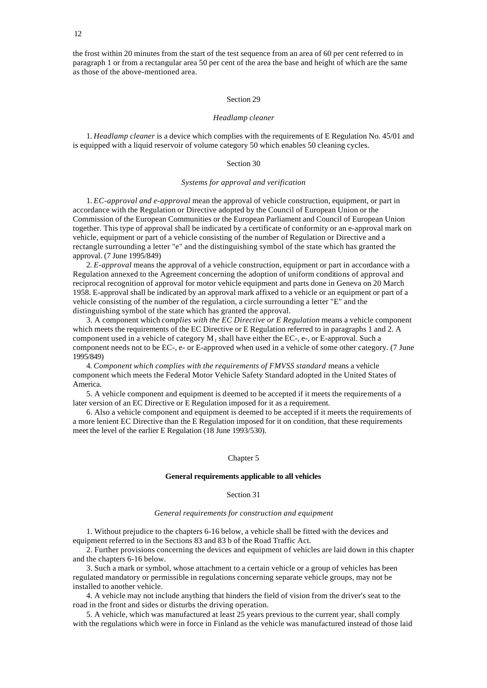the frost within 20 minutes from the start of the test sequence from an area of 60 per cent referred to in paragraph 1 or from a rectangular area 50 per cent of the area the base and height of which are the same as those of the above-mentioned area.

### Section 29

#### *Headlamp cleaner*

1. *Headlamp cleaner* is a device which complies with the requirements of E Regulation No. 45/01 and is equipped with a liquid reservoir of volume category 50 which enables 50 cleaning cycles.

### Section 30

### *Systems for approval and verification*

1. *EC-approval and e-approval* mean the approval of vehicle construction, equipment, or part in accordance with the Regulation or Directive adopted by the Council of European Union or the Commission of the European Communities or the European Parliament and Council of European Union together. This type of approval shall be indicated by a certificate of conformity or an e-approval mark on vehicle, equipment or part of a vehicle consisting of the number of Regulation or Directive and a rectangle surrounding a letter "e" and the distinguishing symbol of the state which has granted the approval. (7 June 1995/849)

2. *E-approval* means the approval of a vehicle construction, equipment or part in accordance with a Regulation annexed to the Agreement concerning the adoption of uniform conditions of approval and reciprocal recognition of approval for motor vehicle equipment and parts done in Geneva on 20 March 1958. E-approval shall be indicated by an approval mark affixed to a vehicle or an equipment or part of a vehicle consisting of the number of the regulation, a circle surrounding a letter "E" and the distinguishing symbol of the state which has granted the approval.

3. A component which *complies with the EC Directive or E Regulation* means a vehicle component which meets the requirements of the EC Directive or E Regulation referred to in paragraphs 1 and 2. A component used in a vehicle of category  $M_1$  shall have either the EC-, e-, or E-approval. Such a component needs not to be EC-, e- or E-approved when used in a vehicle of some other category. (7 June 1995/849)

4. *Component which complies with the requirements of FMVSS standard* means a vehicle component which meets the Federal Motor Vehicle Safety Standard adopted in the United States of America.

5. A vehicle component and equipment is deemed to be accepted if it meets the requirements of a later version of an EC Directive or E Regulation imposed for it as a requirement.

6. Also a vehicle component and equipment is deemed to be accepted if it meets the requirements of a more lenient EC Directive than the E Regulation imposed for it on condition, that these requirements meet the level of the earlier E Regulation (18 June 1993/530).

### Chapter 5

### **General requirements applicable to all vehicles**

### Section 31

## *General requirements for construction and equipment*

1. Without prejudice to the chapters 6-16 below, a vehicle shall be fitted with the devices and equipment referred to in the Sections 83 and 83 b of the Road Traffic Act.

2. Further provisions concerning the devices and equipment of vehicles are laid down in this chapter and the chapters 6-16 below.

3. Such a mark or symbol, whose attachment to a certain vehicle or a group of vehicles has been regulated mandatory or permissible in regulations concerning separate vehicle groups, may not be installed to another vehicle.

4. A vehicle may not include anything that hinders the field of vision from the driver's seat to the road in the front and sides or disturbs the driving operation.

5. A vehicle, which was manufactured at least 25 years previous to the current year, shall comply with the regulations which were in force in Finland as the vehicle was manufactured instead of those laid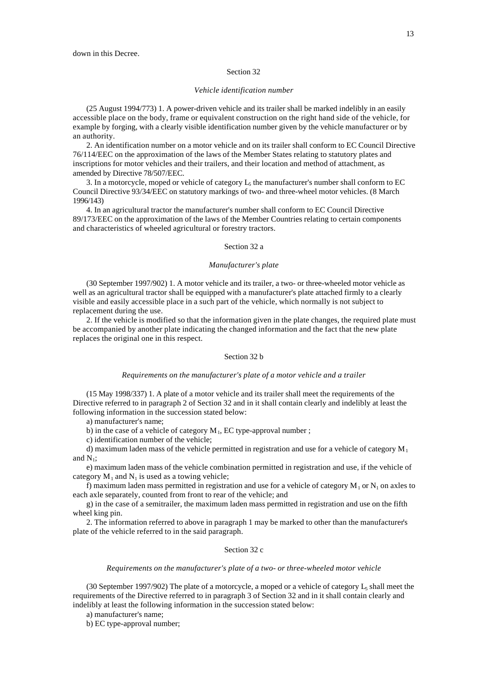### *Vehicle identification number*

(25 August 1994/773) 1. A power-driven vehicle and its trailer shall be marked indelibly in an easily accessible place on the body, frame or equivalent construction on the right hand side of the vehicle, for example by forging, with a clearly visible identification number given by the vehicle manufacturer or by an authority.

2. An identification number on a motor vehicle and on its trailer shall conform to EC Council Directive 76/114/EEC on the approximation of the laws of the Member States relating to statutory plates and inscriptions for motor vehicles and their trailers, and their location and method of attachment, as amended by Directive 78/507/EEC.

3. In a motorcycle, moped or vehicle of category  $L_5$  the manufacturer's number shall conform to EC Council Directive 93/34/EEC on statutory markings of two- and three-wheel motor vehicles. (8 March 1996/143)

4. In an agricultural tractor the manufacturer's number shall conform to EC Council Directive 89/173/EEC on the approximation of the laws of the Member Countries relating to certain components and characteristics of wheeled agricultural or forestry tractors.

### Section 32 a

### *Manufacturer's plate*

(30 September 1997/902) 1. A motor vehicle and its trailer, a two- or three-wheeled motor vehicle as well as an agricultural tractor shall be equipped with a manufacturer's plate attached firmly to a clearly visible and easily accessible place in a such part of the vehicle, which normally is not subject to replacement during the use.

2. If the vehicle is modified so that the information given in the plate changes, the required plate must be accompanied by another plate indicating the changed information and the fact that the new plate replaces the original one in this respect.

### Section 32 b

#### *Requirements on the manufacturer's plate of a motor vehicle and a trailer*

(15 May 1998/337) 1. A plate of a motor vehicle and its trailer shall meet the requirements of the Directive referred to in paragraph 2 of Section 32 and in it shall contain clearly and indelibly at least the following information in the succession stated below:

a) manufacturer's name;

b) in the case of a vehicle of category  $M_1$ , EC type-approval number;

c) identification number of the vehicle;

d) maximum laden mass of the vehicle permitted in registration and use for a vehicle of category  $M_1$ and  $N_1$ ;

e) maximum laden mass of the vehicle combination permitted in registration and use, if the vehicle of category  $M_1$  and  $N_1$  is used as a towing vehicle;

f) maximum laden mass permitted in registration and use for a vehicle of category  $M_1$  or  $N_1$  on axles to each axle separately, counted from front to rear of the vehicle; and

g) in the case of a semitrailer, the maximum laden mass permitted in registration and use on the fifth wheel king pin.

2. The information referred to above in paragraph 1 may be marked to other than the manufacturer's plate of the vehicle referred to in the said paragraph.

# Section 32 c

## *Requirements on the manufacturer's plate of a two- or three-wheeled motor vehicle*

(30 September 1997/902) The plate of a motorcycle, a moped or a vehicle of category  $L_5$  shall meet the requirements of the Directive referred to in paragraph 3 of Section 32 and in it shall contain clearly and indelibly at least the following information in the succession stated below:

a) manufacturer's name;

b) EC type-approval number;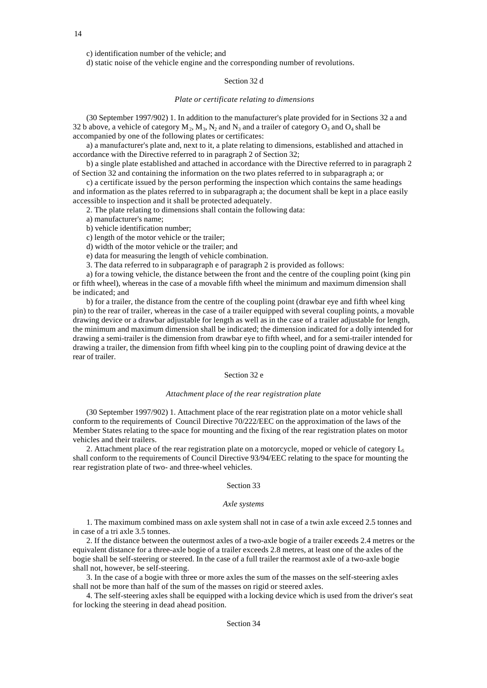c) identification number of the vehicle; and

d) static noise of the vehicle engine and the corresponding number of revolutions.

# Section 32 d

#### *Plate or certificate relating to dimensions*

(30 September 1997/902) 1. In addition to the manufacturer's plate provided for in Sections 32 a and 32 b above, a vehicle of category  $M_2$ ,  $M_3$ ,  $N_2$  and  $N_3$  and a trailer of category  $O_3$  and  $O_4$  shall be accompanied by one of the following plates or certificates:

a) a manufacturer's plate and, next to it, a plate relating to dimensions, established and attached in accordance with the Directive referred to in paragraph 2 of Section 32;

b) a single plate established and attached in accordance with the Directive referred to in paragraph 2 of Section 32 and containing the information on the two plates referred to in subparagraph a; or

c) a certificate issued by the person performing the inspection which contains the same headings and information as the plates referred to in subparagraph a; the document shall be kept in a place easily accessible to inspection and it shall be protected adequately.

2. The plate relating to dimensions shall contain the following data:

a) manufacturer's name;

b) vehicle identification number;

c) length of the motor vehicle or the trailer;

d) width of the motor vehicle or the trailer; and

e) data for measuring the length of vehicle combination.

3. The data referred to in subparagraph e of paragraph 2 is provided as follows:

a) for a towing vehicle, the distance between the front and the centre of the coupling point (king pin or fifth wheel), whereas in the case of a movable fifth wheel the minimum and maximum dimension shall be indicated; and

b) for a trailer, the distance from the centre of the coupling point (drawbar eye and fifth wheel king pin) to the rear of trailer, whereas in the case of a trailer equipped with several coupling points, a movable drawing device or a drawbar adjustable for length as well as in the case of a trailer adjustable for length, the minimum and maximum dimension shall be indicated; the dimension indicated for a dolly intended for drawing a semi-trailer is the dimension from drawbar eye to fifth wheel, and for a semi-trailer intended for drawing a trailer, the dimension from fifth wheel king pin to the coupling point of drawing device at the rear of trailer.

# Section 32 e

#### *Attachment place of the rear registration plate*

(30 September 1997/902) 1. Attachment place of the rear registration plate on a motor vehicle shall conform to the requirements of Council Directive 70/222/EEC on the approximation of the laws of the Member States relating to the space for mounting and the fixing of the rear registration plates on motor vehicles and their trailers.

2. Attachment place of the rear registration plate on a motorcycle, moped or vehicle of category  $L_5$ shall conform to the requirements of Council Directive 93/94/EEC relating to the space for mounting the rear registration plate of two- and three-wheel vehicles.

### Section 33

### *Axle systems*

1. The maximum combined mass on axle system shall not in case of a twin axle exceed 2.5 tonnes and in case of a tri axle 3.5 tonnes.

2. If the distance between the outermost axles of a two-axle bogie of a trailer exceeds 2.4 metres or the equivalent distance for a three-axle bogie of a trailer exceeds 2.8 metres, at least one of the axles of the bogie shall be self-steering or steered. In the case of a full trailer the rearmost axle of a two-axle bogie shall not, however, be self-steering.

3. In the case of a bogie with three or more axles the sum of the masses on the self-steering axles shall not be more than half of the sum of the masses on rigid or steered axles.

4. The self-steering axles shall be equipped with a locking device which is used from the driver's seat for locking the steering in dead ahead position.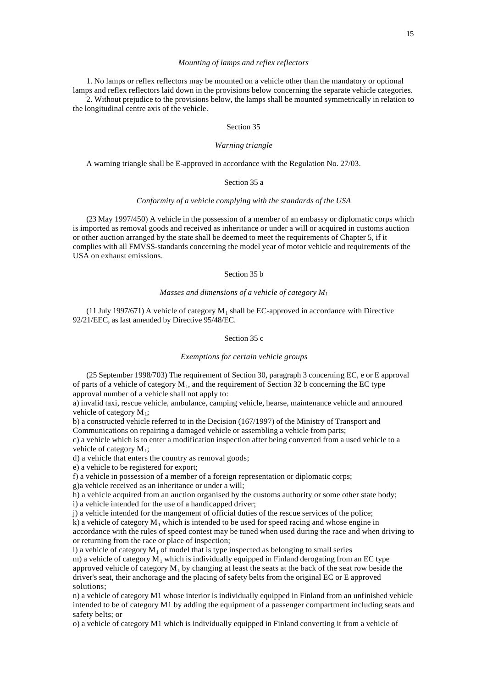# *Mounting of lamps and reflex reflectors*

1. No lamps or reflex reflectors may be mounted on a vehicle other than the mandatory or optional lamps and reflex reflectors laid down in the provisions below concerning the separate vehicle categories.

2. Without prejudice to the provisions below, the lamps shall be mounted symmetrically in relation to the longitudinal centre axis of the vehicle.

# Section 35

### *Warning triangle*

A warning triangle shall be E-approved in accordance with the Regulation No. 27/03.

# Section 35 a

# *Conformity of a vehicle complying with the standards of the USA*

(23 May 1997/450) A vehicle in the possession of a member of an embassy or diplomatic corps which is imported as removal goods and received as inheritance or under a will or acquired in customs auction or other auction arranged by the state shall be deemed to meet the requirements of Chapter 5, if it complies with all FMVSS-standards concerning the model year of motor vehicle and requirements of the USA on exhaust emissions.

# Section 35 b

## *Masses and dimensions of a vehicle of category M<sup>1</sup>*

(11 July 1997/671) A vehicle of category  $M_1$  shall be EC-approved in accordance with Directive 92/21/EEC, as last amended by Directive 95/48/EC.

# Section 35 c

## *Exemptions for certain vehicle groups*

(25 September 1998/703) The requirement of Section 30, paragraph 3 concerning EC, e or E approval of parts of a vehicle of category  $M_1$ , and the requirement of Section 32 b concerning the EC type approval number of a vehicle shall not apply to:

a) invalid taxi, rescue vehicle, ambulance, camping vehicle, hearse, maintenance vehicle and armoured vehicle of category  $M_1$ ;

b) a constructed vehicle referred to in the Decision (167/1997) of the Ministry of Transport and Communications on repairing a damaged vehicle or assembling a vehicle from parts;

c) a vehicle which is to enter a modification inspection after being converted from a used vehicle to a vehicle of category  $M_1$ ;

d) a vehicle that enters the country as removal goods;

e) a vehicle to be registered for export;

f) a vehicle in possession of a member of a foreign representation or diplomatic corps;

g)a vehicle received as an inheritance or under a will;

h) a vehicle acquired from an auction organised by the customs authority or some other state body; i) a vehicle intended for the use of a handicapped driver;

j) a vehicle intended for the mangement of official duties of the rescue services of the police;

k) a vehicle of category  $M_1$  which is intended to be used for speed racing and whose engine in accordance with the rules of speed contest may be tuned when used during the race and when driving to or returning from the race or place of inspection;

l) a vehicle of category  $M_1$  of model that is type inspected as belonging to small series m) a vehicle of category  $M_1$  which is individually equipped in Finland derogating from an EC type approved vehicle of category  $M_1$  by changing at least the seats at the back of the seat row beside the driver's seat, their anchorage and the placing of safety belts from the original EC or E approved solutions;

n) a vehicle of category M1 whose interior is individually equipped in Finland from an unfinished vehicle intended to be of category M1 by adding the equipment of a passenger compartment including seats and safety belts; or

o) a vehicle of category M1 which is individually equipped in Finland converting it from a vehicle of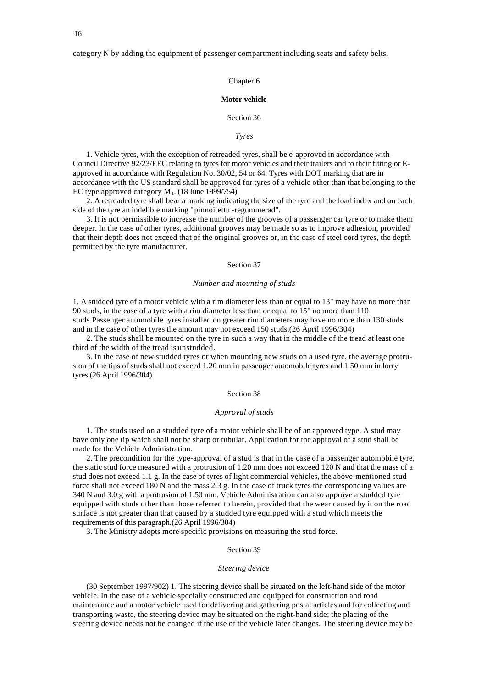# category N by adding the equipment of passenger compartment including seats and safety belts.

# Chapter 6

# **Motor vehicle**

## Section 36

### *Tyres*

1. Vehicle tyres, with the exception of retreaded tyres, shall be e-approved in accordance with Council Directive 92/23/EEC relating to tyres for motor vehicles and their trailers and to their fitting or Eapproved in accordance with Regulation No. 30/02, 54 or 64. Tyres with DOT marking that are in accordance with the US standard shall be approved for tyres of a vehicle other than that belonging to the EC type approved category  $M_1$ . (18 June 1999/754)

2. A retreaded tyre shall bear a marking indicating the size of the tyre and the load index and on each side of the tyre an indelible marking "pinnoitettu -regummerad".

3. It is not permissible to increase the number of the grooves of a passenger car tyre or to make them deeper. In the case of other tyres, additional grooves may be made so as to improve adhesion, provided that their depth does not exceed that of the original grooves or, in the case of steel cord tyres, the depth permitted by the tyre manufacturer.

# Section 37

### *Number and mounting of studs*

1. A studded tyre of a motor vehicle with a rim diameter less than or equal to 13" may have no more than 90 studs, in the case of a tyre with a rim diameter less than or equal to 15" no more than 110 studs.Passenger automobile tyres installed on greater rim diameters may have no more than 130 studs and in the case of other tyres the amount may not exceed 150 studs.(26 April 1996/304)

2. The studs shall be mounted on the tyre in such a way that in the middle of the tread at least one third of the width of the tread is unstudded.

3. In the case of new studded tyres or when mounting new studs on a used tyre, the average protrusion of the tips of studs shall not exceed 1.20 mm in passenger automobile tyres and 1.50 mm in lorry tyres.(26 April 1996/304)

# Section 38

### *Approval of studs*

1. The studs used on a studded tyre of a motor vehicle shall be of an approved type. A stud may have only one tip which shall not be sharp or tubular. Application for the approval of a stud shall be made for the Vehicle Administration.

2. The precondition for the type-approval of a stud is that in the case of a passenger automobile tyre, the static stud force measured with a protrusion of 1.20 mm does not exceed 120 N and that the mass of a stud does not exceed 1.1 g. In the case of tyres of light commercial vehicles, the above-mentioned stud force shall not exceed 180 N and the mass 2.3 g. In the case of truck tyres the corresponding values are 340 N and 3.0 g with a protrusion of 1.50 mm. Vehicle Administration can also approve a studded tyre equipped with studs other than those referred to herein, provided that the wear caused by it on the road surface is not greater than that caused by a studded tyre equipped with a stud which meets the requirements of this paragraph.(26 April 1996/304)

3. The Ministry adopts more specific provisions on measuring the stud force.

# Section 39

## *Steering device*

(30 September 1997/902) 1. The steering device shall be situated on the left-hand side of the motor vehicle. In the case of a vehicle specially constructed and equipped for construction and road maintenance and a motor vehicle used for delivering and gathering postal articles and for collecting and transporting waste, the steering device may be situated on the right-hand side; the placing of the steering device needs not be changed if the use of the vehicle later changes. The steering device may be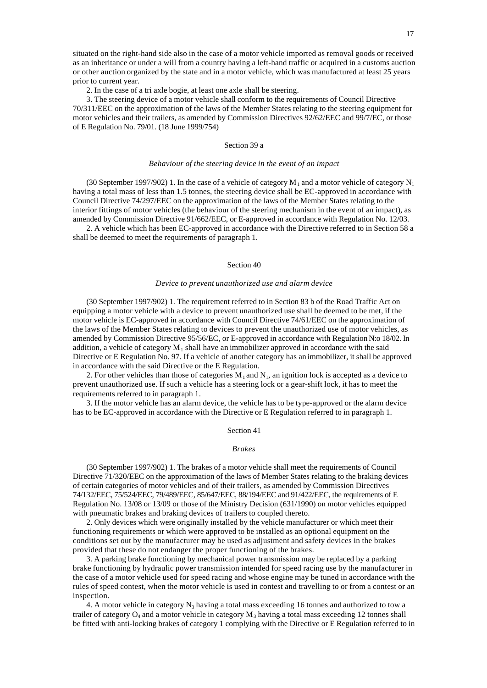situated on the right-hand side also in the case of a motor vehicle imported as removal goods or received as an inheritance or under a will from a country having a left-hand traffic or acquired in a customs auction or other auction organized by the state and in a motor vehicle, which was manufactured at least 25 years prior to current year.

2. In the case of a tri axle bogie, at least one axle shall be steering.

3. The steering device of a motor vehicle shall conform to the requirements of Council Directive 70/311/EEC on the approximation of the laws of the Member States relating to the steering equipment for motor vehicles and their trailers, as amended by Commission Directives 92/62/EEC and 99/7/EC, or those of E Regulation No. 79/01. (18 June 1999/754)

# Section 39 a

### *Behaviour of the steering device in the event of an impact*

(30 September 1997/902) 1. In the case of a vehicle of category  $M_1$  and a motor vehicle of category  $N_1$ having a total mass of less than 1.5 tonnes, the steering device shall be EC-approved in accordance with Council Directive 74/297/EEC on the approximation of the laws of the Member States relating to the interior fittings of motor vehicles (the behaviour of the steering mechanism in the event of an impact), as amended by Commission Directive 91/662/EEC, or E-approved in accordance with Regulation No. 12/03.

2. A vehicle which has been EC-approved in accordance with the Directive referred to in Section 58 a shall be deemed to meet the requirements of paragraph 1.

# Section 40

#### *Device to prevent unauthorized use and alarm device*

(30 September 1997/902) 1. The requirement referred to in Section 83 b of the Road Traffic Act on equipping a motor vehicle with a device to prevent unauthorized use shall be deemed to be met, if the motor vehicle is EC-approved in accordance with Council Directive 74/61/EEC on the approximation of the laws of the Member States relating to devices to prevent the unauthorized use of motor vehicles, as amended by Commission Directive 95/56/EC, or E-approved in accordance with Regulation N:o 18/02. In addition, a vehicle of category  $M_1$  shall have an immobilizer approved in accordance with the said Directive or E Regulation No. 97. If a vehicle of another category has an immobilizer, it shall be approved in accordance with the said Directive or the E Regulation.

2. For other vehicles than those of categories  $M_1$  and  $N_1$ , an ignition lock is accepted as a device to prevent unauthorized use. If such a vehicle has a steering lock or a gear-shift lock, it has to meet the requirements referred to in paragraph 1.

3. If the motor vehicle has an alarm device, the vehicle has to be type-approved or the alarm device has to be EC-approved in accordance with the Directive or E Regulation referred to in paragraph 1.

### Section 41

# *Brakes*

(30 September 1997/902) 1. The brakes of a motor vehicle shall meet the requirements of Council Directive 71/320/EEC on the approximation of the laws of Member States relating to the braking devices of certain categories of motor vehicles and of their trailers, as amended by Commission Directives 74/132/EEC, 75/524/EEC, 79/489/EEC, 85/647/EEC, 88/194/EEC and 91/422/EEC, the requirements of E Regulation No. 13/08 or 13/09 or those of the Ministry Decision (631/1990) on motor vehicles equipped with pneumatic brakes and braking devices of trailers to coupled thereto.

2. Only devices which were originally installed by the vehicle manufacturer or which meet their functioning requirements or which were approved to be installed as an optional equipment on the conditions set out by the manufacturer may be used as adjustment and safety devices in the brakes provided that these do not endanger the proper functioning of the brakes.

3. A parking brake functioning by mechanical power transmission may be replaced by a parking brake functioning by hydraulic power transmission intended for speed racing use by the manufacturer in the case of a motor vehicle used for speed racing and whose engine may be tuned in accordance with the rules of speed contest, when the motor vehicle is used in contest and travelling to or from a contest or an inspection.

4. A motor vehicle in category  $N_3$  having a total mass exceeding 16 tonnes and authorized to tow a trailer of category  $O_4$  and a motor vehicle in category  $M_3$  having a total mass exceeding 12 tonnes shall be fitted with anti-locking brakes of category 1 complying with the Directive or E Regulation referred to in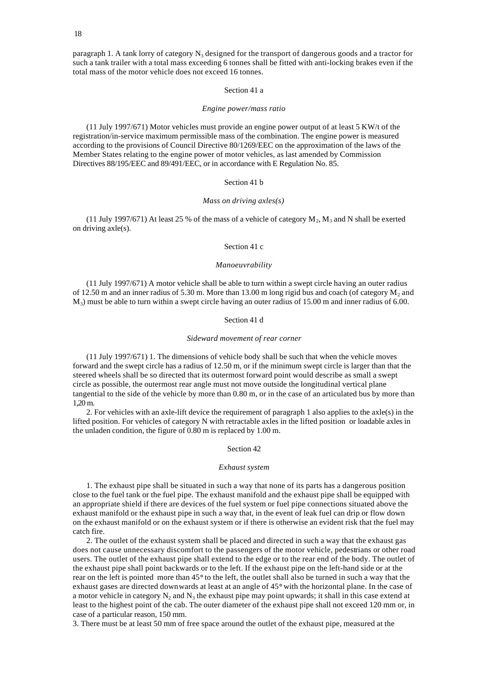paragraph 1. A tank lorry of category  $N_3$  designed for the transport of dangerous goods and a tractor for such a tank trailer with a total mass exceeding 6 tonnes shall be fitted with anti-locking brakes even if the total mass of the motor vehicle does not exceed 16 tonnes.

# Section 41 a

### *Engine power/mass ratio*

(11 July 1997/671) Motor vehicles must provide an engine power output of at least 5 KW/t of the registration/in-service maximum permissible mass of the combination. The engine power is measured according to the provisions of Council Directive 80/1269/EEC on the approximation of the laws of the Member States relating to the engine power of motor vehicles, as last amended by Commission Directives 88/195/EEC and 89/491/EEC, or in accordance with E Regulation No. 85.

# Section 41 b

### *Mass on driving axles(s)*

(11 July 1997/671) At least 25 % of the mass of a vehicle of category  $M_2$ ,  $M_3$  and N shall be exerted on driving axle(s).

# Section 41 c

### *Manoeuvrability*

(11 July 1997/671) A motor vehicle shall be able to turn within a swept circle having an outer radius of 12.50 m and an inner radius of 5.30 m. More than 13.00 m long rigid bus and coach (of category  $M_2$  and  $M<sub>3</sub>$ ) must be able to turn within a swept circle having an outer radius of 15.00 m and inner radius of 6.00.

# Section 41 d

#### *Sideward movement of rear corner*

(11 July 1997/671) 1. The dimensions of vehicle body shall be such that when the vehicle moves forward and the swept circle has a radius of 12.50 m, or if the minimum swept circle is larger than that the steered wheels shall be so directed that its outermost forward point would describe as small a swept circle as possible, the outermost rear angle must not move outside the longitudinal vertical plane tangential to the side of the vehicle by more than 0.80 m, or in the case of an articulated bus by more than 1,20 m.

2. For vehicles with an axle-lift device the requirement of paragraph 1 also applies to the axle(s) in the lifted position. For vehicles of category N with retractable axles in the lifted position or loadable axles in the unladen condition, the figure of 0.80 m is replaced by 1.00 m.

### Section 42

#### *Exhaust system*

1. The exhaust pipe shall be situated in such a way that none of its parts has a dangerous position close to the fuel tank or the fuel pipe. The exhaust manifold and the exhaust pipe shall be equipped with an appropriate shield if there are devices of the fuel system or fuel pipe connections situated above the exhaust manifold or the exhaust pipe in such a way that, in the event of leak fuel can drip or flow down on the exhaust manifold or on the exhaust system or if there is otherwise an evident risk that the fuel may catch fire.

2. The outlet of the exhaust system shall be placed and directed in such a way that the exhaust gas does not cause unnecessary discomfort to the passengers of the motor vehicle, pedestrians or other road users. The outlet of the exhaust pipe shall extend to the edge or to the rear end of the body. The outlet of the exhaust pipe shall point backwards or to the left. If the exhaust pipe on the left-hand side or at the rear on the left is pointed more than 45° to the left, the outlet shall also be turned in such a way that the exhaust gases are directed downwards at least at an angle of 45° with the horizontal plane. In the case of a motor vehicle in category  $N_2$  and  $N_3$  the exhaust pipe may point upwards; it shall in this case extend at least to the highest point of the cab. The outer diameter of the exhaust pipe shall not exceed 120 mm or, in case of a particular reason, 150 mm.

3. There must be at least 50 mm of free space around the outlet of the exhaust pipe, measured at the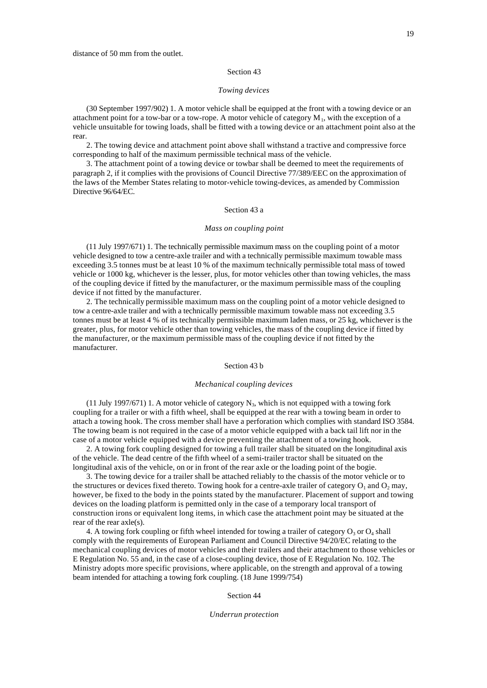# *Towing devices*

(30 September 1997/902) 1. A motor vehicle shall be equipped at the front with a towing device or an attachment point for a tow-bar or a tow-rope. A motor vehicle of category  $M_1$ , with the exception of a vehicle unsuitable for towing loads, shall be fitted with a towing device or an attachment point also at the rear.

2. The towing device and attachment point above shall withstand a tractive and compressive force corresponding to half of the maximum permissible technical mass of the vehicle.

3. The attachment point of a towing device or towbar shall be deemed to meet the requirements of paragraph 2, if it complies with the provisions of Council Directive 77/389/EEC on the approximation of the laws of the Member States relating to motor-vehicle towing-devices, as amended by Commission Directive 96/64/EC.

## Section 43 a

# *Mass on coupling point*

(11 July 1997/671) 1. The technically permissible maximum mass on the coupling point of a motor vehicle designed to tow a centre-axle trailer and with a technically permissible maximum towable mass exceeding 3.5 tonnes must be at least 10 % of the maximum technically permissible total mass of towed vehicle or 1000 kg, whichever is the lesser, plus, for motor vehicles other than towing vehicles, the mass of the coupling device if fitted by the manufacturer, or the maximum permissible mass of the coupling device if not fitted by the manufacturer.

2. The technically permissible maximum mass on the coupling point of a motor vehicle designed to tow a centre-axle trailer and with a technically permissible maximum towable mass not exceeding 3.5 tonnes must be at least 4 % of its technically permissible maximum laden mass, or 25 kg, whichever is the greater, plus, for motor vehicle other than towing vehicles, the mass of the coupling device if fitted by the manufacturer, or the maximum permissible mass of the coupling device if not fitted by the manufacturer.

# Section 43 b

#### *Mechanical coupling devices*

(11 July 1997/671) 1. A motor vehicle of category  $N_3$ , which is not equipped with a towing fork coupling for a trailer or with a fifth wheel, shall be equipped at the rear with a towing beam in order to attach a towing hook. The cross member shall have a perforation which complies with standard ISO 3584. The towing beam is not required in the case of a motor vehicle equipped with a back tail lift nor in the case of a motor vehicle equipped with a device preventing the attachment of a towing hook.

2. A towing fork coupling designed for towing a full trailer shall be situated on the longitudinal axis of the vehicle. The dead centre of the fifth wheel of a semi-trailer tractor shall be situated on the longitudinal axis of the vehicle, on or in front of the rear axle or the loading point of the bogie.

3. The towing device for a trailer shall be attached reliably to the chassis of the motor vehicle or to the structures or devices fixed thereto. Towing hook for a centre-axle trailer of category  $O_1$  and  $O_2$  may, however, be fixed to the body in the points stated by the manufacturer. Placement of support and towing devices on the loading platform is permitted only in the case of a temporary local transport of construction irons or equivalent long items, in which case the attachment point may be situated at the rear of the rear axle(s).

4. A towing fork coupling or fifth wheel intended for towing a trailer of category  $O_3$  or  $O_4$  shall comply with the requirements of European Parliament and Council Directive 94/20/EC relating to the mechanical coupling devices of motor vehicles and their trailers and their attachment to those vehicles or E Regulation No. 55 and, in the case of a close-coupling device, those of E Regulation No. 102. The Ministry adopts more specific provisions, where applicable, on the strength and approval of a towing beam intended for attaching a towing fork coupling. (18 June 1999/754)

Section 44

#### *Underrun protection*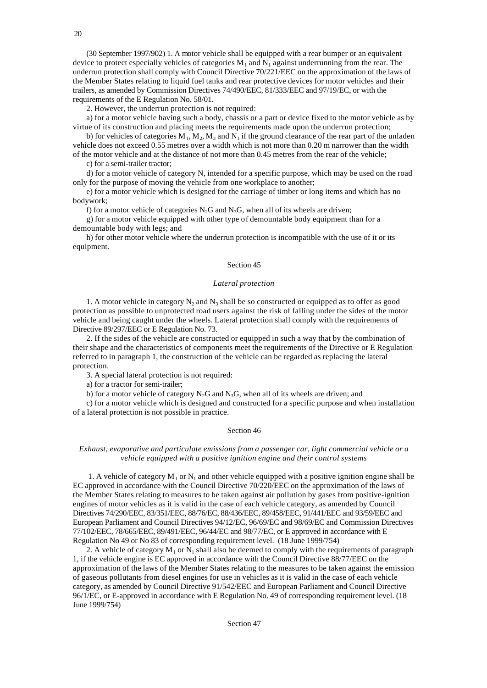(30 September 1997/902) 1. A motor vehicle shall be equipped with a rear bumper or an equivalent device to protect especially vehicles of categories  $M_1$  and  $N_1$  against underrunning from the rear. The underrun protection shall comply with Council Directive 70/221/EEC on the approximation of the laws of the Member States relating to liquid fuel tanks and rear protective devices for motor vehicles and their trailers, as amended by Commission Directives 74/490/EEC, 81/333/EEC and 97/19/EC, or with the requirements of the E Regulation No. 58/01.

2. However, the underrun protection is not required:

a) for a motor vehicle having such a body, chassis or a part or device fixed to the motor vehicle as by virtue of its construction and placing meets the requirements made upon the underrun protection;

b) for vehicles of categories  $M_1, M_2, M_3$  and  $N_1$  if the ground clearance of the rear part of the unladen vehicle does not exceed 0.55 metres over a width which is not more than 0.20 m narrower than the width of the motor vehicle and at the distance of not more than 0.45 metres from the rear of the vehicle;

c) for a semi-trailer tractor;

d) for a motor vehicle of category N, intended for a specific purpose, which may be used on the road only for the purpose of moving the vehicle from one workplace to another;

e) for a motor vehicle which is designed for the carriage of timber or long items and which has no bodywork;

f) for a motor vehicle of categories  $N_2G$  and  $N_3G$ , when all of its wheels are driven;

g) for a motor vehicle equipped with other type of demountable body equipment than for a demountable body with legs; and

h) for other motor vehicle where the underrun protection is incompatible with the use of it or its equipment.

# Section 45

## *Lateral protection*

1. A motor vehicle in category  $N_2$  and  $N_3$  shall be so constructed or equipped as to offer as good protection as possible to unprotected road users against the risk of falling under the sides of the motor vehicle and being caught under the wheels. Lateral protection shall comply with the requirements of Directive 89/297/EEC or E Regulation No. 73.

2. If the sides of the vehicle are constructed or equipped in such a way that by the combination of their shape and the characteristics of components meet the requirements of the Directive or E Regulation referred to in paragraph 1, the construction of the vehicle can be regarded as replacing the lateral protection.

3. A special lateral protection is not required:

a) for a tractor for semi-trailer;

b) for a motor vehicle of category  $N_2G$  and  $N_3G$ , when all of its wheels are driven; and

c) for a motor vehicle which is designed and constructed for a specific purpose and when installation of a lateral protection is not possible in practice.

### Section 46

# *Exhaust, evaporative and particulate emissions from a passenger car, light commercial vehicle or a vehicle equipped with a positive ignition engine and their control systems*

1. A vehicle of category  $M_1$  or  $N_1$  and other vehicle equipped with a positive ignition engine shall be EC approved in accordance with the Council Directive 70/220/EEC on the approximation of the laws of the Member States relating to measures to be taken against air pollution by gases from positive-ignition engines of motor vehicles as it is valid in the case of each vehicle category, as amended by Council Directives 74/290/EEC, 83/351/EEC, 88/76/EC, 88/436/EEC, 89/458/EEC, 91/441/EEC and 93/59/EEC and European Parliament and Council Directives 94/12/EC, 96/69/EC and 98/69/EC and Commission Directives 77/102/EEC, 78/665/EEC, 89/491/EEC, 96/44/EC and 98/77/EC, or E approved in accordance with E Regulation No 49 or No 83 of corresponding requirement level. (18 June 1999/754)

2. A vehicle of category  $M_1$  or  $N_1$  shall also be deemed to comply with the requirements of paragraph 1, if the vehicle engine is EC approved in accordance with the Council Directive 88/77/EEC on the approximation of the laws of the Member States relating to the measures to be taken against the emission of gaseous pollutants from diesel engines for use in vehicles as it is valid in the case of each vehicle category, as amended by Council Directive 91/542/EEC and European Parliament and Council Directive 96/1/EC, or E-approved in accordance with E Regulation No. 49 of corresponding requirement level. (18 June 1999/754)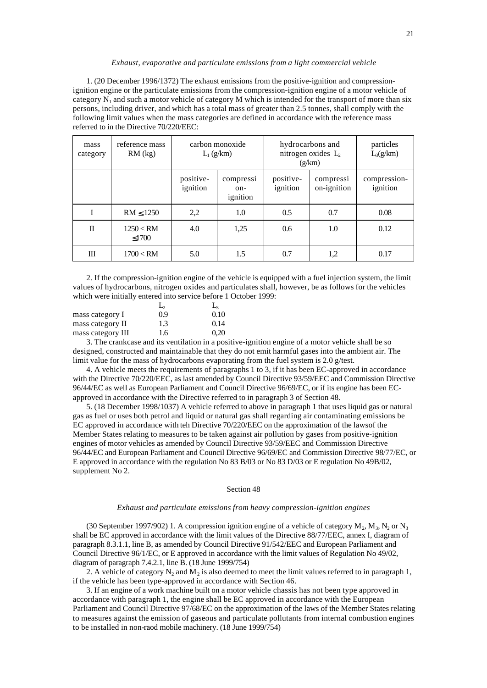#### *Exhaust, evaporative and particulate emissions from a light commercial vehicle*

1. (20 December 1996/1372) The exhaust emissions from the positive-ignition and compressionignition engine or the particulate emissions from the compression-ignition engine of a motor vehicle of category  $N_1$  and such a motor vehicle of category M which is intended for the transport of more than six persons, including driver, and which has a total mass of greater than 2.5 tonnes, shall comply with the following limit values when the mass categories are defined in accordance with the reference mass referred to in the Directive 70/220/EEC:

| mass<br>category | reference mass<br>$RM$ (kg) | carbon monoxide<br>$L_1$ (g/km) |                              | hydrocarbons and<br>nitrogen oxides $L_2$<br>(g/km) |                          | particles<br>$L_3(g/km)$ |
|------------------|-----------------------------|---------------------------------|------------------------------|-----------------------------------------------------|--------------------------|--------------------------|
|                  |                             | positive-<br>ignition           | compressi<br>on-<br>ignition | positive-<br>ignition                               | compressi<br>on-ignition | compression-<br>ignition |
| I                | $RM \leq 1250$              | 2,2                             | 1.0                          | 0.5                                                 | 0.7                      | 0.08                     |
| $\mathbf{I}$     | 1250 < RM<br>< 1700         | 4.0                             | 1,25                         | 0.6                                                 | 1.0                      | 0.12                     |
| Ш                | 1700 < RM                   | 5.0                             | 1.5                          | 0.7                                                 | 1,2                      | 0.17                     |

2. If the compression-ignition engine of the vehicle is equipped with a fuel injection system, the limit values of hydrocarbons, nitrogen oxides and particulates shall, however, be as follows for the vehicles which were initially entered into service before 1 October 1999:

|                   | L,  | L    |
|-------------------|-----|------|
| mass category I   | 0.9 | 0.10 |
| mass category II  | 1.3 | 0.14 |
| mass category III | 1.6 | 0.20 |

3. The crankcase and its ventilation in a positive-ignition engine of a motor vehicle shall be so designed, constructed and maintainable that they do not emit harmful gases into the ambient air. The limit value for the mass of hydrocarbons evaporating from the fuel system is 2.0 g/test.

4. A vehicle meets the requirements of paragraphs 1 to 3, if it has been EC-approved in accordance with the Directive 70/220/EEC, as last amended by Council Directive 93/59/EEC and Commission Directive 96/44/EC as well as European Parliament and Council Directive 96/69/EC, or if its engine has been ECapproved in accordance with the Directive referred to in paragraph 3 of Section 48.

5. (18 December 1998/1037) A vehicle referred to above in paragraph 1 that uses liquid gas or natural gas as fuel or uses both petrol and liquid or natural gas shall regarding air contaminating emissions be EC approved in accordance with teh Directive 70/220/EEC on the approximation of the lawsof the Member States relating to measures to be taken against air pollution by gases from positive-ignition engines of motor vehicles as amended by Council Directive 93/59/EEC and Commission Directive 96/44/EC and European Parliament and Council Directive 96/69/EC and Commission Directive 98/77/EC, or E approved in accordance with the regulation No 83 B/03 or No 83 D/03 or E regulation No 49B/02, supplement No 2.

### Section 48

# *Exhaust and particulate emissions from heavy compression-ignition engines*

(30 September 1997/902) 1. A compression ignition engine of a vehicle of category  $M_2$ ,  $M_3$ ,  $N_2$  or  $N_3$ shall be EC approved in accordance with the limit values of the Directive 88/77/EEC, annex I, diagram of paragraph 8.3.1.1, line B, as amended by Council Directive 91/542/EEC and European Parliament and Council Directive 96/1/EC, or E approved in accordance with the limit values of Regulation No 49/02, diagram of paragraph 7.4.2.1, line B. (18 June 1999/754)

2. A vehicle of category  $N_2$  and  $M_2$  is also deemed to meet the limit values referred to in paragraph 1, if the vehicle has been type-approved in accordance with Section 46.

3. If an engine of a work machine built on a motor vehicle chassis has not been type approved in accordance with paragraph 1, the engine shall be EC approved in accordance with the European Parliament and Council Directive 97/68/EC on the approximation of the laws of the Member States relating to measures against the emission of gaseous and particulate pollutants from internal combustion engines to be installed in non-raod mobile machinery. (18 June 1999/754)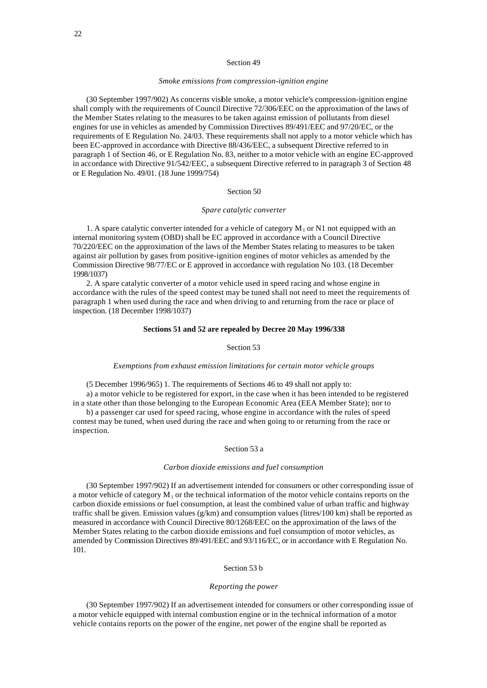#### *Smoke emissions from compression-ignition engine*

(30 September 1997/902) As concerns visible smoke, a motor vehicle's compression-ignition engine shall comply with the requirements of Council Directive 72/306/EEC on the approximation of the laws of the Member States relating to the measures to be taken against emission of pollutants from diesel engines for use in vehicles as amended by Commission Directives 89/491/EEC and 97/20/EC, or the requirements of E Regulation No. 24/03. These requirements shall not apply to a motor vehicle which has been EC-approved in accordance with Directive 88/436/EEC, a subsequent Directive referred to in paragraph 1 of Section 46, or E Regulation No. 83, neither to a motor vehicle with an engine EC-approved in accordance with Directive 91/542/EEC, a subsequent Directive referred to in paragraph 3 of Section 48 or E Regulation No. 49/01. (18 June 1999/754)

# Section 50

### *Spare catalytic converter*

1. A spare catalytic converter intended for a vehicle of category  $M_1$  or N1 not equipped with an internal monitoring system (OBD) shall be EC approved in accordance with a Council Directive 70/220/EEC on the approximation of the laws of the Member States relating to measures to be taken against air pollution by gases from positive-ignition engines of motor vehicles as amended by the Commission Directive 98/77/EC or E approved in accordance with regulation No 103. (18 December 1998/1037)

2. A spare catalytic converter of a motor vehicle used in speed racing and whose engine in accordance with the rules of the speed contest may be tuned shall not need to meet the requirements of paragraph 1 when used during the race and when driving to and returning from the race or place of inspection. (18 December 1998/1037)

# **Sections 51 and 52 are repealed by Decree 20 May 1996/338**

# Section 53

# *Exemptions from exhaust emission limitations for certain motor vehicle groups*

(5 December 1996/965) 1. The requirements of Sections 46 to 49 shall not apply to:

a) a motor vehicle to be registered for export, in the case when it has been intended to be registered in a state other than those belonging to the European Economic Area (EEA Member State); nor to

b) a passenger car used for speed racing, whose engine in accordance with the rules of speed contest may be tuned, when used during the race and when going to or returning from the race or inspection.

# Section 53 a

#### *Carbon dioxide emissions and fuel consumption*

(30 September 1997/902) If an advertisement intended for consumers or other corresponding issue of a motor vehicle of category  $M_1$  or the technical information of the motor vehicle contains reports on the carbon dioxide emissions or fuel consumption, at least the combined value of urban traffic and highway traffic shall be given. Emission values ( $g/km$ ) and consumption values (litres/100 km) shall be reported as measured in accordance with Council Directive 80/1268/EEC on the approximation of the laws of the Member States relating to the carbon dioxide emissions and fuel consumption of motor vehicles, as amended by Commission Directives 89/491/EEC and 93/116/EC, or in accordance with E Regulation No. 101.

# Section 53 b

## *Reporting the power*

(30 September 1997/902) If an advertisement intended for consumers or other corresponding issue of a motor vehicle equipped with internal combustion engine or in the technical information of a motor vehicle contains reports on the power of the engine, net power of the engine shall be reported as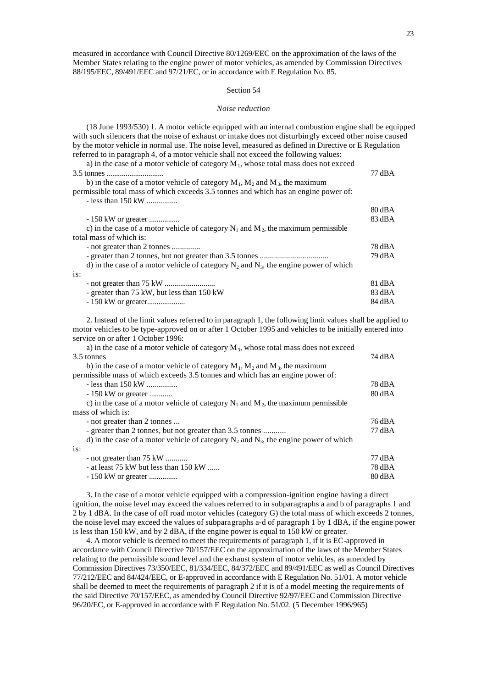measured in accordance with Council Directive 80/1269/EEC on the approximation of the laws of the Member States relating to the engine power of motor vehicles, as amended by Commission Directives 88/195/EEC, 89/491/EEC and 97/21/EC, or in accordance with E Regulation No. 85.

## Section 54

#### *Noise reduction*

(18 June 1993/530) 1. A motor vehicle equipped with an internal combustion engine shall be equipped with such silencers that the noise of exhaust or intake does not disturbingly exceed other noise caused by the motor vehicle in normal use. The noise level, measured as defined in Directive or E Regulation referred to in paragraph 4, of a motor vehicle shall not exceed the following values: a) in the case of a motor vehicle of category  $M_1$ , whose total mass does not exceed 3.5 tonnes .............................. 77 dBA b) in the case of a motor vehicle of category  $M_1$ ,  $M_2$  and  $M_3$ , the maximum permissible total mass of which exceeds 3.5 tonnes and which has an engine power of: - less than 150 kW ................  $90 \text{ AD} A$ 

|                                                                                           | OU UDA           |
|-------------------------------------------------------------------------------------------|------------------|
| $-150 \text{ kW}$ or greater                                                              | 83 dBA           |
| c) in the case of a motor vehicle of category $N_1$ and $M_2$ , the maximum permissible   |                  |
| total mass of which is:                                                                   |                  |
| - not greater than 2 tonnes                                                               | 78 dBA           |
|                                                                                           | 79 dBA           |
| d) in the case of a motor vehicle of category $N_2$ and $N_3$ , the engine power of which |                  |
| is:                                                                                       |                  |
|                                                                                           | 81 dBA           |
| - greater than 75 kW, but less than 150 kW                                                | $83 \text{ dBA}$ |
|                                                                                           | 84 dBA           |

2. Instead of the limit values referred to in paragraph 1, the following limit values shall be applied to motor vehicles to be type-approved on or after 1 October 1995 and vehicles to be initially entered into service on or after 1 October 1996:

| a) in the case of a motor vehicle of category $M_3$ , whose total mass does not exceed    |                    |
|-------------------------------------------------------------------------------------------|--------------------|
| 3.5 tonnes                                                                                |                    |
| b) in the case of a motor vehicle of category $M_1$ , $M_2$ and $M_3$ , the maximum       |                    |
| permissible mass of which exceeds 3.5 tonnes and which has an engine power of:            |                    |
| - less than $150 \text{ kW}$                                                              | 78 dBA             |
| $-150 \text{ kW}$ or greater                                                              | $80 \text{ dB}$    |
| c) in the case of a motor vehicle of category $N_1$ and $M_2$ , the maximum permissible   |                    |
| mass of which is:                                                                         |                    |
| - not greater than 2 tonnes                                                               | 76 dBA             |
| - greater than 2 tonnes, but not greater than 3.5 tonnes                                  | 77 dBA             |
| d) in the case of a motor vehicle of category $N_2$ and $N_3$ , the engine power of which |                    |
| is:                                                                                       |                    |
| - not greater than 75 kW                                                                  | 77 dBA             |
| - at least 75 kW but less than 150 kW                                                     | 78 dBA             |
| $-150 \text{ kW}$ or greater                                                              | $80\,\mathrm{dBA}$ |

3. In the case of a motor vehicle equipped with a compression-ignition engine having a direct ignition, the noise level may exceed the values referred to in subparagraphs a and b of paragraphs 1 and 2 by 1 dBA. In the case of off road motor vehicles (category G) the total mass of which exceeds 2 tonnes, the noise level may exceed the values of subparagraphs a-d of paragraph 1 by 1 dBA, if the engine power is less than 150 kW, and by 2 dBA, if the engine power is equal to 150 kW or greater.

4. A motor vehicle is deemed to meet the requirements of paragraph 1, if it is EC-approved in accordance with Council Directive 70/157/EEC on the approximation of the laws of the Member States relating to the permissible sound level and the exhaust system of motor vehicles, as amended by Commission Directives 73/350/EEC, 81/334/EEC, 84/372/EEC and 89/491/EEC as well as Council Directives 77/212/EEC and 84/424/EEC, or E-approved in accordance with E Regulation No. 51/01. A motor vehicle shall be deemed to meet the requirements of paragraph 2 if it is of a model meeting the requirements of the said Directive 70/157/EEC, as amended by Council Directive 92/97/EEC and Commission Directive 96/20/EC, or E-approved in accordance with E Regulation No. 51/02. (5 December 1996/965)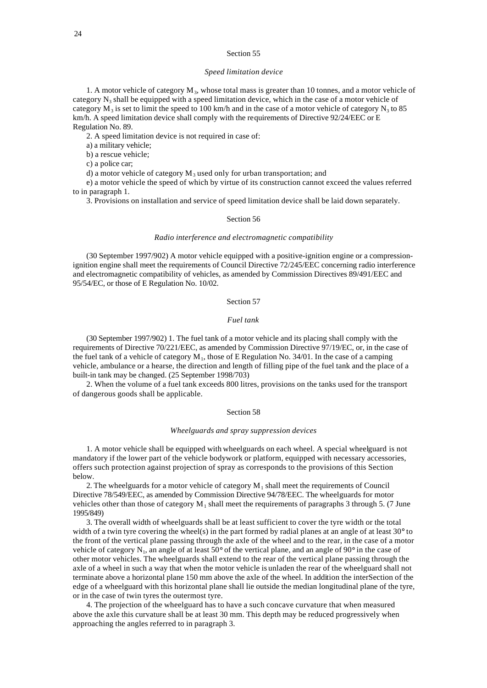#### *Speed limitation device*

1. A motor vehicle of category  $M_3$ , whose total mass is greater than 10 tonnes, and a motor vehicle of category  $N_3$  shall be equipped with a speed limitation device, which in the case of a motor vehicle of category  $M_3$  is set to limit the speed to 100 km/h and in the case of a motor vehicle of category  $N_3$  to 85 km/h. A speed limitation device shall comply with the requirements of Directive 92/24/EEC or E Regulation No. 89.

2. A speed limitation device is not required in case of:

a) a military vehicle;

b) a rescue vehicle;

c) a police car;

d) a motor vehicle of category  $M_3$  used only for urban transportation; and

e) a motor vehicle the speed of which by virtue of its construction cannot exceed the values referred to in paragraph 1.

3. Provisions on installation and service of speed limitation device shall be laid down separately.

# Section 56

## *Radio interference and electromagnetic compatibility*

(30 September 1997/902) A motor vehicle equipped with a positive-ignition engine or a compressionignition engine shall meet the requirements of Council Directive 72/245/EEC concerning radio interference and electromagnetic compatibility of vehicles, as amended by Commission Directives 89/491/EEC and 95/54/EC, or those of E Regulation No. 10/02.

Section 57

# *Fuel tank*

(30 September 1997/902) 1. The fuel tank of a motor vehicle and its placing shall comply with the requirements of Directive 70/221/EEC, as amended by Commission Directive 97/19/EC, or, in the case of the fuel tank of a vehicle of category  $M_1$ , those of E Regulation No. 34/01. In the case of a camping vehicle, ambulance or a hearse, the direction and length of filling pipe of the fuel tank and the place of a built-in tank may be changed. (25 September 1998/703)

2. When the volume of a fuel tank exceeds 800 litres, provisions on the tanks used for the transport of dangerous goods shall be applicable.

#### Section 58

#### *Wheelguards and spray suppression devices*

1. A motor vehicle shall be equipped with wheelguards on each wheel. A special wheelguard is not mandatory if the lower part of the vehicle bodywork or platform, equipped with necessary accessories, offers such protection against projection of spray as corresponds to the provisions of this Section below.

2. The wheelguards for a motor vehicle of category  $M_1$  shall meet the requirements of Council Directive 78/549/EEC, as amended by Commission Directive 94/78/EEC. The wheelguards for motor vehicles other than those of category  $M_1$  shall meet the requirements of paragraphs 3 through 5. (7 June 1995/849)

3. The overall width of wheelguards shall be at least sufficient to cover the tyre width or the total width of a twin tyre covering the wheel(s) in the part formed by radial planes at an angle of at least  $30^{\circ}$  to the front of the vertical plane passing through the axle of the wheel and to the rear, in the case of a motor vehicle of category N<sub>1</sub>, an angle of at least 50 $^{\circ}$  of the vertical plane, and an angle of 90 $^{\circ}$  in the case of other motor vehicles. The wheelguards shall extend to the rear of the vertical plane passing through the axle of a wheel in such a way that when the motor vehicle is unladen the rear of the wheelguard shall not terminate above a horizontal plane 150 mm above the axle of the wheel. In addition the interSection of the edge of a wheelguard with this horizontal plane shall lie outside the median longitudinal plane of the tyre, or in the case of twin tyres the outermost tyre.

4. The projection of the wheelguard has to have a such concave curvature that when measured above the axle this curvature shall be at least 30 mm. This depth may be reduced progressively when approaching the angles referred to in paragraph 3.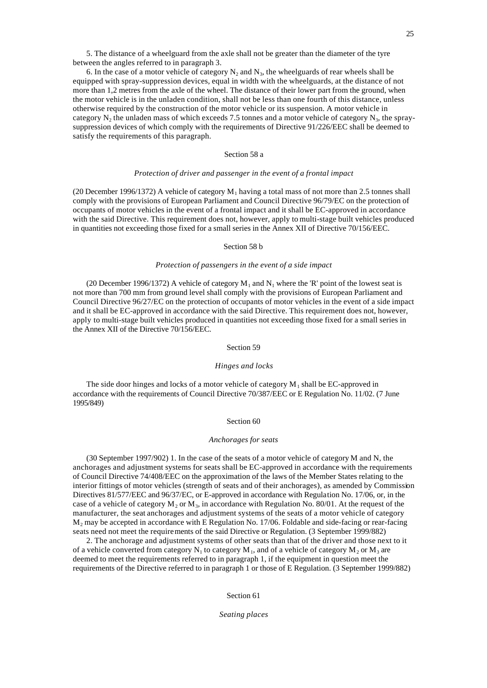5. The distance of a wheelguard from the axle shall not be greater than the diameter of the tyre between the angles referred to in paragraph 3.

6. In the case of a motor vehicle of category  $N_2$  and  $N_3$ , the wheelguards of rear wheels shall be equipped with spray-suppression devices, equal in width with the wheelguards, at the distance of not more than 1,2 metres from the axle of the wheel. The distance of their lower part from the ground, when the motor vehicle is in the unladen condition, shall not be less than one fourth of this distance, unless otherwise required by the construction of the motor vehicle or its suspension. A motor vehicle in category  $N_2$  the unladen mass of which exceeds 7.5 tonnes and a motor vehicle of category  $N_3$ , the spraysuppression devices of which comply with the requirements of Directive 91/226/EEC shall be deemed to satisfy the requirements of this paragraph.

# Section 58 a

## *Protection of driver and passenger in the event of a frontal impact*

(20 December 1996/1372) A vehicle of category  $M_1$  having a total mass of not more than 2.5 tonnes shall comply with the provisions of European Parliament and Council Directive 96/79/EC on the protection of occupants of motor vehicles in the event of a frontal impact and it shall be EC-approved in accordance with the said Directive. This requirement does not, however, apply to multi-stage built vehicles produced in quantities not exceeding those fixed for a small series in the Annex XII of Directive 70/156/EEC.

## Section 58 b

# *Protection of passengers in the event of a side impact*

(20 December 1996/1372) A vehicle of category  $M_1$  and  $N_1$  where the 'R' point of the lowest seat is not more than 700 mm from ground level shall comply with the provisions of European Parliament and Council Directive 96/27/EC on the protection of occupants of motor vehicles in the event of a side impact and it shall be EC-approved in accordance with the said Directive. This requirement does not, however, apply to multi-stage built vehicles produced in quantities not exceeding those fixed for a small series in the Annex XII of the Directive 70/156/EEC.

# Section 59

#### *Hinges and locks*

The side door hinges and locks of a motor vehicle of category  $M_1$  shall be EC-approved in accordance with the requirements of Council Directive 70/387/EEC or E Regulation No. 11/02. (7 June 1995/849)

#### Section 60

#### *Anchorages for seats*

(30 September 1997/902) 1. In the case of the seats of a motor vehicle of category M and N, the anchorages and adjustment systems for seats shall be EC-approved in accordance with the requirements of Council Directive 74/408/EEC on the approximation of the laws of the Member States relating to the interior fittings of motor vehicles (strength of seats and of their anchorages), as amended by Commission Directives 81/577/EEC and 96/37/EC, or E-approved in accordance with Regulation No. 17/06, or, in the case of a vehicle of category  $M_2$  or  $M_3$ , in accordance with Regulation No. 80/01. At the request of the manufacturer, the seat anchorages and adjustment systems of the seats of a motor vehicle of category M2 may be accepted in accordance with E Regulation No. 17/06. Foldable and side-facing or rear-facing seats need not meet the requirements of the said Directive or Regulation. (3 September 1999/882)

2. The anchorage and adjustment systems of other seats than that of the driver and those next to it of a vehicle converted from category  $N_1$  to category  $M_1$ , and of a vehicle of category  $M_2$  or  $M_3$  are deemed to meet the requirements referred to in paragraph 1, if the equipment in question meet the requirements of the Directive referred to in paragraph 1 or those of E Regulation. (3 September 1999/882)

Section 61

*Seating places*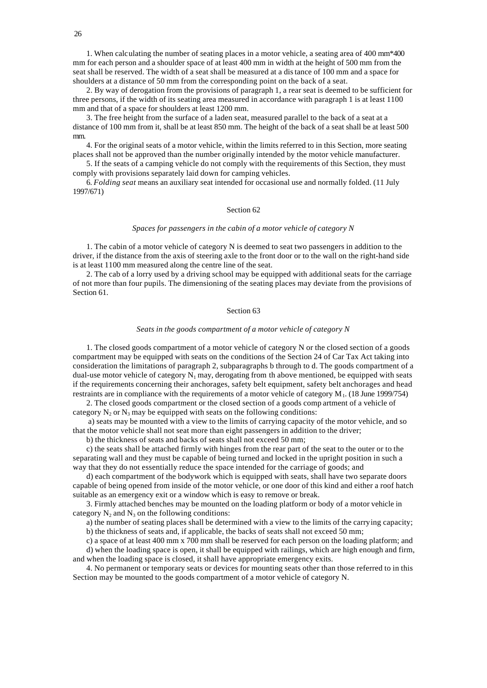1. When calculating the number of seating places in a motor vehicle, a seating area of 400 mm\*400 mm for each person and a shoulder space of at least 400 mm in width at the height of 500 mm from the seat shall be reserved. The width of a seat shall be measured at a distance of 100 mm and a space for shoulders at a distance of 50 mm from the corresponding point on the back of a seat.

2. By way of derogation from the provisions of paragraph 1, a rear seat is deemed to be sufficient for three persons, if the width of its seating area measured in accordance with paragraph 1 is at least 1100 mm and that of a space for shoulders at least 1200 mm.

3. The free height from the surface of a laden seat, measured parallel to the back of a seat at a distance of 100 mm from it, shall be at least 850 mm. The height of the back of a seat shall be at least 500 mm.

4. For the original seats of a motor vehicle, within the limits referred to in this Section, more seating places shall not be approved than the number originally intended by the motor vehicle manufacturer.

5. If the seats of a camping vehicle do not comply with the requirements of this Section, they must comply with provisions separately laid down for camping vehicles.

6. *Folding seat* means an auxiliary seat intended for occasional use and normally folded. (11 July 1997/671)

# Section 62

# *Spaces for passengers in the cabin of a motor vehicle of category N*

1. The cabin of a motor vehicle of category N is deemed to seat two passengers in addition to the driver, if the distance from the axis of steering axle to the front door or to the wall on the right-hand side is at least 1100 mm measured along the centre line of the seat.

2. The cab of a lorry used by a driving school may be equipped with additional seats for the carriage of not more than four pupils. The dimensioning of the seating places may deviate from the provisions of Section 61

### Section 63

#### *Seats in the goods compartment of a motor vehicle of category N*

1. The closed goods compartment of a motor vehicle of category N or the closed section of a goods compartment may be equipped with seats on the conditions of the Section 24 of Car Tax Act taking into consideration the limitations of paragraph 2, subparagraphs b through to d. The goods compartment of a dual-use motor vehicle of category  $N_1$  may, derogating from th above mentioned, be equipped with seats if the requirements concerning their anchorages, safety belt equipment, safety belt anchorages and head restraints are in compliance with the requirements of a motor vehicle of category M<sub>1</sub>. (18 June 1999/754)

2. The closed goods compartment or the closed section of a goods comp artment of a vehicle of category  $N_2$  or  $N_3$  may be equipped with seats on the following conditions:

 a) seats may be mounted with a view to the limits of carrying capacity of the motor vehicle, and so that the motor vehicle shall not seat more than eight passengers in addition to the driver;

b) the thickness of seats and backs of seats shall not exceed 50 mm;

c) the seats shall be attached firmly with hinges from the rear part of the seat to the outer or to the separating wall and they must be capable of being turned and locked in the upright position in such a way that they do not essentially reduce the space intended for the carriage of goods; and

d) each compartment of the bodywork which is equipped with seats, shall have two separate doors capable of being opened from inside of the motor vehicle, or one door of this kind and either a roof hatch suitable as an emergency exit or a window which is easy to remove or break.

3. Firmly attached benches may be mounted on the loading platform or body of a motor vehicle in category  $N_2$  and  $N_3$  on the following conditions:

a) the number of seating places shall be determined with a view to the limits of the carrying capacity;

b) the thickness of seats and, if applicable, the backs of seats shall not exceed 50 mm;

c) a space of at least 400 mm x 700 mm shall be reserved for each person on the loading platform; and d) when the loading space is open, it shall be equipped with railings, which are high enough and firm, and when the loading space is closed, it shall have appropriate emergency exits.

4. No permanent or temporary seats or devices for mounting seats other than those referred to in this Section may be mounted to the goods compartment of a motor vehicle of category N.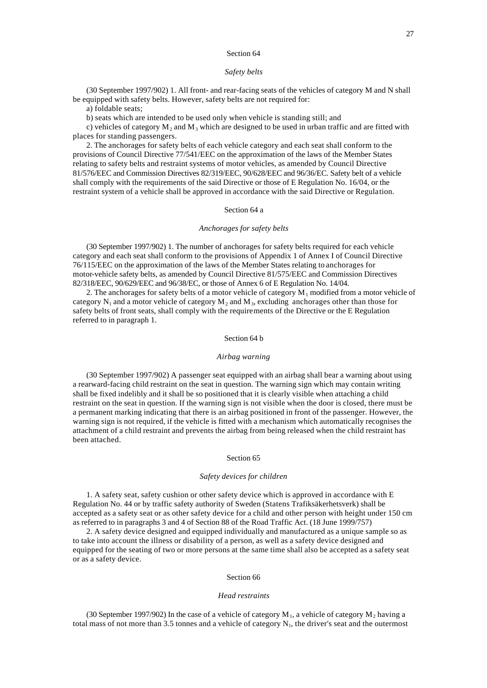## *Safety belts*

(30 September 1997/902) 1. All front- and rear-facing seats of the vehicles of category M and N shall be equipped with safety belts. However, safety belts are not required for:

a) foldable seats;

b) seats which are intended to be used only when vehicle is standing still; and

c) vehicles of category  $M_2$  and  $M_3$  which are designed to be used in urban traffic and are fitted with places for standing passengers.

2. The anchorages for safety belts of each vehicle category and each seat shall conform to the provisions of Council Directive 77/541/EEC on the approximation of the laws of the Member States relating to safety belts and restraint systems of motor vehicles, as amended by Council Directive 81/576/EEC and Commission Directives 82/319/EEC, 90/628/EEC and 96/36/EC. Safety belt of a vehicle shall comply with the requirements of the said Directive or those of E Regulation No. 16/04, or the restraint system of a vehicle shall be approved in accordance with the said Directive or Regulation.

## Section 64 a

# *Anchorages for safety belts*

(30 September 1997/902) 1. The number of anchorages for safety belts required for each vehicle category and each seat shall conform to the provisions of Appendix 1 of Annex I of Council Directive 76/115/EEC on the approximation of the laws of the Member States relating to anchorages for motor-vehicle safety belts, as amended by Council Directive 81/575/EEC and Commission Directives 82/318/EEC, 90/629/EEC and 96/38/EC, or those of Annex 6 of E Regulation No. 14/04.

2. The anchorages for safety belts of a motor vehicle of category  $M_1$  modified from a motor vehicle of category  $N_1$  and a motor vehicle of category  $M_2$  and  $M_3$ , excluding anchorages other than those for safety belts of front seats, shall comply with the requirements of the Directive or the E Regulation referred to in paragraph 1.

# Section 64 b

#### *Airbag warning*

(30 September 1997/902) A passenger seat equipped with an airbag shall bear a warning about using a rearward-facing child restraint on the seat in question. The warning sign which may contain writing shall be fixed indelibly and it shall be so positioned that it is clearly visible when attaching a child restraint on the seat in question. If the warning sign is not visible when the door is closed, there must be a permanent marking indicating that there is an airbag positioned in front of the passenger. However, the warning sign is not required, if the vehicle is fitted with a mechanism which automatically recognises the attachment of a child restraint and prevents the airbag from being released when the child restraint has been attached.

#### Section 65

### *Safety devices for children*

1. A safety seat, safety cushion or other safety device which is approved in accordance with E Regulation No. 44 or by traffic safety authority of Sweden (Statens Trafiksäkerhetsverk) shall be accepted as a safety seat or as other safety device for a child and other person with height under 150 cm as referred to in paragraphs 3 and 4 of Section 88 of the Road Traffic Act. (18 June 1999/757)

2. A safety device designed and equipped individually and manufactured as a unique sample so as to take into account the illness or disability of a person, as well as a safety device designed and equipped for the seating of two or more persons at the same time shall also be accepted as a safety seat or as a safety device.

### Section 66

## *Head restraints*

(30 September 1997/902) In the case of a vehicle of category  $M_1$ , a vehicle of category  $M_2$  having a total mass of not more than 3.5 tonnes and a vehicle of category  $N_1$ , the driver's seat and the outermost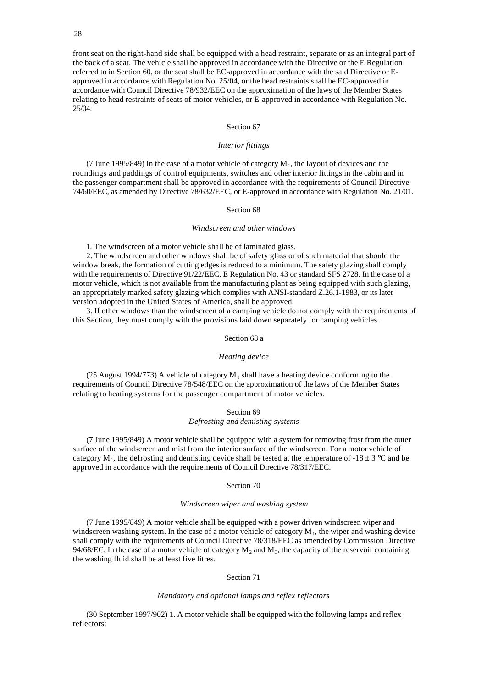front seat on the right-hand side shall be equipped with a head restraint, separate or as an integral part of the back of a seat. The vehicle shall be approved in accordance with the Directive or the E Regulation referred to in Section 60, or the seat shall be EC-approved in accordance with the said Directive or Eapproved in accordance with Regulation No. 25/04, or the head restraints shall be EC-approved in accordance with Council Directive 78/932/EEC on the approximation of the laws of the Member States relating to head restraints of seats of motor vehicles, or E-approved in accordance with Regulation No. 25/04.

### Section 67

### *Interior fittings*

(7 June 1995/849) In the case of a motor vehicle of category  $M_1$ , the layout of devices and the roundings and paddings of control equipments, switches and other interior fittings in the cabin and in the passenger compartment shall be approved in accordance with the requirements of Council Directive 74/60/EEC, as amended by Directive 78/632/EEC, or E-approved in accordance with Regulation No. 21/01.

### Section 68

# *Windscreen and other windows*

1. The windscreen of a motor vehicle shall be of laminated glass.

2. The windscreen and other windows shall be of safety glass or of such material that should the window break, the formation of cutting edges is reduced to a minimum. The safety glazing shall comply with the requirements of Directive 91/22/EEC, E Regulation No. 43 or standard SFS 2728. In the case of a motor vehicle, which is not available from the manufacturing plant as being equipped with such glazing, an appropriately marked safety glazing which complies with ANSI-standard Z.26.1-1983, or its later version adopted in the United States of America, shall be approved.

3. If other windows than the windscreen of a camping vehicle do not comply with the requirements of this Section, they must comply with the provisions laid down separately for camping vehicles.

# Section 68 a

## *Heating device*

(25 August 1994/773) A vehicle of category  $M_1$  shall have a heating device conforming to the requirements of Council Directive 78/548/EEC on the approximation of the laws of the Member States relating to heating systems for the passenger compartment of motor vehicles.

## Section 69 *Defrosting and demisting systems*

(7 June 1995/849) A motor vehicle shall be equipped with a system for removing frost from the outer surface of the windscreen and mist from the interior surface of the windscreen. For a motor vehicle of category M<sub>1</sub>, the defrosting and demisting device shall be tested at the temperature of -18  $\pm$  3 °C and be approved in accordance with the requirements of Council Directive 78/317/EEC.

## Section 70

# *Windscreen wiper and washing system*

(7 June 1995/849) A motor vehicle shall be equipped with a power driven windscreen wiper and windscreen washing system. In the case of a motor vehicle of category  $M_1$ , the wiper and washing device shall comply with the requirements of Council Directive 78/318/EEC as amended by Commission Directive 94/68/EC. In the case of a motor vehicle of category  $M_2$  and  $M_3$ , the capacity of the reservoir containing the washing fluid shall be at least five litres.

# Section 71

## *Mandatory and optional lamps and reflex reflectors*

(30 September 1997/902) 1. A motor vehicle shall be equipped with the following lamps and reflex reflectors: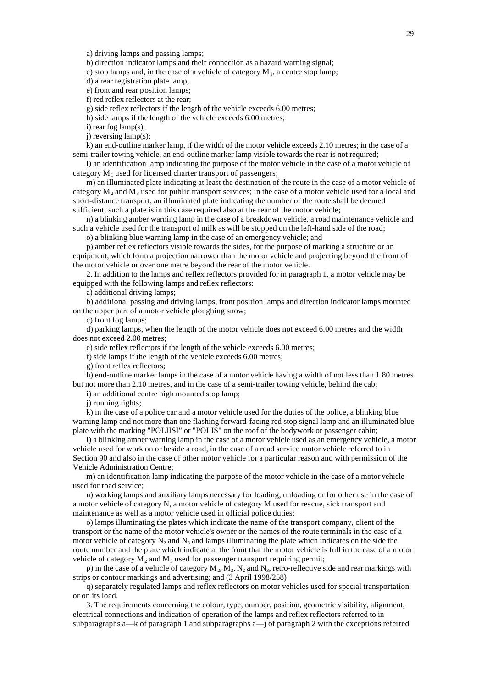a) driving lamps and passing lamps;

b) direction indicator lamps and their connection as a hazard warning signal;

c) stop lamps and, in the case of a vehicle of category  $M_1$ , a centre stop lamp;

d) a rear registration plate lamp;

e) front and rear position lamps;

f) red reflex reflectors at the rear;

g) side reflex reflectors if the length of the vehicle exceeds 6.00 metres;

h) side lamps if the length of the vehicle exceeds 6.00 metres;

i) rear fog lamp(s);

j) reversing lamp(s);

k) an end-outline marker lamp, if the width of the motor vehicle exceeds 2.10 metres; in the case of a semi-trailer towing vehicle, an end-outline marker lamp visible towards the rear is not required;

l) an identification lamp indicating the purpose of the motor vehicle in the case of a motor vehicle of category  $M_1$  used for licensed charter transport of passengers;

m) an illuminated plate indicating at least the destination of the route in the case of a motor vehicle of category  $M_2$  and  $M_3$  used for public transport services; in the case of a motor vehicle used for a local and short-distance transport, an illuminated plate indicating the number of the route shall be deemed sufficient; such a plate is in this case required also at the rear of the motor vehicle;

n) a blinking amber warning lamp in the case of a breakdown vehicle, a road maintenance vehicle and such a vehicle used for the transport of milk as will be stopped on the left-hand side of the road;

o) a blinking blue warning lamp in the case of an emergency vehicle; and

p) amber reflex reflectors visible towards the sides, for the purpose of marking a structure or an equipment, which form a projection narrower than the motor vehicle and projecting beyond the front of the motor vehicle or over one metre beyond the rear of the motor vehicle.

2. In addition to the lamps and reflex reflectors provided for in paragraph 1, a motor vehicle may be equipped with the following lamps and reflex reflectors:

a) additional driving lamps;

b) additional passing and driving lamps, front position lamps and direction indicator lamps mounted on the upper part of a motor vehicle ploughing snow;

c) front fog lamps;

d) parking lamps, when the length of the motor vehicle does not exceed 6.00 metres and the width does not exceed 2.00 metres;

e) side reflex reflectors if the length of the vehicle exceeds 6.00 metres;

f) side lamps if the length of the vehicle exceeds 6.00 metres;

g) front reflex reflectors;

h) end-outline marker lamps in the case of a motor vehicle having a width of not less than 1.80 metres but not more than 2.10 metres, and in the case of a semi-trailer towing vehicle, behind the cab;

i) an additional centre high mounted stop lamp;

j) running lights;

k) in the case of a police car and a motor vehicle used for the duties of the police, a blinking blue warning lamp and not more than one flashing forward-facing red stop signal lamp and an illuminated blue plate with the marking "POLIISI" or "POLIS" on the roof of the bodywork or passenger cabin;

l) a blinking amber warning lamp in the case of a motor vehicle used as an emergency vehicle, a motor vehicle used for work on or beside a road, in the case of a road service motor vehicle referred to in Section 90 and also in the case of other motor vehicle for a particular reason and with permission of the Vehicle Administration Centre;

m) an identification lamp indicating the purpose of the motor vehicle in the case of a motor vehicle used for road service;

n) working lamps and auxiliary lamps necessary for loading, unloading or for other use in the case of a motor vehicle of category N, a motor vehicle of category M used for rescue, sick transport and maintenance as well as a motor vehicle used in official police duties;

o) lamps illuminating the plates which indicate the name of the transport company, client of the transport or the name of the motor vehicle's owner or the names of the route terminals in the case of a motor vehicle of category  $N_2$  and  $N_3$  and lamps illuminating the plate which indicates on the side the route number and the plate which indicate at the front that the motor vehicle is full in the case of a motor vehicle of category  $M_2$  and  $M_3$  used for passenger transport requiring permit;

p) in the case of a vehicle of category  $M_2$ ,  $M_3$ ,  $N_2$  and  $N_3$ , retro-reflective side and rear markings with strips or contour markings and advertising; and (3 April 1998/258)

q) separately regulated lamps and reflex reflectors on motor vehicles used for special transportation or on its load.

3. The requirements concerning the colour, type, number, position, geometric visibility, alignment, electrical connections and indication of operation of the lamps and reflex reflectors referred to in subparagraphs a—k of paragraph 1 and subparagraphs a—j of paragraph 2 with the exceptions referred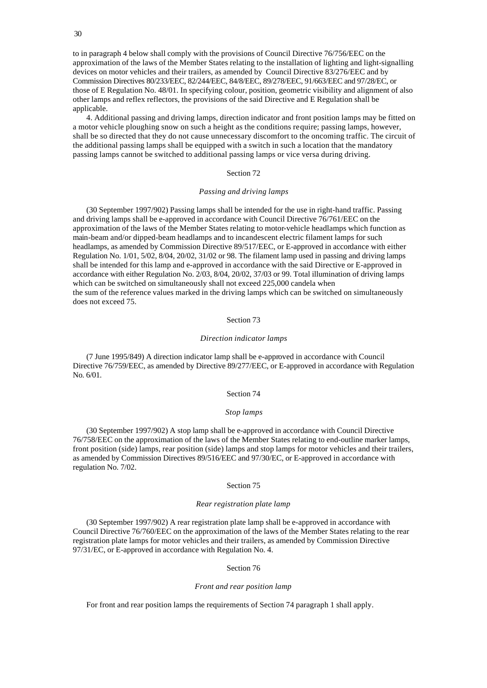to in paragraph 4 below shall comply with the provisions of Council Directive 76/756/EEC on the approximation of the laws of the Member States relating to the installation of lighting and light-signalling devices on motor vehicles and their trailers, as amended by Council Directive 83/276/EEC and by Commission Directives 80/233/EEC, 82/244/EEC, 84/8/EEC, 89/278/EEC, 91/663/EEC and 97/28/EC, or those of E Regulation No. 48/01. In specifying colour, position, geometric visibility and alignment of also other lamps and reflex reflectors, the provisions of the said Directive and E Regulation shall be applicable.

4. Additional passing and driving lamps, direction indicator and front position lamps may be fitted on a motor vehicle ploughing snow on such a height as the conditions require; passing lamps, however, shall be so directed that they do not cause unnecessary discomfort to the oncoming traffic. The circuit of the additional passing lamps shall be equipped with a switch in such a location that the mandatory passing lamps cannot be switched to additional passing lamps or vice versa during driving.

# Section 72

# *Passing and driving lamps*

(30 September 1997/902) Passing lamps shall be intended for the use in right-hand traffic. Passing and driving lamps shall be e-approved in accordance with Council Directive 76/761/EEC on the approximation of the laws of the Member States relating to motor-vehicle headlamps which function as main-beam and/or dipped-beam headlamps and to incandescent electric filament lamps for such headlamps, as amended by Commission Directive 89/517/EEC, or E-approved in accordance with either Regulation No. 1/01, 5/02, 8/04, 20/02, 31/02 or 98. The filament lamp used in passing and driving lamps shall be intended for this lamp and e-approved in accordance with the said Directive or E-approved in accordance with either Regulation No. 2/03, 8/04, 20/02, 37/03 or 99. Total illumination of driving lamps which can be switched on simultaneously shall not exceed 225,000 candela when the sum of the reference values marked in the driving lamps which can be switched on simultaneously does not exceed 75.

## Section 73

#### *Direction indicator lamps*

(7 June 1995/849) A direction indicator lamp shall be e-approved in accordance with Council Directive 76/759/EEC, as amended by Directive 89/277/EEC, or E-approved in accordance with Regulation No. 6/01.

### Section 74

## *Stop lamps*

(30 September 1997/902) A stop lamp shall be e-approved in accordance with Council Directive 76/758/EEC on the approximation of the laws of the Member States relating to end-outline marker lamps, front position (side) lamps, rear position (side) lamps and stop lamps for motor vehicles and their trailers, as amended by Commission Directives 89/516/EEC and 97/30/EC, or E-approved in accordance with regulation No. 7/02.

#### Section 75

# *Rear registration plate lamp*

(30 September 1997/902) A rear registration plate lamp shall be e-approved in accordance with Council Directive 76/760/EEC on the approximation of the laws of the Member States relating to the rear registration plate lamps for motor vehicles and their trailers, as amended by Commission Directive 97/31/EC, or E-approved in accordance with Regulation No. 4.

## Section 76

## *Front and rear position lamp*

For front and rear position lamps the requirements of Section 74 paragraph 1 shall apply.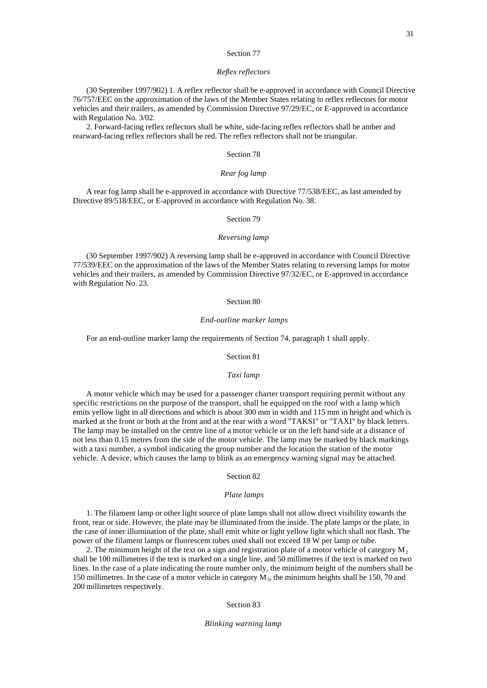#### *Reflex reflectors*

(30 September 1997/902) 1. A reflex reflector shall be e-approved in accordance with Council Directive 76/757/EEC on the approximation of the laws of the Member States relating to reflex reflectors for motor vehicles and their trailers, as amended by Commission Directive 97/29/EC, or E-approved in accordance with Regulation No. 3/02.

2. Forward-facing reflex reflectors shall be white, side-facing reflex reflectors shall be amber and rearward-facing reflex reflectors shall be red. The reflex reflectors shall not be triangular.

### Section 78

# *Rear fog lamp*

A rear fog lamp shall be e-approved in accordance with Directive 77/538/EEC, as last amended by Directive 89/518/EEC, or E-approved in accordance with Regulation No. 38.

# Section 79

### *Reversing lamp*

(30 September 1997/902) A reversing lamp shall be e-approved in accordance with Council Directive 77/539/EEC on the approximation of the laws of the Member States relating to reversing lamps for motor vehicles and their trailers, as amended by Commission Directive 97/32/EC, or E-approved in accordance with Regulation No. 23.

### Section 80

#### *End-outline marker lamps*

For an end-outline marker lamp the requirements of Section 74, paragraph 1 shall apply.

Section 81

#### *Taxi lamp*

A motor vehicle which may be used for a passenger charter transport requiring permit without any specific restrictions on the purpose of the transport, shall be equipped on the roof with a lamp which emits yellow light in all directions and which is about 300 mm in width and 115 mm in height and which is marked at the front or both at the front and at the rear with a word "TAKSI" or "TAXI" by black letters. The lamp may be installed on the centre line of a motor vehicle or on the left hand side at a distance of not less than 0.15 metres from the side of the motor vehicle. The lamp may be marked by black markings with a taxi number, a symbol indicating the group number and the location the station of the motor vehicle. A device, which causes the lamp to blink as an emergency warning signal may be attached.

### Section 82

### *Plate lamps*

1. The filament lamp or other light source of plate lamps shall not allow direct visibility towards the front, rear or side. However, the plate may be illuminated from the inside. The plate lamps or the plate, in the case of inner illumination of the plate, shall emit white or light yellow light which shall not flash. The power of the filament lamps or fluorescent tubes used shall not exceed 18 W per lamp or tube.

2. The minimum height of the text on a sign and registration plate of a motor vehicle of category  $M_2$ shall be 100 millimetres if the text is marked on a single line, and 50 millimetres if the text is marked on two lines. In the case of a plate indicating the route number only, the minimum height of the numbers shall be 150 millimetres. In the case of a motor vehicle in category  $M_3$ , the minimum heights shall be 150, 70 and 200 millimetres respectively.

# Section 83

# *Blinking warning lamp*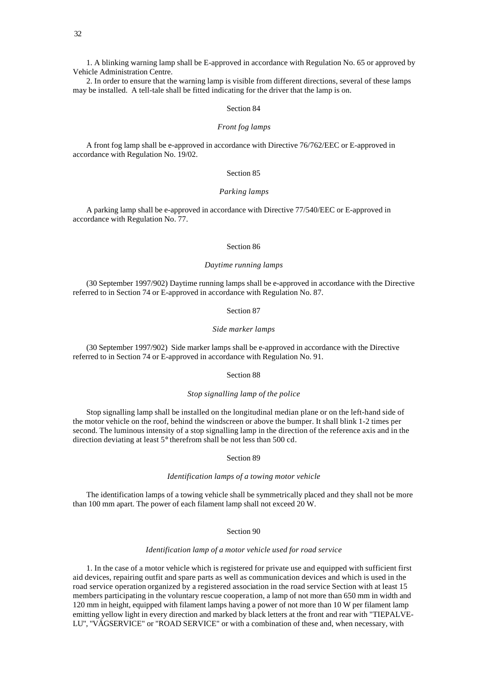1. A blinking warning lamp shall be E-approved in accordance with Regulation No. 65 or approved by Vehicle Administration Centre.

2. In order to ensure that the warning lamp is visible from different directions, several of these lamps may be installed. A tell-tale shall be fitted indicating for the driver that the lamp is on.

## Section 84

# *Front fog lamps*

A front fog lamp shall be e-approved in accordance with Directive 76/762/EEC or E-approved in accordance with Regulation No. 19/02.

# Section 85

# *Parking lamps*

A parking lamp shall be e-approved in accordance with Directive 77/540/EEC or E-approved in accordance with Regulation No. 77.

# Section 86

## *Daytime running lamps*

(30 September 1997/902) Daytime running lamps shall be e-approved in accordance with the Directive referred to in Section 74 or E-approved in accordance with Regulation No. 87.

Section 87

### *Side marker lamps*

(30 September 1997/902) Side marker lamps shall be e-approved in accordance with the Directive referred to in Section 74 or E-approved in accordance with Regulation No. 91.

# Section 88

# *Stop signalling lamp of the police*

Stop signalling lamp shall be installed on the longitudinal median plane or on the left-hand side of the motor vehicle on the roof, behind the windscreen or above the bumper. It shall blink 1-2 times per second. The luminous intensity of a stop signalling lamp in the direction of the reference axis and in the direction deviating at least 5° therefrom shall be not less than 500 cd.

Section 89

# *Identification lamps of a towing motor vehicle*

The identification lamps of a towing vehicle shall be symmetrically placed and they shall not be more than 100 mm apart. The power of each filament lamp shall not exceed 20 W.

Section 90

# *Identification lamp of a motor vehicle used for road service*

1. In the case of a motor vehicle which is registered for private use and equipped with sufficient first aid devices, repairing outfit and spare parts as well as communication devices and which is used in the road service operation organized by a registered association in the road service Section with at least 15 members participating in the voluntary rescue cooperation, a lamp of not more than 650 mm in width and 120 mm in height, equipped with filament lamps having a power of not more than 10 W per filament lamp emitting yellow light in every direction and marked by black letters at the front and rear with "TIEPALVE-LU", "VÄGSERVICE" or "ROAD SERVICE" or with a combination of these and, when necessary, with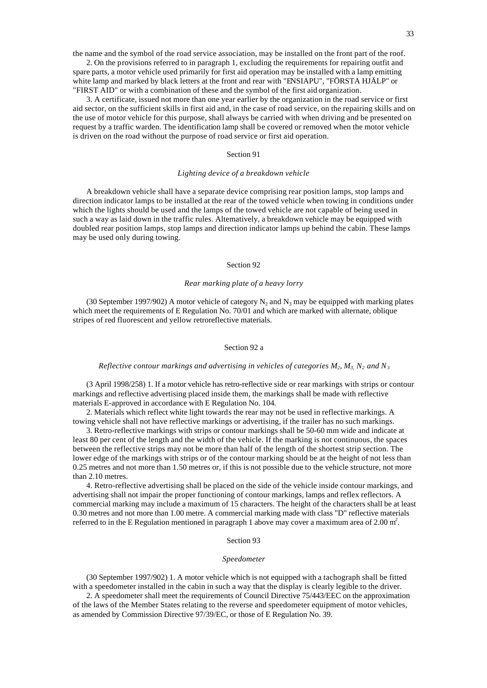the name and the symbol of the road service association, may be installed on the front part of the roof.

2. On the provisions referred to in paragraph 1, excluding the requirements for repairing outfit and spare parts, a motor vehicle used primarily for first aid operation may be installed with a lamp emitting white lamp and marked by black letters at the front and rear with "ENSIAPU", "FÖRSTA HJÄLP" or "FIRST AID" or with a combination of these and the symbol of the first aid organization.

3. A certificate, issued not more than one year earlier by the organization in the road service or first aid sector, on the sufficient skills in first aid and, in the case of road service, on the repairing skills and on the use of motor vehicle for this purpose, shall always be carried with when driving and be presented on request by a traffic warden. The identification lamp shall be covered or removed when the motor vehicle is driven on the road without the purpose of road service or first aid operation.

# Section 91

# *Lighting device of a breakdown vehicle*

A breakdown vehicle shall have a separate device comprising rear position lamps, stop lamps and direction indicator lamps to be installed at the rear of the towed vehicle when towing in conditions under which the lights should be used and the lamps of the towed vehicle are not capable of being used in such a way as laid down in the traffic rules. Alternatively, a breakdown vehicle may be equipped with doubled rear position lamps, stop lamps and direction indicator lamps up behind the cabin. These lamps may be used only during towing.

## Section 92

### *Rear marking plate of a heavy lorry*

(30 September 1997/902) A motor vehicle of category  $N_2$  and  $N_3$  may be equipped with marking plates which meet the requirements of E Regulation No. 70/01 and which are marked with alternate, oblique stripes of red fluorescent and yellow retroreflective materials.

### Section 92 a

#### *Reflective contour markings and advertising in vehicles of categories M2, M3, N2 and N<sup>3</sup>*

(3 April 1998/258) 1. If a motor vehicle has retro-reflective side or rear markings with strips or contour markings and reflective advertising placed inside them, the markings shall be made with reflective materials E-approved in accordance with E Regulation No. 104.

2. Materials which reflect white light towards the rear may not be used in reflective markings. A towing vehicle shall not have reflective markings or advertising, if the trailer has no such markings.

3. Retro-reflective markings with strips or contour markings shall be 50-60 mm wide and indicate at least 80 per cent of the length and the width of the vehicle. If the marking is not continuous, the spaces between the reflective strips may not be more than half of the length of the shortest strip section. The lower edge of the markings with strips or of the contour marking should be at the height of not less than 0.25 metres and not more than 1.50 metres or, if this is not possible due to the vehicle structure, not more than 2.10 metres.

4. Retro-reflective advertising shall be placed on the side of the vehicle inside contour markings, and advertising shall not impair the proper functioning of contour markings, lamps and reflex reflectors. A commercial marking may include a maximum of 15 characters. The height of the characters shall be at least 0.30 metres and not more than 1.00 metre. A commercial marking made with class "D" reflective materials referred to in the E Regulation mentioned in paragraph 1 above may cover a maximum area of 2.00  $m^2$ .

## Section 93

# *Speedometer*

(30 September 1997/902) 1. A motor vehicle which is not equipped with a tachograph shall be fitted with a speedometer installed in the cabin in such a way that the display is clearly legible to the driver.

2. A speedometer shall meet the requirements of Council Directive 75/443/EEC on the approximation of the laws of the Member States relating to the reverse and speedometer equipment of motor vehicles, as amended by Commission Directive 97/39/EC, or those of E Regulation No. 39.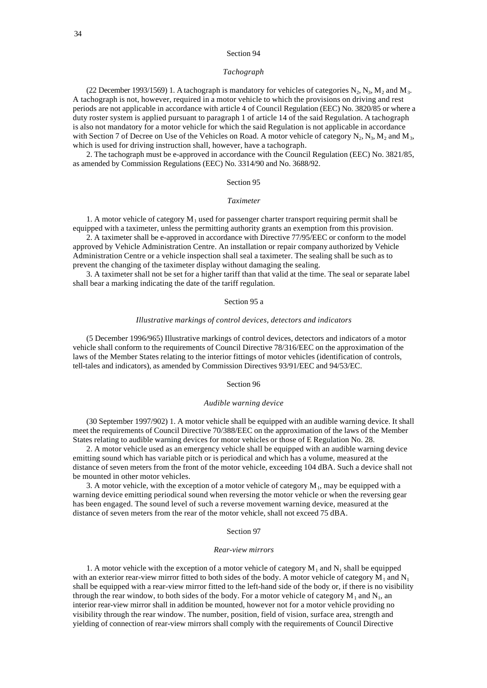# *Tachograph*

(22 December 1993/1569) 1. A tachograph is mandatory for vehicles of categories  $N_2$ ,  $N_3$ ,  $M_2$  and  $M_3$ . A tachograph is not, however, required in a motor vehicle to which the provisions on driving and rest periods are not applicable in accordance with article 4 of Council Regulation (EEC) No. 3820/85 or where a duty roster system is applied pursuant to paragraph 1 of article 14 of the said Regulation. A tachograph is also not mandatory for a motor vehicle for which the said Regulation is not applicable in accordance with Section 7 of Decree on Use of the Vehicles on Road. A motor vehicle of category  $N_2$ ,  $N_3$ ,  $M_2$  and  $M_3$ , which is used for driving instruction shall, however, have a tachograph.

2. The tachograph must be e-approved in accordance with the Council Regulation (EEC) No. 3821/85, as amended by Commission Regulations (EEC) No. 3314/90 and No. 3688/92.

# Section 95

### *Taximeter*

1. A motor vehicle of category  $M_1$  used for passenger charter transport requiring permit shall be equipped with a taximeter, unless the permitting authority grants an exemption from this provision.

2. A taximeter shall be e-approved in accordance with Directive 77/95/EEC or conform to the model approved by Vehicle Administration Centre. An installation or repair company authorized by Vehicle Administration Centre or a vehicle inspection shall seal a taximeter. The sealing shall be such as to prevent the changing of the taximeter display without damaging the sealing.

3. A taximeter shall not be set for a higher tariff than that valid at the time. The seal or separate label shall bear a marking indicating the date of the tariff regulation.

### Section 95 a

## *Illustrative markings of control devices, detectors and indicators*

(5 December 1996/965) Illustrative markings of control devices, detectors and indicators of a motor vehicle shall conform to the requirements of Council Directive 78/316/EEC on the approximation of the laws of the Member States relating to the interior fittings of motor vehicles (identification of controls, tell-tales and indicators), as amended by Commission Directives 93/91/EEC and 94/53/EC.

### Section 96

#### *Audible warning device*

(30 September 1997/902) 1. A motor vehicle shall be equipped with an audible warning device. It shall meet the requirements of Council Directive 70/388/EEC on the approximation of the laws of the Member States relating to audible warning devices for motor vehicles or those of E Regulation No. 28.

2. A motor vehicle used as an emergency vehicle shall be equipped with an audible warning device emitting sound which has variable pitch or is periodical and which has a volume, measured at the distance of seven meters from the front of the motor vehicle, exceeding 104 dBA. Such a device shall not be mounted in other motor vehicles.

3. A motor vehicle, with the exception of a motor vehicle of category  $M_1$ , may be equipped with a warning device emitting periodical sound when reversing the motor vehicle or when the reversing gear has been engaged. The sound level of such a reverse movement warning device, measured at the distance of seven meters from the rear of the motor vehicle, shall not exceed 75 dBA.

# Section 97

### *Rear-view mirrors*

1. A motor vehicle with the exception of a motor vehicle of category  $M_1$  and  $N_1$  shall be equipped with an exterior rear-view mirror fitted to both sides of the body. A motor vehicle of category  $M_1$  and  $N_1$ shall be equipped with a rear-view mirror fitted to the left-hand side of the body or, if there is no visibility through the rear window, to both sides of the body. For a motor vehicle of category  $M_1$  and  $N_1$ , an interior rear-view mirror shall in addition be mounted, however not for a motor vehicle providing no visibility through the rear window. The number, position, field of vision, surface area, strength and yielding of connection of rear-view mirrors shall comply with the requirements of Council Directive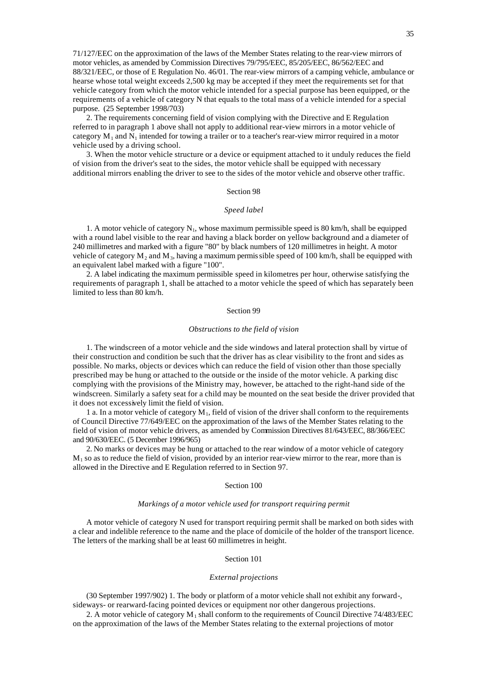71/127/EEC on the approximation of the laws of the Member States relating to the rear-view mirrors of motor vehicles, as amended by Commission Directives 79/795/EEC, 85/205/EEC, 86/562/EEC and 88/321/EEC, or those of E Regulation No. 46/01. The rear-view mirrors of a camping vehicle, ambulance or hearse whose total weight exceeds 2,500 kg may be accepted if they meet the requirements set for that vehicle category from which the motor vehicle intended for a special purpose has been equipped, or the requirements of a vehicle of category N that equals to the total mass of a vehicle intended for a special purpose. (25 September 1998/703)

2. The requirements concerning field of vision complying with the Directive and E Regulation referred to in paragraph 1 above shall not apply to additional rear-view mirrors in a motor vehicle of category  $M_1$  and  $N_1$  intended for towing a trailer or to a teacher's rear-view mirror required in a motor vehicle used by a driving school.

3. When the motor vehicle structure or a device or equipment attached to it unduly reduces the field of vision from the driver's seat to the sides, the motor vehicle shall be equipped with necessary additional mirrors enabling the driver to see to the sides of the motor vehicle and observe other traffic.

### Section 98

# *Speed label*

1. A motor vehicle of category  $N_1$ , whose maximum permissible speed is 80 km/h, shall be equipped with a round label visible to the rear and having a black border on yellow background and a diameter of 240 millimetres and marked with a figure "80" by black numbers of 120 millimetres in height. A motor vehicle of category  $M_2$  and  $M_3$ , having a maximum permis sible speed of 100 km/h, shall be equipped with an equivalent label marked with a figure "100".

2. A label indicating the maximum permissible speed in kilometres per hour, otherwise satisfying the requirements of paragraph 1, shall be attached to a motor vehicle the speed of which has separately been limited to less than 80 km/h.

### Section 99

### *Obstructions to the field of vision*

1. The windscreen of a motor vehicle and the side windows and lateral protection shall by virtue of their construction and condition be such that the driver has as clear visibility to the front and sides as possible. No marks, objects or devices which can reduce the field of vision other than those specially prescribed may be hung or attached to the outside or the inside of the motor vehicle. A parking disc complying with the provisions of the Ministry may, however, be attached to the right-hand side of the windscreen. Similarly a safety seat for a child may be mounted on the seat beside the driver provided that it does not excessively limit the field of vision.

1 a. In a motor vehicle of category  $M_1$ , field of vision of the driver shall conform to the requirements of Council Directive 77/649/EEC on the approximation of the laws of the Member States relating to the field of vision of motor vehicle drivers, as amended by Commission Directives 81/643/EEC, 88/366/EEC and 90/630/EEC. (5 December 1996/965)

2. No marks or devices may be hung or attached to the rear window of a motor vehicle of category  $M<sub>1</sub>$  so as to reduce the field of vision, provided by an interior rear-view mirror to the rear, more than is allowed in the Directive and E Regulation referred to in Section 97.

### Section 100

# *Markings of a motor vehicle used for transport requiring permit*

A motor vehicle of category N used for transport requiring permit shall be marked on both sides with a clear and indelible reference to the name and the place of domicile of the holder of the transport licence. The letters of the marking shall be at least 60 millimetres in height.

## Section 101

#### *External projections*

(30 September 1997/902) 1. The body or platform of a motor vehicle shall not exhibit any forward-, sideways- or rearward-facing pointed devices or equipment nor other dangerous projections.

2. A motor vehicle of category  $M_1$  shall conform to the requirements of Council Directive 74/483/EEC on the approximation of the laws of the Member States relating to the external projections of motor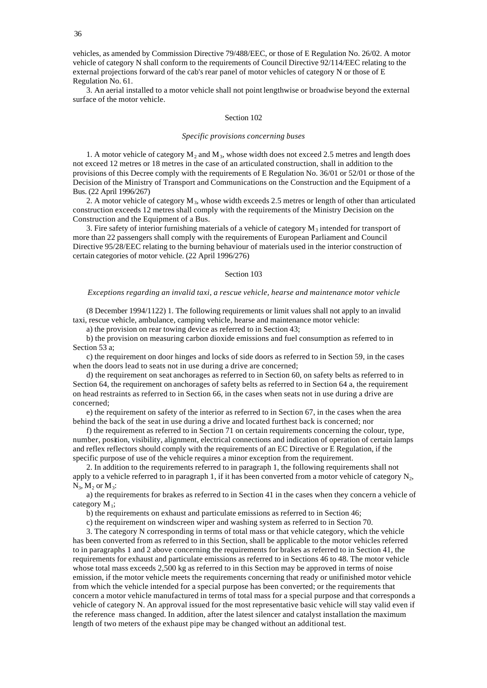vehicles, as amended by Commission Directive 79/488/EEC, or those of E Regulation No. 26/02. A motor vehicle of category N shall conform to the requirements of Council Directive 92/114/EEC relating to the external projections forward of the cab's rear panel of motor vehicles of category N or those of E Regulation No. 61.

3. An aerial installed to a motor vehicle shall not point lengthwise or broadwise beyond the external surface of the motor vehicle.

# Section 102

#### *Specific provisions concerning buses*

1. A motor vehicle of category  $M_2$  and  $M_3$ , whose width does not exceed 2.5 metres and length does not exceed 12 metres or 18 metres in the case of an articulated construction, shall in addition to the provisions of this Decree comply with the requirements of E Regulation No. 36/01 or 52/01 or those of the Decision of the Ministry of Transport and Communications on the Construction and the Equipment of a Bus. (22 April 1996/267)

2. A motor vehicle of category  $M_3$ , whose width exceeds 2.5 metres or length of other than articulated construction exceeds 12 metres shall comply with the requirements of the Ministry Decision on the Construction and the Equipment of a Bus.

3. Fire safety of interior furnishing materials of a vehicle of category  $M_3$  intended for transport of more than 22 passengers shall comply with the requirements of European Parliament and Council Directive 95/28/EEC relating to the burning behaviour of materials used in the interior construction of certain categories of motor vehicle. (22 April 1996/276)

### Section 103

# *Exceptions regarding an invalid taxi, a rescue vehicle, hearse and maintenance motor vehicle*

(8 December 1994/1122) 1. The following requirements or limit values shall not apply to an invalid taxi, rescue vehicle, ambulance, camping vehicle, hearse and maintenance motor vehicle:

a) the provision on rear towing device as referred to in Section 43;

b) the provision on measuring carbon dioxide emissions and fuel consumption as referred to in Section 53 a;

c) the requirement on door hinges and locks of side doors as referred to in Section 59, in the cases when the doors lead to seats not in use during a drive are concerned;

d) the requirement on seat anchorages as referred to in Section 60, on safety belts as referred to in Section 64, the requirement on anchorages of safety belts as referred to in Section 64 a, the requirement on head restraints as referred to in Section 66, in the cases when seats not in use during a drive are concerned;

e) the requirement on safety of the interior as referred to in Section 67, in the cases when the area behind the back of the seat in use during a drive and located furthest back is concerned; nor

f) the requirement as referred to in Section 71 on certain requirements concerning the colour, type, number, position, visibility, alignment, electrical connections and indication of operation of certain lamps and reflex reflectors should comply with the requirements of an EC Directive or E Regulation, if the specific purpose of use of the vehicle requires a minor exception from the requirement.

2. In addition to the requirements referred to in paragraph 1, the following requirements shall not apply to a vehicle referred to in paragraph 1, if it has been converted from a motor vehicle of category  $N_2$ ,  $N_3$ ,  $M_2$  or  $M_3$ :

a) the requirements for brakes as referred to in Section 41 in the cases when they concern a vehicle of category  $M_1$ ;

b) the requirements on exhaust and particulate emissions as referred to in Section 46;

c) the requirement on windscreen wiper and washing system as referred to in Section 70.

3. The category N corresponding in terms of total mass or that vehicle category, which the vehicle has been converted from as referred to in this Section, shall be applicable to the motor vehicles referred to in paragraphs 1 and 2 above concerning the requirements for brakes as referred to in Section 41, the requirements for exhaust and particulate emissions as referred to in Sections 46 to 48. The motor vehicle whose total mass exceeds 2,500 kg as referred to in this Section may be approved in terms of noise emission, if the motor vehicle meets the requirements concerning that ready or unifinished motor vehicle from which the vehicle intended for a special purpose has been converted; or the requirements that concern a motor vehicle manufactured in terms of total mass for a special purpose and that corresponds a vehicle of category N. An approval issued for the most representative basic vehicle will stay valid even if the reference mass changed. In addition, after the latest silencer and catalyst installation the maximum length of two meters of the exhaust pipe may be changed without an additional test.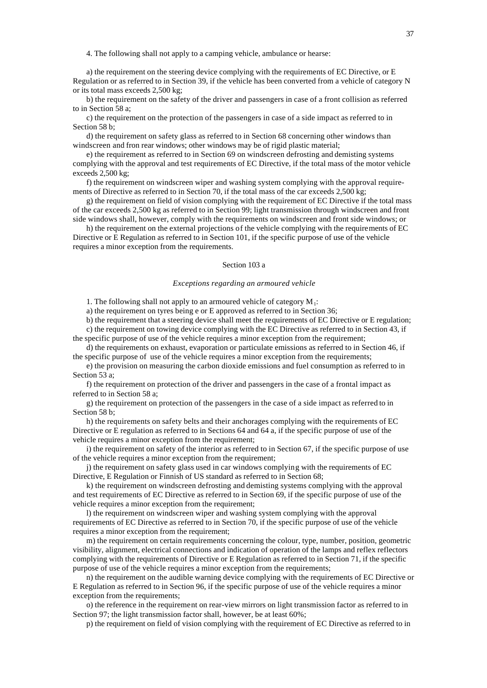4. The following shall not apply to a camping vehicle, ambulance or hearse:

a) the requirement on the steering device complying with the requirements of EC Directive, or E Regulation or as referred to in Section 39, if the vehicle has been converted from a vehicle of category N or its total mass exceeds 2,500 kg;

b) the requirement on the safety of the driver and passengers in case of a front collision as referred to in Section 58 a;

c) the requirement on the protection of the passengers in case of a side impact as referred to in Section 58 b;

d) the requirement on safety glass as referred to in Section 68 concerning other windows than windscreen and fron rear windows; other windows may be of rigid plastic material;

e) the requirement as referred to in Section 69 on windscreen defrosting and demisting systems complying with the approval and test requirements of EC Directive, if the total mass of the motor vehicle exceeds 2,500 kg;

f) the requirement on windscreen wiper and washing system complying with the approval requirements of Directive as referred to in Section 70, if the total mass of the car exceeds 2,500 kg;

g) the requirement on field of vision complying with the requirement of EC Directive if the total mass of the car exceeds 2,500 kg as referred to in Section 99; light transmission through windscreen and front side windows shall, however, comply with the requirements on windscreen and front side windows; or

h) the requirement on the external projections of the vehicle complying with the requirements of EC Directive or E Regulation as referred to in Section 101, if the specific purpose of use of the vehicle requires a minor exception from the requirements.

# Section 103 a

#### *Exceptions regarding an armoured vehicle*

1. The following shall not apply to an armoured vehicle of category  $M_1$ :

a) the requirement on tyres being e or E approved as referred to in Section 36;

b) the requirement that a steering device shall meet the requirements of EC Directive or E regulation;

c) the requirement on towing device complying with the EC Directive as referred to in Section 43, if the specific purpose of use of the vehicle requires a minor exception from the requirement;

d) the requirements on exhaust, evaporation or particulate emissions as referred to in Section 46, if the specific purpose of use of the vehicle requires a minor exception from the requirements;

e) the provision on measuring the carbon dioxide emissions and fuel consumption as referred to in Section 53 a;

f) the requirement on protection of the driver and passengers in the case of a frontal impact as referred to in Section 58 a;

g) the requirement on protection of the passengers in the case of a side impact as referred to in Section 58 b;

h) the requirements on safety belts and their anchorages complying with the requirements of EC Directive or E regulation as referred to in Sections 64 and 64 a, if the specific purpose of use of the vehicle requires a minor exception from the requirement;

i) the requirement on safety of the interior as referred to in Section 67, if the specific purpose of use of the vehicle requires a minor exception from the requirement;

j) the requirement on safety glass used in car windows complying with the requirements of EC Directive, E Regulation or Finnish of US standard as referred to in Section 68;

k) the requirement on windscreen defrosting and demisting systems complying with the approval and test requirements of EC Directive as referred to in Section 69, if the specific purpose of use of the vehicle requires a minor exception from the requirement;

l) the requirement on windscreen wiper and washing system complying with the approval requirements of EC Directive as referred to in Section 70, if the specific purpose of use of the vehicle requires a minor exception from the requirement;

m) the requirement on certain requirements concerning the colour, type, number, position, geometric visibility, alignment, electrical connections and indication of operation of the lamps and reflex reflectors complying with the requirements of Directive or E Regulation as referred to in Section 71, if the specific purpose of use of the vehicle requires a minor exception from the requirements;

n) the requirement on the audible warning device complying with the requirements of EC Directive or E Regulation as referred to in Section 96, if the specific purpose of use of the vehicle requires a minor exception from the requirements;

o) the reference in the requirement on rear-view mirrors on light transmission factor as referred to in Section 97; the light transmission factor shall, however, be at least 60%;

p) the requirement on field of vision complying with the requirement of EC Directive as referred to in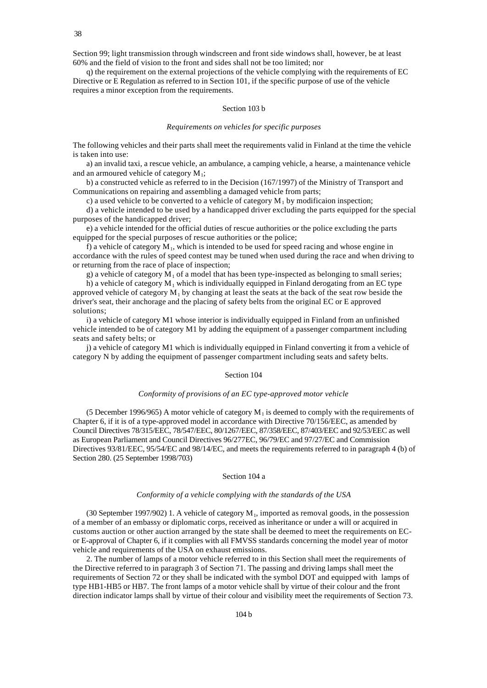Section 99; light transmission through windscreen and front side windows shall, however, be at least 60% and the field of vision to the front and sides shall not be too limited; nor

q) the requirement on the external projections of the vehicle complying with the requirements of EC Directive or E Regulation as referred to in Section 101, if the specific purpose of use of the vehicle requires a minor exception from the requirements.

# Section 103 b

#### *Requirements on vehicles for specific purposes*

The following vehicles and their parts shall meet the requirements valid in Finland at the time the vehicle is taken into use:

a) an invalid taxi, a rescue vehicle, an ambulance, a camping vehicle, a hearse, a maintenance vehicle and an armoured vehicle of category  $M_1$ ;

b) a constructed vehicle as referred to in the Decision (167/1997) of the Ministry of Transport and Communications on repairing and assembling a damaged vehicle from parts;

c) a used vehicle to be converted to a vehicle of category  $M_1$  by modificaion inspection;

d) a vehicle intended to be used by a handicapped driver excluding the parts equipped for the special purposes of the handicapped driver;

e) a vehicle intended for the official duties of rescue authorities or the police excluding the parts equipped for the special purposes of rescue authorities or the police;

f) a vehicle of category  $M_1$ , which is intended to be used for speed racing and whose engine in accordance with the rules of speed contest may be tuned when used during the race and when driving to or returning from the race of place of inspection;

g) a vehicle of category  $M_1$  of a model that has been type-inspected as belonging to small series;

h) a vehicle of category  $M_1$ , which is individually equipped in Finland derogating from an EC type approved vehicle of category  $M_1$  by changing at least the seats at the back of the seat row beside the driver's seat, their anchorage and the placing of safety belts from the original EC or E approved solutions;

i) a vehicle of category M1 whose interior is individually equipped in Finland from an unfinished vehicle intended to be of category M1 by adding the equipment of a passenger compartment including seats and safety belts; or

j) a vehicle of category M1 which is individually equipped in Finland converting it from a vehicle of category N by adding the equipment of passenger compartment including seats and safety belts.

## Section 104

#### *Conformity of provisions of an EC type-approved motor vehicle*

(5 December 1996/965) A motor vehicle of category  $M_1$  is deemed to comply with the requirements of Chapter 6, if it is of a type-approved model in accordance with Directive 70/156/EEC, as amended by Council Directives 78/315/EEC, 78/547/EEC, 80/1267/EEC, 87/358/EEC, 87/403/EEC and 92/53/EEC as well as European Parliament and Council Directives 96/277EC, 96/79/EC and 97/27/EC and Commission Directives 93/81/EEC, 95/54/EC and 98/14/EC, and meets the requirements referred to in paragraph 4 (b) of Section 280. (25 September 1998/703)

## Section 104 a

#### *Conformity of a vehicle complying with the standards of the USA*

(30 September 1997/902) 1. A vehicle of category  $M_1$ , imported as removal goods, in the possession of a member of an embassy or diplomatic corps, received as inheritance or under a will or acquired in customs auction or other auction arranged by the state shall be deemed to meet the requirements on ECor E-approval of Chapter 6, if it complies with all FMVSS standards concerning the model year of motor vehicle and requirements of the USA on exhaust emissions.

2. The number of lamps of a motor vehicle referred to in this Section shall meet the requirements of the Directive referred to in paragraph 3 of Section 71. The passing and driving lamps shall meet the requirements of Section 72 or they shall be indicated with the symbol DOT and equipped with lamps of type HB1-HB5 or HB7. The front lamps of a motor vehicle shall by virtue of their colour and the front direction indicator lamps shall by virtue of their colour and visibility meet the requirements of Section 73.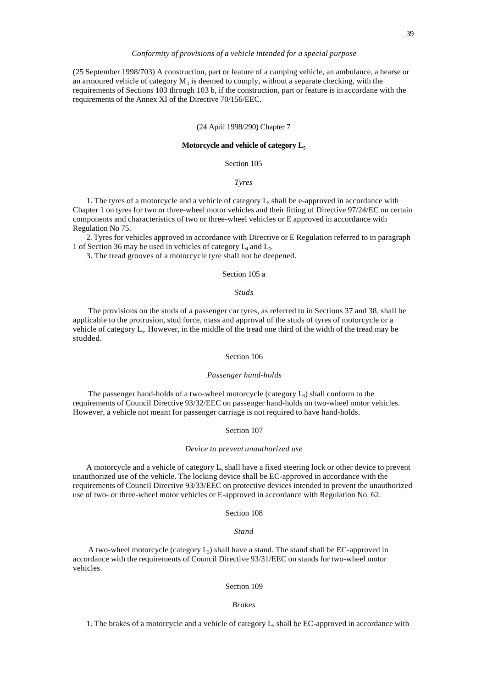(25 September 1998/703) A construction, part or feature of a camping vehicle, an ambulance, a hearse or an armoured vehicle of category  $M_1$  is deemed to comply, without a separate checking, with the requirements of Sections 103 through 103 b, if the construction, part or feature is in accordane with the requirements of the Annex XI of the Directive 70/156/EEC.

## (24 April 1998/290) Chapter 7

#### **Motorcycle and vehicle of category L<sup>5</sup>**

# Section 105

## *Tyres*

1. The tyres of a motorcycle and a vehicle of category  $L_5$  shall be e-approved in accordance with Chapter 1 on tyres for two or three-wheel motor vehicles and their fitting of Directive 97/24/EC on certain components and characteristics of two or three-wheel vehicles or E approved in accordance with Regulation No 75.

2. Tyres for vehicles approved in accordance with Directive or E Regulation referred to in paragraph 1 of Section 36 may be used in vehicles of category  $L_4$  and  $L_5$ .

3. The tread grooves of a motorcycle tyre shall not be deepened.

# Section 105 a

# *Studs*

 The provisions on the studs of a passenger car tyres, as referred to in Sections 37 and 38, shall be applicable to the protrusion, stud force, mass and approval of the studs of tyres of motorcycle or a vehicle of category  $L_5$ . However, in the middle of the tread one third of the width of the tread may be studded.

#### Section 106

#### *Passenger hand-holds*

The passenger hand-holds of a two-wheel motorcycle (category  $L_3$ ) shall conform to the requirements of Council Directive 93/32/EEC on passenger hand-holds on two-wheel motor vehicles. However, a vehicle not meant for passenger carriage is not required to have hand-holds.

Section 107

#### *Device to prevent unauthorized use*

A motorcycle and a vehicle of category  $L_5$  shall have a fixed steering lock or other device to prevent unauthorized use of the vehicle. The locking device shall be EC-approved in accordance with the requirements of Council Directive 93/33/EEC on protective devices intended to prevent the unauthorized use of two- or three-wheel motor vehicles or E-approved in accordance with Regulation No. 62.

Section 108

## *Stand*

A two-wheel motorcycle (category  $L_3$ ) shall have a stand. The stand shall be EC-approved in accordance with the requirements of Council Directive 93/31/EEC on stands for two-wheel motor vehicles.

## Section 109

#### *Brakes*

1. The brakes of a motorcycle and a vehicle of category  $L_5$  shall be EC-approved in accordance with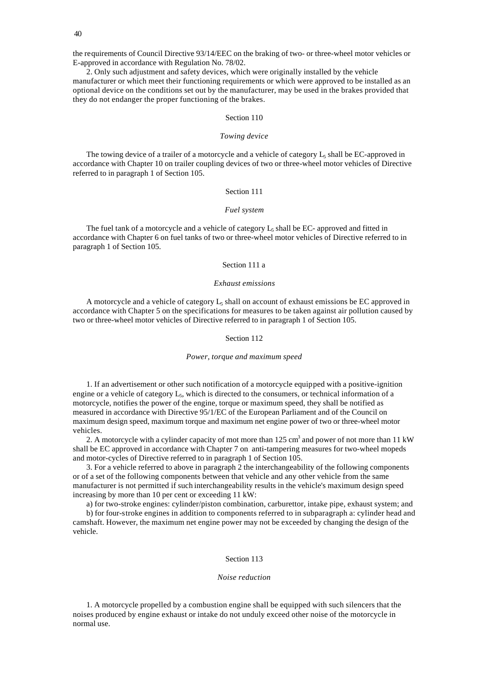the requirements of Council Directive 93/14/EEC on the braking of two- or three-wheel motor vehicles or E-approved in accordance with Regulation No. 78/02.

2. Only such adjustment and safety devices, which were originally installed by the vehicle manufacturer or which meet their functioning requirements or which were approved to be installed as an optional device on the conditions set out by the manufacturer, may be used in the brakes provided that they do not endanger the proper functioning of the brakes.

# Section 110

## *Towing device*

The towing device of a trailer of a motorcycle and a vehicle of category  $L_5$  shall be EC-approved in accordance with Chapter 10 on trailer coupling devices of two or three-wheel motor vehicles of Directive referred to in paragraph 1 of Section 105.

# Section 111

## *Fuel system*

The fuel tank of a motorcycle and a vehicle of category  $L_5$  shall be EC- approved and fitted in accordance with Chapter 6 on fuel tanks of two or three-wheel motor vehicles of Directive referred to in paragraph 1 of Section 105.

## Section 111 a

#### *Exhaust emissions*

A motorcycle and a vehicle of category  $L_5$  shall on account of exhaust emissions be EC approved in accordance with Chapter 5 on the specifications for measures to be taken against air pollution caused by two or three-wheel motor vehicles of Directive referred to in paragraph 1 of Section 105.

#### Section 112

#### *Power, torque and maximum speed*

1. If an advertisement or other such notification of a motorcycle equipped with a positive-ignition engine or a vehicle of category  $L_5$ , which is directed to the consumers, or technical information of a motorcycle, notifies the power of the engine, torque or maximum speed, they shall be notified as measured in accordance with Directive 95/1/EC of the European Parliament and of the Council on maximum design speed, maximum torque and maximum net engine power of two or three-wheel motor vehicles.

2. A motorcycle with a cylinder capacity of mot more than  $125 \text{ cm}^3$  and power of not more than 11 kW shall be EC approved in accordance with Chapter 7 on anti-tampering measures for two-wheel mopeds and motor-cycles of Directive referred to in paragraph 1 of Section 105.

3. For a vehicle referred to above in paragraph 2 the interchangeability of the following components or of a set of the following components between that vehicle and any other vehicle from the same manufacturer is not permitted if such interchangeability results in the vehicle's maximum design speed increasing by more than 10 per cent or exceeding 11 kW:

a) for two-stroke engines: cylinder/piston combination, carburettor, intake pipe, exhaust system; and

b) for four-stroke engines in addition to components referred to in subparagraph a: cylinder head and camshaft. However, the maximum net engine power may not be exceeded by changing the design of the vehicle.

# Section 113

#### *Noise reduction*

1. A motorcycle propelled by a combustion engine shall be equipped with such silencers that the noises produced by engine exhaust or intake do not unduly exceed other noise of the motorcycle in normal use.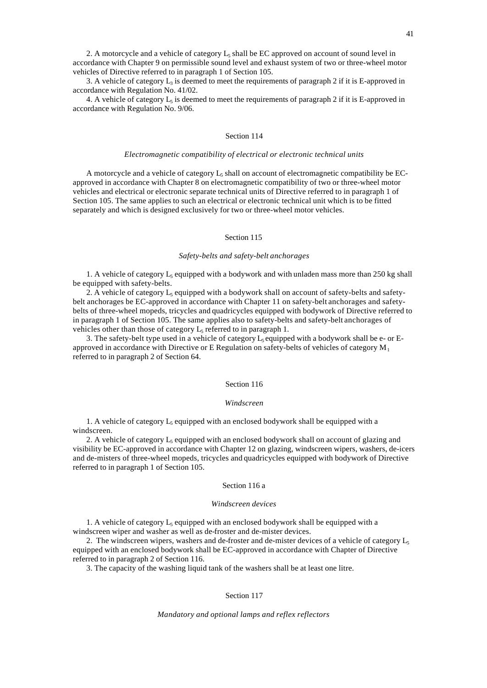2. A motorcycle and a vehicle of category  $L_5$  shall be EC approved on account of sound level in accordance with Chapter 9 on permissible sound level and exhaust system of two or three-wheel motor vehicles of Directive referred to in paragraph 1 of Section 105.

3. A vehicle of category  $L_3$  is deemed to meet the requirements of paragraph 2 if it is E-approved in accordance with Regulation No. 41/02.

4. A vehicle of category  $L_5$  is deemed to meet the requirements of paragraph 2 if it is E-approved in accordance with Regulation No. 9/06.

# Section 114

#### *Electromagnetic compatibility of electrical or electronic technical units*

A motorcycle and a vehicle of category  $L_5$  shall on account of electromagnetic compatibility be ECapproved in accordance with Chapter 8 on electromagnetic compatibility of two or three-wheel motor vehicles and electrical or electronic separate technical units of Directive referred to in paragraph 1 of Section 105. The same applies to such an electrical or electronic technical unit which is to be fitted separately and which is designed exclusively for two or three-wheel motor vehicles.

# Section 115

## *Safety-belts and safety-belt anchorages*

1. A vehicle of category  $L_5$  equipped with a bodywork and with unladen mass more than 250 kg shall be equipped with safety-belts.

2. A vehicle of category  $L_5$  equipped with a bodywork shall on account of safety-belts and safetybelt anchorages be EC-approved in accordance with Chapter 11 on safety-belt anchorages and safetybelts of three-wheel mopeds, tricycles and quadricycles equipped with bodywork of Directive referred to in paragraph 1 of Section 105. The same applies also to safety-belts and safety-belt anchorages of vehicles other than those of category  $L_5$  referred to in paragraph 1.

3. The safety-belt type used in a vehicle of category  $L_5$  equipped with a bodywork shall be e- or Eapproved in accordance with Directive or E Regulation on safety-belts of vehicles of category  $M_1$ referred to in paragraph 2 of Section 64.

## Section 116

#### *Windscreen*

1. A vehicle of category  $L_5$  equipped with an enclosed bodywork shall be equipped with a windscreen.

2. A vehicle of category  $L_5$  equipped with an enclosed bodywork shall on account of glazing and visibility be EC-approved in accordance with Chapter 12 on glazing, windscreen wipers, washers, de-icers and de-misters of three-wheel mopeds, tricycles and quadricycles equipped with bodywork of Directive referred to in paragraph 1 of Section 105.

#### Section 116 a

# *Windscreen devices*

1. A vehicle of category  $L_5$  equipped with an enclosed bodywork shall be equipped with a windscreen wiper and washer as well as de-froster and de-mister devices.

2. The windscreen wipers, washers and de-froster and de-mister devices of a vehicle of category  $L_5$ equipped with an enclosed bodywork shall be EC-approved in accordance with Chapter of Directive referred to in paragraph 2 of Section 116.

3. The capacity of the washing liquid tank of the washers shall be at least one litre.

#### Section 117

#### *Mandatory and optional lamps and reflex reflectors*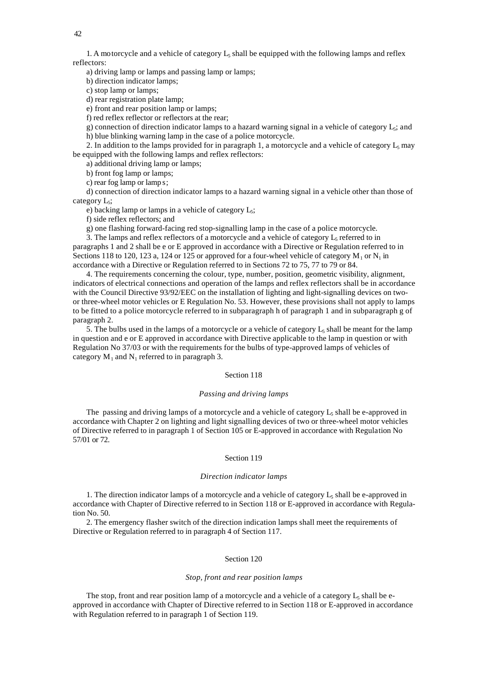1. A motorcycle and a vehicle of category  $L_5$  shall be equipped with the following lamps and reflex reflectors:

a) driving lamp or lamps and passing lamp or lamps;

b) direction indicator lamps;

c) stop lamp or lamps;

d) rear registration plate lamp;

e) front and rear position lamp or lamps;

f) red reflex reflector or reflectors at the rear;

g) connection of direction indicator lamps to a hazard warning signal in a vehicle of category  $L_5$ ; and h) blue blinking warning lamp in the case of a police motorcycle.

2. In addition to the lamps provided for in paragraph 1, a motorcycle and a vehicle of category  $L_5$  may be equipped with the following lamps and reflex reflectors:

a) additional driving lamp or lamps;

b) front fog lamp or lamps;

c) rear fog lamp or lamp s;

d) connection of direction indicator lamps to a hazard warning signal in a vehicle other than those of category L<sub>5</sub>;

e) backing lamp or lamps in a vehicle of category  $L_5$ ;

f) side reflex reflectors; and

g) one flashing forward-facing red stop-signalling lamp in the case of a police motorcycle.

3. The lamps and reflex reflectors of a motorcycle and a vehicle of category  $L_5$  referred to in paragraphs 1 and 2 shall be e or E approved in accordance with a Directive or Regulation referred to in Sections 118 to 120, 123 a, 124 or 125 or approved for a four-wheel vehicle of category  $M_1$  or  $N_1$  in accordance with a Directive or Regulation referred to in Sections 72 to 75, 77 to 79 or 84.

4. The requirements concerning the colour, type, number, position, geometric visibility, alignment, indicators of electrical connections and operation of the lamps and reflex reflectors shall be in accordance with the Council Directive 93/92/EEC on the installation of lighting and light-signalling devices on twoor three-wheel motor vehicles or E Regulation No. 53. However, these provisions shall not apply to lamps to be fitted to a police motorcycle referred to in subparagraph h of paragraph 1 and in subparagraph g of paragraph 2.

5. The bulbs used in the lamps of a motorcycle or a vehicle of category  $L_5$  shall be meant for the lamp in question and e or E approved in accordance with Directive applicable to the lamp in question or with Regulation No 37/03 or with the requirements for the bulbs of type-approved lamps of vehicles of category  $M_1$  and  $N_1$  referred to in paragraph 3.

## Section 118

#### *Passing and driving lamps*

The passing and driving lamps of a motorcycle and a vehicle of category  $L_5$  shall be e-approved in accordance with Chapter 2 on lighting and light signalling devices of two or three-wheel motor vehicles of Directive referred to in paragraph 1 of Section 105 or E-approved in accordance with Regulation No 57/01 or 72.

#### Section 119

#### *Direction indicator lamps*

1. The direction indicator lamps of a motorcycle and a vehicle of category  $L_5$  shall be e-approved in accordance with Chapter of Directive referred to in Section 118 or E-approved in accordance with Regulation No. 50.

2. The emergency flasher switch of the direction indication lamps shall meet the requirements of Directive or Regulation referred to in paragraph 4 of Section 117.

#### Section 120

#### *Stop, front and rear position lamps*

The stop, front and rear position lamp of a motorcycle and a vehicle of a category  $L_5$  shall be eapproved in accordance with Chapter of Directive referred to in Section 118 or E-approved in accordance with Regulation referred to in paragraph 1 of Section 119.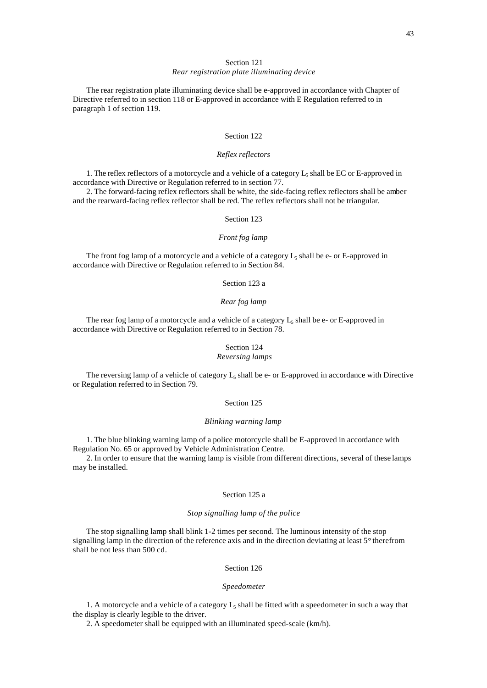# Section 121

# *Rear registration plate illuminating device*

The rear registration plate illuminating device shall be e-approved in accordance with Chapter of Directive referred to in section 118 or E-approved in accordance with E Regulation referred to in paragraph 1 of section 119.

# Section 122

## *Reflex reflectors*

1. The reflex reflectors of a motorcycle and a vehicle of a category  $L_5$  shall be EC or E-approved in accordance with Directive or Regulation referred to in section 77.

2. The forward-facing reflex reflectors shall be white, the side-facing reflex reflectors shall be amber and the rearward-facing reflex reflector shall be red. The reflex reflectors shall not be triangular.

# Section 123

## *Front fog lamp*

The front fog lamp of a motorcycle and a vehicle of a category  $L_5$  shall be e- or E-approved in accordance with Directive or Regulation referred to in Section 84.

# Section 123 a

# *Rear fog lamp*

The rear fog lamp of a motorcycle and a vehicle of a category  $L_5$  shall be e- or E-approved in accordance with Directive or Regulation referred to in Section 78.

# Section 124

# *Reversing lamps*

The reversing lamp of a vehicle of category  $L_5$  shall be e- or E-approved in accordance with Directive or Regulation referred to in Section 79.

# Section 125

#### *Blinking warning lamp*

1. The blue blinking warning lamp of a police motorcycle shall be E-approved in accordance with Regulation No. 65 or approved by Vehicle Administration Centre.

2. In order to ensure that the warning lamp is visible from different directions, several of these lamps may be installed.

## Section 125 a

## *Stop signalling lamp of the police*

The stop signalling lamp shall blink 1-2 times per second. The luminous intensity of the stop signalling lamp in the direction of the reference axis and in the direction deviating at least 5° therefrom shall be not less than 500 cd.

# Section 126

#### *Speedometer*

1. A motorcycle and a vehicle of a category  $L_5$  shall be fitted with a speedometer in such a way that the display is clearly legible to the driver.

2. A speedometer shall be equipped with an illuminated speed-scale (km/h).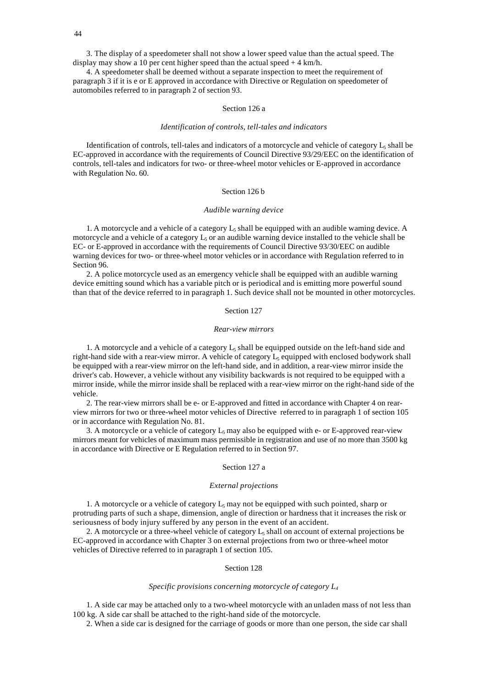3. The display of a speedometer shall not show a lower speed value than the actual speed. The display may show a 10 per cent higher speed than the actual speed + 4 km/h.

4. A speedometer shall be deemed without a separate inspection to meet the requirement of paragraph 3 if it is e or E approved in accordance with Directive or Regulation on speedometer of automobiles referred to in paragraph 2 of section 93.

## Section 126 a

#### *Identification of controls, tell-tales and indicators*

Identification of controls, tell-tales and indicators of a motorcycle and vehicle of category  $L_5$  shall be EC-approved in accordance with the requirements of Council Directive 93/29/EEC on the identification of controls, tell-tales and indicators for two- or three-wheel motor vehicles or E-approved in accordance with Regulation No. 60.

## Section 126 b

#### *Audible warning device*

1. A motorcycle and a vehicle of a category  $L_5$  shall be equipped with an audible warning device. A motorcycle and a vehicle of a category  $L<sub>5</sub>$  or an audible warning device installed to the vehicle shall be EC- or E-approved in accordance with the requirements of Council Directive 93/30/EEC on audible warning devices for two- or three-wheel motor vehicles or in accordance with Regulation referred to in Section 96.

2. A police motorcycle used as an emergency vehicle shall be equipped with an audible warning device emitting sound which has a variable pitch or is periodical and is emitting more powerful sound than that of the device referred to in paragraph 1. Such device shall not be mounted in other motorcycles.

#### Section 127

## *Rear-view mirrors*

1. A motorcycle and a vehicle of a category  $L_5$  shall be equipped outside on the left-hand side and right-hand side with a rear-view mirror. A vehicle of category  $L_5$  equipped with enclosed bodywork shall be equipped with a rear-view mirror on the left-hand side, and in addition, a rear-view mirror inside the driver's cab. However, a vehicle without any visibility backwards is not required to be equipped with a mirror inside, while the mirror inside shall be replaced with a rear-view mirror on the right-hand side of the vehicle.

2. The rear-view mirrors shall be e- or E-approved and fitted in accordance with Chapter 4 on rearview mirrors for two or three-wheel motor vehicles of Directive referred to in paragraph 1 of section 105 or in accordance with Regulation No. 81.

3. A motorcycle or a vehicle of category  $L_5$  may also be equipped with e- or E-approved rear-view mirrors meant for vehicles of maximum mass permissible in registration and use of no more than 3500 kg in accordance with Directive or E Regulation referred to in Section 97.

#### Section 127 a

## *External projections*

1. A motorcycle or a vehicle of category  $L_5$  may not be equipped with such pointed, sharp or protruding parts of such a shape, dimension, angle of direction or hardness that it increases the risk or seriousness of body injury suffered by any person in the event of an accident.

2. A motorcycle or a three-wheel vehicle of category  $L_5$  shall on account of external projections be EC-approved in accordance with Chapter 3 on external projections from two or three-wheel motor vehicles of Directive referred to in paragraph 1 of section 105.

#### Section 128

#### *Specific provisions concerning motorcycle of category L<sup>4</sup>*

1. A side car may be attached only to a two-wheel motorcycle with an unladen mass of not less than 100 kg. A side car shall be attached to the right-hand side of the motorcycle.

2. When a side car is designed for the carriage of goods or more than one person, the side car shall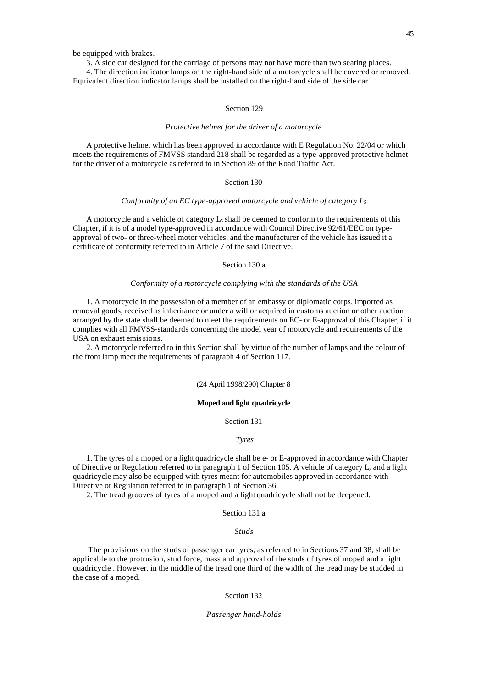be equipped with brakes.

3. A side car designed for the carriage of persons may not have more than two seating places.

4. The direction indicator lamps on the right-hand side of a motorcycle shall be covered or removed. Equivalent direction indicator lamps shall be installed on the right-hand side of the side car.

## Section 129

#### *Protective helmet for the driver of a motorcycle*

A protective helmet which has been approved in accordance with E Regulation No. 22/04 or which meets the requirements of FMVSS standard 218 shall be regarded as a type-approved protective helmet for the driver of a motorcycle as referred to in Section 89 of the Road Traffic Act.

# Section 130

## *Conformity of an EC type-approved motorcycle and vehicle of category L<sup>5</sup>*

A motorcycle and a vehicle of category  $L_5$  shall be deemed to conform to the requirements of this Chapter, if it is of a model type-approved in accordance with Council Directive 92/61/EEC on typeapproval of two- or three-wheel motor vehicles, and the manufacturer of the vehicle has issued it a certificate of conformity referred to in Article 7 of the said Directive.

## Section 130 a

#### *Conformity of a motorcycle complying with the standards of the USA*

1. A motorcycle in the possession of a member of an embassy or diplomatic corps, imported as removal goods, received as inheritance or under a will or acquired in customs auction or other auction arranged by the state shall be deemed to meet the requirements on EC- or E-approval of this Chapter, if it complies with all FMVSS-standards concerning the model year of motorcycle and requirements of the USA on exhaust emis sions.

2. A motorcycle referred to in this Section shall by virtue of the number of lamps and the colour of the front lamp meet the requirements of paragraph 4 of Section 117.

## (24 April 1998/290) Chapter 8

# **Moped and light quadricycle**

## Section 131

## *Tyres*

1. The tyres of a moped or a light quadricycle shall be e- or E-approved in accordance with Chapter of Directive or Regulation referred to in paragraph 1 of Section 105. A vehicle of category  $L_2$  and a light quadricycle may also be equipped with tyres meant for automobiles approved in accordance with Directive or Regulation referred to in paragraph 1 of Section 36.

2. The tread grooves of tyres of a moped and a light quadricycle shall not be deepened.

#### Section 131 a

#### *Studs*

 The provisions on the studs of passenger car tyres, as referred to in Sections 37 and 38, shall be applicable to the protrusion, stud force, mass and approval of the studs of tyres of moped and a light quadricycle . However, in the middle of the tread one third of the width of the tread may be studded in the case of a moped.

#### Section 132

#### *Passenger hand-holds*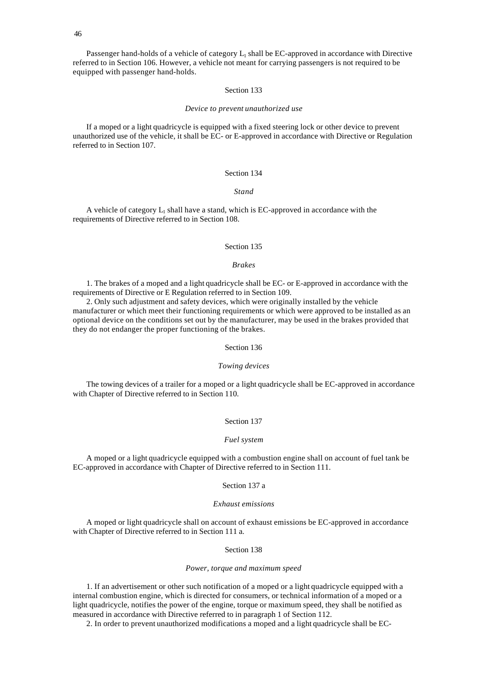Passenger hand-holds of a vehicle of category L<sub>1</sub> shall be EC-approved in accordance with Directive referred to in Section 106. However, a vehicle not meant for carrying passengers is not required to be equipped with passenger hand-holds.

## Section 133

#### *Device to prevent unauthorized use*

If a moped or a light quadricycle is equipped with a fixed steering lock or other device to prevent unauthorized use of the vehicle, it shall be EC- or E-approved in accordance with Directive or Regulation referred to in Section 107.

# Section 134

## *Stand*

A vehicle of category  $L_1$  shall have a stand, which is EC-approved in accordance with the requirements of Directive referred to in Section 108.

# Section 135

# *Brakes*

1. The brakes of a moped and a light quadricycle shall be EC- or E-approved in accordance with the requirements of Directive or E Regulation referred to in Section 109.

2. Only such adjustment and safety devices, which were originally installed by the vehicle manufacturer or which meet their functioning requirements or which were approved to be installed as an optional device on the conditions set out by the manufacturer, may be used in the brakes provided that they do not endanger the proper functioning of the brakes.

#### Section 136

#### *Towing devices*

The towing devices of a trailer for a moped or a light quadricycle shall be EC-approved in accordance with Chapter of Directive referred to in Section 110.

#### Section 137

## *Fuel system*

A moped or a light quadricycle equipped with a combustion engine shall on account of fuel tank be EC-approved in accordance with Chapter of Directive referred to in Section 111.

#### Section 137 a

## *Exhaust emissions*

A moped or light quadricycle shall on account of exhaust emissions be EC-approved in accordance with Chapter of Directive referred to in Section 111 a.

# Section 138

#### *Power, torque and maximum speed*

1. If an advertisement or other such notification of a moped or a light quadricycle equipped with a internal combustion engine, which is directed for consumers, or technical information of a moped or a light quadricycle, notifies the power of the engine, torque or maximum speed, they shall be notified as measured in accordance with Directive referred to in paragraph 1 of Section 112.

2. In order to prevent unauthorized modifications a moped and a light quadricycle shall be EC-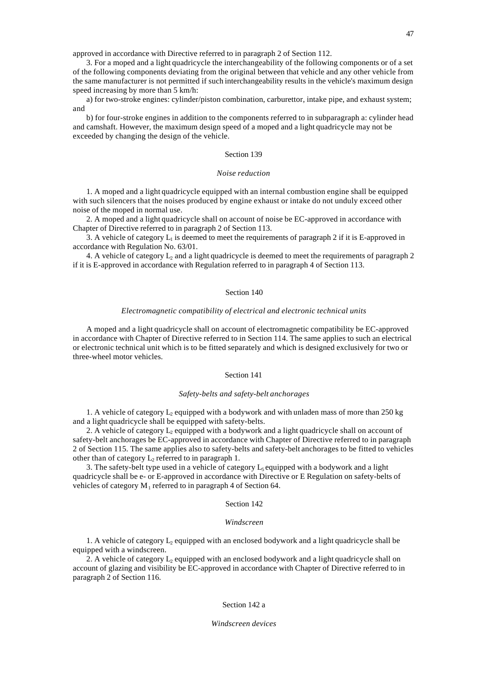approved in accordance with Directive referred to in paragraph 2 of Section 112.

3. For a moped and a light quadricycle the interchangeability of the following components or of a set of the following components deviating from the original between that vehicle and any other vehicle from the same manufacturer is not permitted if such interchangeability results in the vehicle's maximum design speed increasing by more than 5 km/h:

a) for two-stroke engines: cylinder/piston combination, carburettor, intake pipe, and exhaust system; and

b) for four-stroke engines in addition to the components referred to in subparagraph a: cylinder head and camshaft. However, the maximum design speed of a moped and a light quadricycle may not be exceeded by changing the design of the vehicle.

#### Section 139

## *Noise reduction*

1. A moped and a light quadricycle equipped with an internal combustion engine shall be equipped with such silencers that the noises produced by engine exhaust or intake do not unduly exceed other noise of the moped in normal use.

2. A moped and a light quadricycle shall on account of noise be EC-approved in accordance with Chapter of Directive referred to in paragraph 2 of Section 113.

3. A vehicle of category  $L_1$  is deemed to meet the requirements of paragraph 2 if it is E-approved in accordance with Regulation No. 63/01.

4. A vehicle of category L<sub>2</sub> and a light quadricycle is deemed to meet the requirements of paragraph 2 if it is E-approved in accordance with Regulation referred to in paragraph 4 of Section 113.

## Section 140

#### *Electromagnetic compatibility of electrical and electronic technical units*

A moped and a light quadricycle shall on account of electromagnetic compatibility be EC-approved in accordance with Chapter of Directive referred to in Section 114. The same applies to such an electrical or electronic technical unit which is to be fitted separately and which is designed exclusively for two or three-wheel motor vehicles.

## Section 141

#### *Safety-belts and safety-belt anchorages*

1. A vehicle of category  $L_2$  equipped with a bodywork and with unladen mass of more than 250 kg and a light quadricycle shall be equipped with safety-belts.

2. A vehicle of category  $L_2$  equipped with a bodywork and a light quadricycle shall on account of safety-belt anchorages be EC-approved in accordance with Chapter of Directive referred to in paragraph 2 of Section 115. The same applies also to safety-belts and safety-belt anchorages to be fitted to vehicles other than of category  $L_2$  referred to in paragraph 1.

3. The safety-belt type used in a vehicle of category  $L_5$  equipped with a bodywork and a light quadricycle shall be e- or E-approved in accordance with Directive or E Regulation on safety-belts of vehicles of category  $M_1$  referred to in paragraph 4 of Section 64.

# Section 142

#### *Windscreen*

1. A vehicle of category  $L_2$  equipped with an enclosed bodywork and a light quadricycle shall be equipped with a windscreen.

2. A vehicle of category  $L_2$  equipped with an enclosed bodywork and a light quadricycle shall on account of glazing and visibility be EC-approved in accordance with Chapter of Directive referred to in paragraph 2 of Section 116.

## Section 142 a

## *Windscreen devices*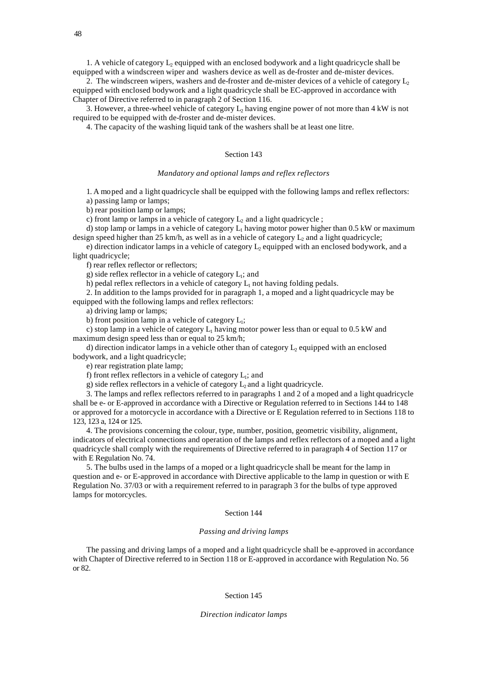1. A vehicle of category  $L_2$  equipped with an enclosed bodywork and a light quadricycle shall be equipped with a windscreen wiper and washers device as well as de-froster and de-mister devices.

2. The windscreen wipers, washers and de-froster and de-mister devices of a vehicle of category  $L_2$ equipped with enclosed bodywork and a light quadricycle shall be EC-approved in accordance with Chapter of Directive referred to in paragraph 2 of Section 116.

3. However, a three-wheel vehicle of category  $L_2$  having engine power of not more than 4 kW is not required to be equipped with de-froster and de-mister devices.

4. The capacity of the washing liquid tank of the washers shall be at least one litre.

## Section 143

#### *Mandatory and optional lamps and reflex reflectors*

1. A moped and a light quadricycle shall be equipped with the following lamps and reflex reflectors: a) passing lamp or lamps;

b) rear position lamp or lamps;

c) front lamp or lamps in a vehicle of category  $L_2$  and a light quadricycle ;

d) stop lamp or lamps in a vehicle of category  $L_1$  having motor power higher than 0.5 kW or maximum design speed higher than 25 km/h, as well as in a vehicle of category  $L_2$  and a light quadricycle;

e) direction indicator lamps in a vehicle of category  $L_2$  equipped with an enclosed bodywork, and a light quadricycle;

f) rear reflex reflector or reflectors;

g) side reflex reflector in a vehicle of category  $L_1$ ; and

h) pedal reflex reflectors in a vehicle of category  $L_1$  not having folding pedals.

2. In addition to the lamps provided for in paragraph 1, a moped and a light quadricycle may be equipped with the following lamps and reflex reflectors:

a) driving lamp or lamps;

b) front position lamp in a vehicle of category  $L_1$ ;

c) stop lamp in a vehicle of category  $L_1$  having motor power less than or equal to 0.5 kW and maximum design speed less than or equal to 25 km/h;

d) direction indicator lamps in a vehicle other than of category  $L_2$  equipped with an enclosed bodywork, and a light quadricycle;

e) rear registration plate lamp;

f) front reflex reflectors in a vehicle of category  $L_1$ ; and

g) side reflex reflectors in a vehicle of category  $L_2$  and a light quadricycle.

3. The lamps and reflex reflectors referred to in paragraphs 1 and 2 of a moped and a light quadricycle shall be e- or E-approved in accordance with a Directive or Regulation referred to in Sections 144 to 148 or approved for a motorcycle in accordance with a Directive or E Regulation referred to in Sections 118 to 123, 123 a, 124 or 125.

4. The provisions concerning the colour, type, number, position, geometric visibility, alignment, indicators of electrical connections and operation of the lamps and reflex reflectors of a moped and a light quadricycle shall comply with the requirements of Directive referred to in paragraph 4 of Section 117 or with E Regulation No. 74.

5. The bulbs used in the lamps of a moped or a light quadricycle shall be meant for the lamp in question and e- or E-approved in accordance with Directive applicable to the lamp in question or with E Regulation No. 37/03 or with a requirement referred to in paragraph 3 for the bulbs of type approved lamps for motorcycles.

## Section 144

# *Passing and driving lamps*

The passing and driving lamps of a moped and a light quadricycle shall be e-approved in accordance with Chapter of Directive referred to in Section 118 or E-approved in accordance with Regulation No. 56 or 82.

#### Section 145

#### *Direction indicator lamps*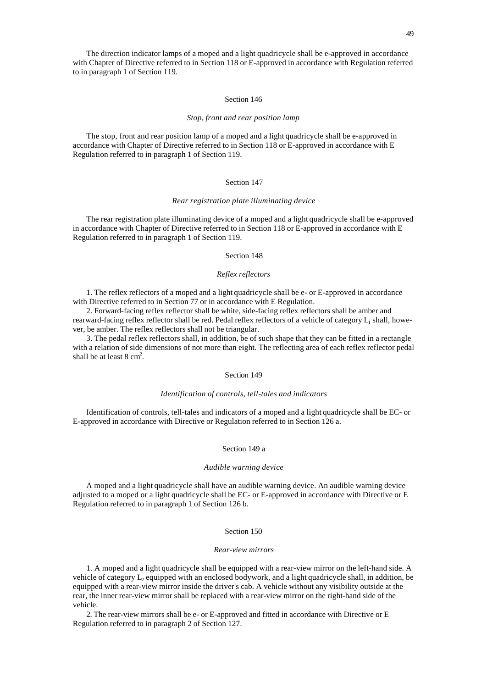The direction indicator lamps of a moped and a light quadricycle shall be e-approved in accordance with Chapter of Directive referred to in Section 118 or E-approved in accordance with Regulation referred to in paragraph 1 of Section 119.

#### Section 146

#### *Stop, front and rear position lamp*

The stop, front and rear position lamp of a moped and a light quadricycle shall be e-approved in accordance with Chapter of Directive referred to in Section 118 or E-approved in accordance with E Regulation referred to in paragraph 1 of Section 119.

# Section 147

## *Rear registration plate illuminating device*

The rear registration plate illuminating device of a moped and a light quadricycle shall be e-approved in accordance with Chapter of Directive referred to in Section 118 or E-approved in accordance with E Regulation referred to in paragraph 1 of Section 119.

# Section 148

# *Reflex reflectors*

1. The reflex reflectors of a moped and a light quadricycle shall be e- or E-approved in accordance with Directive referred to in Section 77 or in accordance with E Regulation.

2. Forward-facing reflex reflector shall be white, side-facing reflex reflectors shall be amber and rearward-facing reflex reflector shall be red. Pedal reflex reflectors of a vehicle of category  $L_1$  shall, however, be amber. The reflex reflectors shall not be triangular.

3. The pedal reflex reflectors shall, in addition, be of such shape that they can be fitted in a rectangle with a relation of side dimensions of not more than eight. The reflecting area of each reflex reflector pedal shall be at least  $8 \text{ cm}^2$ .

## Section 149

#### *Identification of controls, tell-tales and indicators*

Identification of controls, tell-tales and indicators of a moped and a light quadricycle shall be EC- or E-approved in accordance with Directive or Regulation referred to in Section 126 a.

#### Section 149 a

#### *Audible warning device*

A moped and a light quadricycle shall have an audible warning device. An audible warning device adjusted to a moped or a light quadricycle shall be EC- or E-approved in accordance with Directive or E Regulation referred to in paragraph 1 of Section 126 b.

## Section 150

#### *Rear-view mirrors*

1. A moped and a light quadricycle shall be equipped with a rear-view mirror on the left-hand side. A vehicle of category  $L_2$  equipped with an enclosed bodywork, and a light quadricycle shall, in addition, be equipped with a rear-view mirror inside the driver's cab. A vehicle without any visibility outside at the rear, the inner rear-view mirror shall be replaced with a rear-view mirror on the right-hand side of the vehicle.

2. The rear-view mirrors shall be e- or E-approved and fitted in accordance with Directive or E Regulation referred to in paragraph 2 of Section 127.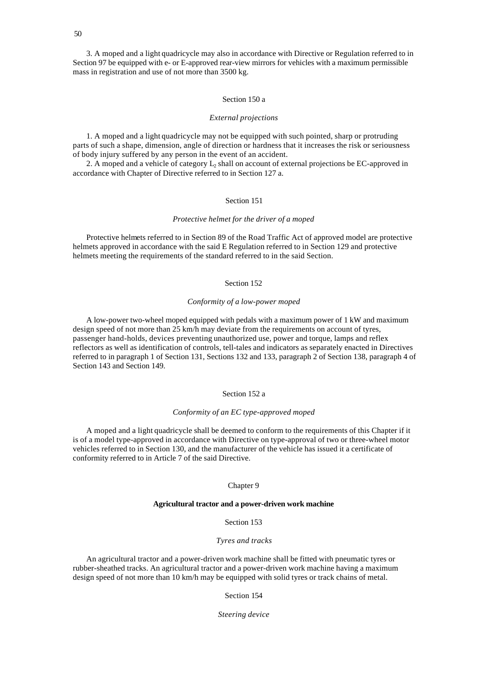3. A moped and a light quadricycle may also in accordance with Directive or Regulation referred to in Section 97 be equipped with e- or E-approved rear-view mirrors for vehicles with a maximum permissible mass in registration and use of not more than 3500 kg.

## Section 150 a

#### *External projections*

1. A moped and a light quadricycle may not be equipped with such pointed, sharp or protruding parts of such a shape, dimension, angle of direction or hardness that it increases the risk or seriousness of body injury suffered by any person in the event of an accident.

2. A moped and a vehicle of category  $L_2$  shall on account of external projections be EC-approved in accordance with Chapter of Directive referred to in Section 127 a.

# Section 151

#### *Protective helmet for the driver of a moped*

Protective helmets referred to in Section 89 of the Road Traffic Act of approved model are protective helmets approved in accordance with the said E Regulation referred to in Section 129 and protective helmets meeting the requirements of the standard referred to in the said Section.

# Section 152

# *Conformity of a low-power moped*

A low-power two-wheel moped equipped with pedals with a maximum power of 1 kW and maximum design speed of not more than 25 km/h may deviate from the requirements on account of tyres, passenger hand-holds, devices preventing unauthorized use, power and torque, lamps and reflex reflectors as well as identification of controls, tell-tales and indicators as separately enacted in Directives referred to in paragraph 1 of Section 131, Sections 132 and 133, paragraph 2 of Section 138, paragraph 4 of Section 143 and Section 149.

# Section 152 a

#### *Conformity of an EC type-approved moped*

A moped and a light quadricycle shall be deemed to conform to the requirements of this Chapter if it is of a model type-approved in accordance with Directive on type-approval of two or three-wheel motor vehicles referred to in Section 130, and the manufacturer of the vehicle has issued it a certificate of conformity referred to in Article 7 of the said Directive.

#### Chapter 9

## **Agricultural tractor and a power-driven work machine**

# Section 153

# *Tyres and tracks*

An agricultural tractor and a power-driven work machine shall be fitted with pneumatic tyres or rubber-sheathed tracks. An agricultural tractor and a power-driven work machine having a maximum design speed of not more than 10 km/h may be equipped with solid tyres or track chains of metal.

Section 154

#### *Steering device*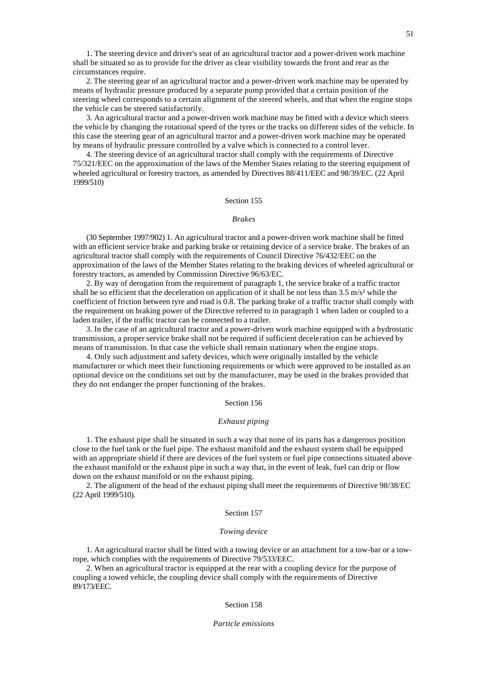1. The steering device and driver's seat of an agricultural tractor and a power-driven work machine shall be situated so as to provide for the driver as clear visibility towards the front and rear as the circumstances require.

2. The steering gear of an agricultural tractor and a power-driven work machine may be operated by means of hydraulic pressure produced by a separate pump provided that a certain position of the steering wheel corresponds to a certain alignment of the steered wheels, and that when the engine stops the vehicle can be steered satisfactorily.

3. An agricultural tractor and a power-driven work machine may be fitted with a device which steers the vehicle by changing the rotational speed of the tyres or the tracks on different sides of the vehicle. In this case the steering gear of an agricultural tractor and a power-driven work machine may be operated by means of hydraulic pressure controlled by a valve which is connected to a control lever.

4. The steering device of an agricultural tractor shall comply with the requirements of Directive 75/321/EEC on the approximation of the laws of the Member States relating to the steering equipment of wheeled agricultural or forestry tractors, as amended by Directives 88/411/EEC and 98/39/EC. (22 April 1999/510)

# Section 155

#### *Brakes*

(30 September 1997/902) 1. An agricultural tractor and a power-driven work machine shall be fitted with an efficient service brake and parking brake or retaining device of a service brake. The brakes of an agricultural tractor shall comply with the requirements of Council Directive 76/432/EEC on the approximation of the laws of the Member States relating to the braking devices of wheeled agricultural or forestry tractors, as amended by Commission Directive 96/63/EC.

2. By way of derogation from the requirement of paragraph 1, the service brake of a traffic tractor shall be so efficient that the deceleration on application of it shall be not less than 3.5 m/s² while the coefficient of friction between tyre and road is 0.8. The parking brake of a traffic tractor shall comply with the requirement on braking power of the Directive referred to in paragraph 1 when laden or coupled to a laden trailer, if the traffic tractor can be connected to a trailer.

3. In the case of an agricultural tractor and a power-driven work machine equipped with a hydrostatic transmission, a proper service brake shall not be required if sufficient deceleration can be achieved by means of transmission. In that case the vehicle shall remain stationary when the engine stops.

4. Only such adjustment and safety devices, which were originally installed by the vehicle manufacturer or which meet their functioning requirements or which were approved to be installed as an optional device on the conditions set out by the manufacturer, may be used in the brakes provided that they do not endanger the proper functioning of the brakes.

#### Section 156

#### *Exhaust piping*

1. The exhaust pipe shall be situated in such a way that none of its parts has a dangerous position close to the fuel tank or the fuel pipe. The exhaust manifold and the exhaust system shall be equipped with an appropriate shield if there are devices of the fuel system or fuel pipe connections situated above the exhaust manifold or the exhaust pipe in such a way that, in the event of leak, fuel can drip or flow down on the exhaust manifold or on the exhaust piping.

2. The alignment of the head of the exhaust piping shall meet the requirements of Directive 98/38/EC (22 April 1999/510).

## Section 157

#### *Towing device*

1. An agricultural tractor shall be fitted with a towing device or an attachment for a tow-bar or a towrope, which complies with the requirements of Directive 79/533/EEC.

2. When an agricultural tractor is equipped at the rear with a coupling device for the purpose of coupling a towed vehicle, the coupling device shall comply with the requirements of Directive 89/173/EEC.

#### Section 158

#### *Particle emissions*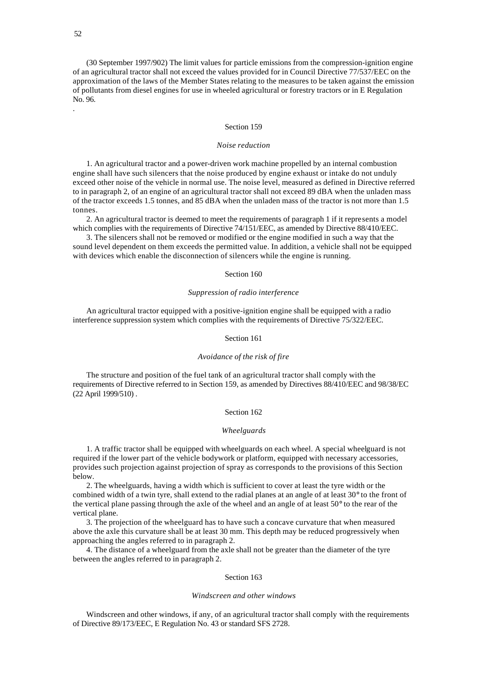(30 September 1997/902) The limit values for particle emissions from the compression-ignition engine of an agricultural tractor shall not exceed the values provided for in Council Directive 77/537/EEC on the approximation of the laws of the Member States relating to the measures to be taken against the emission of pollutants from diesel engines for use in wheeled agricultural or forestry tractors or in E Regulation No. 96.

.

#### Section 159

#### *Noise reduction*

1. An agricultural tractor and a power-driven work machine propelled by an internal combustion engine shall have such silencers that the noise produced by engine exhaust or intake do not unduly exceed other noise of the vehicle in normal use. The noise level, measured as defined in Directive referred to in paragraph 2, of an engine of an agricultural tractor shall not exceed 89 dBA when the unladen mass of the tractor exceeds 1.5 tonnes, and 85 dBA when the unladen mass of the tractor is not more than 1.5 tonnes.

2. An agricultural tractor is deemed to meet the requirements of paragraph 1 if it represents a model which complies with the requirements of Directive 74/151/EEC, as amended by Directive 88/410/EEC.

3. The silencers shall not be removed or modified or the engine modified in such a way that the sound level dependent on them exceeds the permitted value. In addition, a vehicle shall not be equipped with devices which enable the disconnection of silencers while the engine is running.

# Section 160

## *Suppression of radio interference*

An agricultural tractor equipped with a positive-ignition engine shall be equipped with a radio interference suppression system which complies with the requirements of Directive 75/322/EEC.

## Section 161

## *Avoidance of the risk of fire*

The structure and position of the fuel tank of an agricultural tractor shall comply with the requirements of Directive referred to in Section 159, as amended by Directives 88/410/EEC and 98/38/EC (22 April 1999/510) .

#### Section 162

## *Wheelguards*

1. A traffic tractor shall be equipped with wheelguards on each wheel. A special wheelguard is not required if the lower part of the vehicle bodywork or platform, equipped with necessary accessories, provides such projection against projection of spray as corresponds to the provisions of this Section below.

2. The wheelguards, having a width which is sufficient to cover at least the tyre width or the combined width of a twin tyre, shall extend to the radial planes at an angle of at least 30° to the front of the vertical plane passing through the axle of the wheel and an angle of at least 50° to the rear of the vertical plane.

3. The projection of the wheelguard has to have such a concave curvature that when measured above the axle this curvature shall be at least 30 mm. This depth may be reduced progressively when approaching the angles referred to in paragraph 2.

4. The distance of a wheelguard from the axle shall not be greater than the diameter of the tyre between the angles referred to in paragraph 2.

## Section 163

#### *Windscreen and other windows*

Windscreen and other windows, if any, of an agricultural tractor shall comply with the requirements of Directive 89/173/EEC, E Regulation No. 43 or standard SFS 2728.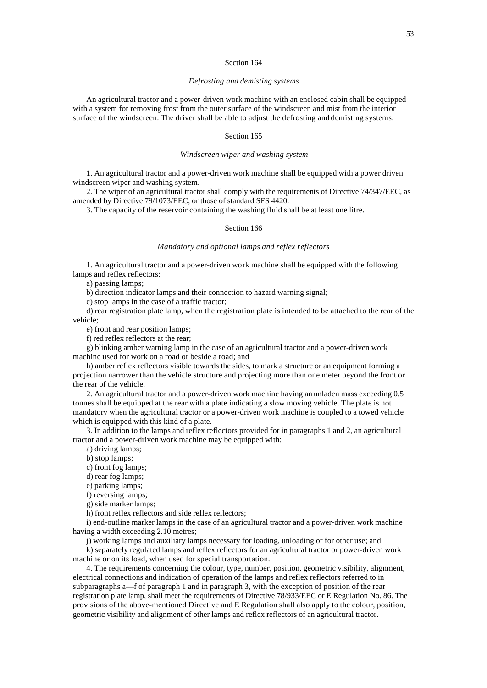## Section 164

## *Defrosting and demisting systems*

An agricultural tractor and a power-driven work machine with an enclosed cabin shall be equipped with a system for removing frost from the outer surface of the windscreen and mist from the interior surface of the windscreen. The driver shall be able to adjust the defrosting and demisting systems.

## Section 165

## *Windscreen wiper and washing system*

1. An agricultural tractor and a power-driven work machine shall be equipped with a power driven windscreen wiper and washing system.

2. The wiper of an agricultural tractor shall comply with the requirements of Directive 74/347/EEC, as amended by Directive 79/1073/EEC, or those of standard SFS 4420.

3. The capacity of the reservoir containing the washing fluid shall be at least one litre.

# Section 166

#### *Mandatory and optional lamps and reflex reflectors*

1. An agricultural tractor and a power-driven work machine shall be equipped with the following lamps and reflex reflectors:

a) passing lamps;

b) direction indicator lamps and their connection to hazard warning signal;

c) stop lamps in the case of a traffic tractor;

d) rear registration plate lamp, when the registration plate is intended to be attached to the rear of the vehicle;

e) front and rear position lamps;

f) red reflex reflectors at the rear;

g) blinking amber warning lamp in the case of an agricultural tractor and a power-driven work machine used for work on a road or beside a road; and

h) amber reflex reflectors visible towards the sides, to mark a structure or an equipment forming a projection narrower than the vehicle structure and projecting more than one meter beyond the front or the rear of the vehicle.

2. An agricultural tractor and a power-driven work machine having an unladen mass exceeding 0.5 tonnes shall be equipped at the rear with a plate indicating a slow moving vehicle. The plate is not mandatory when the agricultural tractor or a power-driven work machine is coupled to a towed vehicle which is equipped with this kind of a plate.

3. In addition to the lamps and reflex reflectors provided for in paragraphs 1 and 2, an agricultural tractor and a power-driven work machine may be equipped with:

a) driving lamps;

b) stop lamps;

c) front fog lamps;

d) rear fog lamps;

e) parking lamps;

f) reversing lamps;

g) side marker lamps;

h) front reflex reflectors and side reflex reflectors;

i) end-outline marker lamps in the case of an agricultural tractor and a power-driven work machine having a width exceeding 2.10 metres;

j) working lamps and auxiliary lamps necessary for loading, unloading or for other use; and k) separately regulated lamps and reflex reflectors for an agricultural tractor or power-driven work machine or on its load, when used for special transportation.

4. The requirements concerning the colour, type, number, position, geometric visibility, alignment, electrical connections and indication of operation of the lamps and reflex reflectors referred to in subparagraphs a—f of paragraph 1 and in paragraph 3, with the exception of position of the rear registration plate lamp, shall meet the requirements of Directive 78/933/EEC or E Regulation No. 86. The provisions of the above-mentioned Directive and E Regulation shall also apply to the colour, position, geometric visibility and alignment of other lamps and reflex reflectors of an agricultural tractor.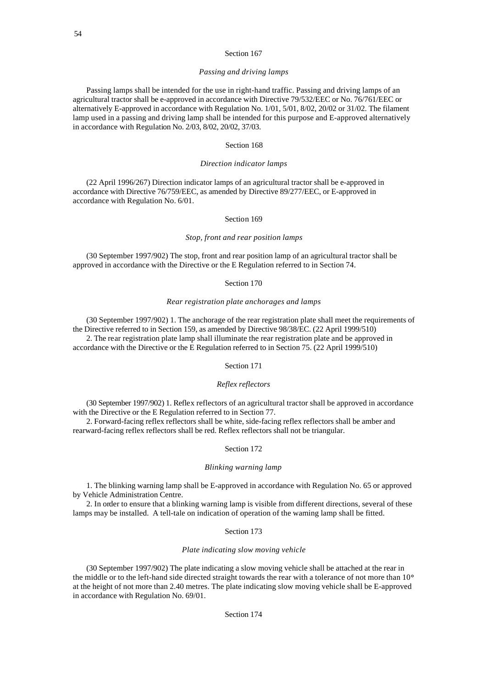# Section 167

## *Passing and driving lamps*

Passing lamps shall be intended for the use in right-hand traffic. Passing and driving lamps of an agricultural tractor shall be e-approved in accordance with Directive 79/532/EEC or No. 76/761/EEC or alternatively E-approved in accordance with Regulation No. 1/01, 5/01, 8/02, 20/02 or 31/02. The filament lamp used in a passing and driving lamp shall be intended for this purpose and E-approved alternatively in accordance with Regulation No. 2/03, 8/02, 20/02, 37/03.

## Section 168

## *Direction indicator lamps*

(22 April 1996/267) Direction indicator lamps of an agricultural tractor shall be e-approved in accordance with Directive 76/759/EEC, as amended by Directive 89/277/EEC, or E-approved in accordance with Regulation No. 6/01.

# Section 169

# *Stop, front and rear position lamps*

(30 September 1997/902) The stop, front and rear position lamp of an agricultural tractor shall be approved in accordance with the Directive or the E Regulation referred to in Section 74.

## Section 170

# *Rear registration plate anchorages and lamps*

(30 September 1997/902) 1. The anchorage of the rear registration plate shall meet the requirements of the Directive referred to in Section 159, as amended by Directive 98/38/EC. (22 April 1999/510) 2. The rear registration plate lamp shall illuminate the rear registration plate and be approved in

accordance with the Directive or the E Regulation referred to in Section 75. (22 April 1999/510)

# Section 171

#### *Reflex reflectors*

(30 September 1997/902) 1. Reflex reflectors of an agricultural tractor shall be approved in accordance with the Directive or the E Regulation referred to in Section 77.

2. Forward-facing reflex reflectors shall be white, side-facing reflex reflectors shall be amber and rearward-facing reflex reflectors shall be red. Reflex reflectors shall not be triangular.

#### Section 172

## *Blinking warning lamp*

1. The blinking warning lamp shall be E-approved in accordance with Regulation No. 65 or approved by Vehicle Administration Centre.

2. In order to ensure that a blinking warning lamp is visible from different directions, several of these lamps may be installed. A tell-tale on indication of operation of the warning lamp shall be fitted.

## Section 173

#### *Plate indicating slow moving vehicle*

(30 September 1997/902) The plate indicating a slow moving vehicle shall be attached at the rear in the middle or to the left-hand side directed straight towards the rear with a tolerance of not more than 10° at the height of not more than 2.40 metres. The plate indicating slow moving vehicle shall be E-approved in accordance with Regulation No. 69/01.

# Section 174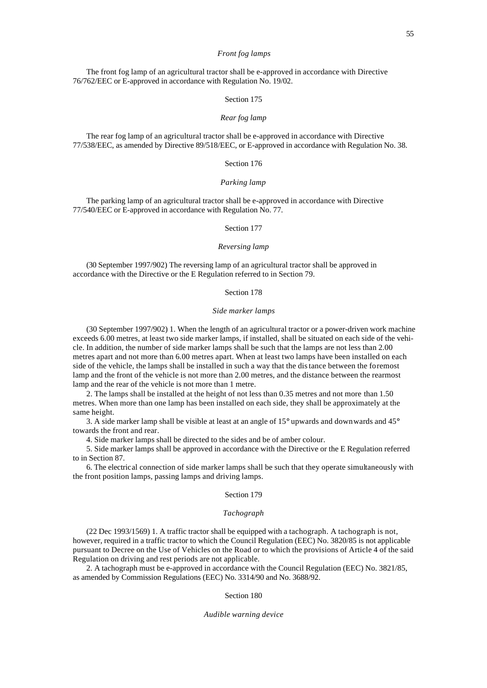#### *Front fog lamps*

The front fog lamp of an agricultural tractor shall be e-approved in accordance with Directive 76/762/EEC or E-approved in accordance with Regulation No. 19/02.

# Section 175

# *Rear fog lamp*

The rear fog lamp of an agricultural tractor shall be e-approved in accordance with Directive 77/538/EEC, as amended by Directive 89/518/EEC, or E-approved in accordance with Regulation No. 38.

## Section 176

#### *Parking lamp*

The parking lamp of an agricultural tractor shall be e-approved in accordance with Directive 77/540/EEC or E-approved in accordance with Regulation No. 77.

# Section 177

#### *Reversing lamp*

(30 September 1997/902) The reversing lamp of an agricultural tractor shall be approved in accordance with the Directive or the E Regulation referred to in Section 79.

## Section 178

#### *Side marker lamps*

(30 September 1997/902) 1. When the length of an agricultural tractor or a power-driven work machine exceeds 6.00 metres, at least two side marker lamps, if installed, shall be situated on each side of the vehicle. In addition, the number of side marker lamps shall be such that the lamps are not less than 2.00 metres apart and not more than 6.00 metres apart. When at least two lamps have been installed on each side of the vehicle, the lamps shall be installed in such a way that the distance between the foremost lamp and the front of the vehicle is not more than 2.00 metres, and the distance between the rearmost lamp and the rear of the vehicle is not more than 1 metre.

2. The lamps shall be installed at the height of not less than 0.35 metres and not more than 1.50 metres. When more than one lamp has been installed on each side, they shall be approximately at the same height.

3. A side marker lamp shall be visible at least at an angle of 15° upwards and downwards and 45° towards the front and rear.

4. Side marker lamps shall be directed to the sides and be of amber colour.

5. Side marker lamps shall be approved in accordance with the Directive or the E Regulation referred to in Section 87.

6. The electrical connection of side marker lamps shall be such that they operate simultaneously with the front position lamps, passing lamps and driving lamps.

#### Section 179

## *Tachograph*

(22 Dec 1993/1569) 1. A traffic tractor shall be equipped with a tachograph. A tachograph is not, however, required in a traffic tractor to which the Council Regulation (EEC) No. 3820/85 is not applicable pursuant to Decree on the Use of Vehicles on the Road or to which the provisions of Article 4 of the said Regulation on driving and rest periods are not applicable.

2. A tachograph must be e-approved in accordance with the Council Regulation (EEC) No. 3821/85, as amended by Commission Regulations (EEC) No. 3314/90 and No. 3688/92.

#### Section 180

#### *Audible warning device*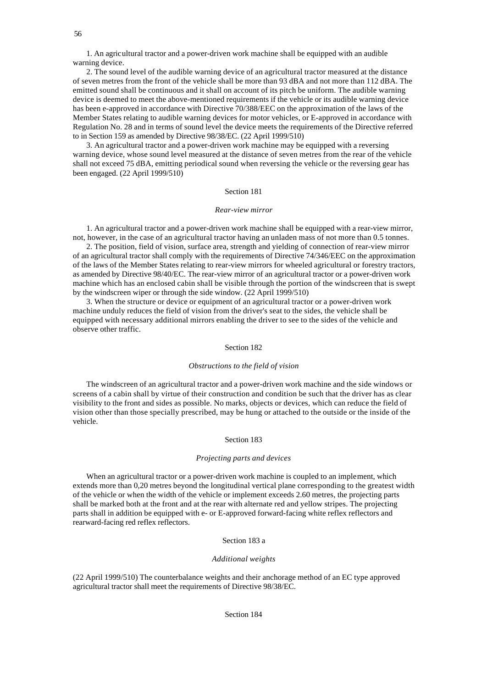56

1. An agricultural tractor and a power-driven work machine shall be equipped with an audible warning device.

2. The sound level of the audible warning device of an agricultural tractor measured at the distance of seven metres from the front of the vehicle shall be more than 93 dBA and not more than 112 dBA. The emitted sound shall be continuous and it shall on account of its pitch be uniform. The audible warning device is deemed to meet the above-mentioned requirements if the vehicle or its audible warning device has been e-approved in accordance with Directive 70/388/EEC on the approximation of the laws of the Member States relating to audible warning devices for motor vehicles, or E-approved in accordance with Regulation No. 28 and in terms of sound level the device meets the requirements of the Directive referred to in Section 159 as amended by Directive 98/38/EC. (22 April 1999/510)

3. An agricultural tractor and a power-driven work machine may be equipped with a reversing warning device, whose sound level measured at the distance of seven metres from the rear of the vehicle shall not exceed 75 dBA, emitting periodical sound when reversing the vehicle or the reversing gear has been engaged. (22 April 1999/510)

# Section 181

#### *Rear-view mirror*

1. An agricultural tractor and a power-driven work machine shall be equipped with a rear-view mirror, not, however, in the case of an agricultural tractor having an unladen mass of not more than 0.5 tonnes.

2. The position, field of vision, surface area, strength and yielding of connection of rear-view mirror of an agricultural tractor shall comply with the requirements of Directive 74/346/EEC on the approximation of the laws of the Member States relating to rear-view mirrors for wheeled agricultural or forestry tractors, as amended by Directive 98/40/EC. The rear-view mirror of an agricultural tractor or a power-driven work machine which has an enclosed cabin shall be visible through the portion of the windscreen that is swept by the windscreen wiper or through the side window. (22 April 1999/510)

3. When the structure or device or equipment of an agricultural tractor or a power-driven work machine unduly reduces the field of vision from the driver's seat to the sides, the vehicle shall be equipped with necessary additional mirrors enabling the driver to see to the sides of the vehicle and observe other traffic.

#### Section 182

#### *Obstructions to the field of vision*

The windscreen of an agricultural tractor and a power-driven work machine and the side windows or screens of a cabin shall by virtue of their construction and condition be such that the driver has as clear visibility to the front and sides as possible. No marks, objects or devices, which can reduce the field of vision other than those specially prescribed, may be hung or attached to the outside or the inside of the vehicle.

## Section 183

#### *Projecting parts and devices*

When an agricultural tractor or a power-driven work machine is coupled to an implement, which extends more than 0,20 metres beyond the longitudinal vertical plane corresponding to the greatest width of the vehicle or when the width of the vehicle or implement exceeds 2.60 metres, the projecting parts shall be marked both at the front and at the rear with alternate red and yellow stripes. The projecting parts shall in addition be equipped with e- or E-approved forward-facing white reflex reflectors and rearward-facing red reflex reflectors.

## Section 183 a

# *Additional weights*

(22 April 1999/510) The counterbalance weights and their anchorage method of an EC type approved agricultural tractor shall meet the requirements of Directive 98/38/EC.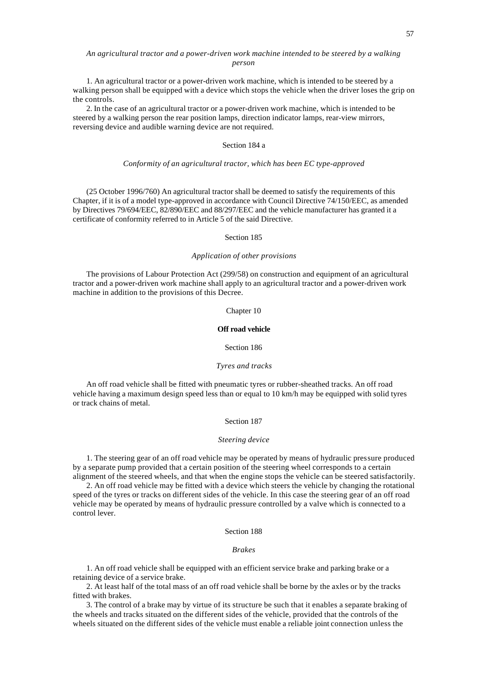# *An agricultural tractor and a power-driven work machine intended to be steered by a walking person*

1. An agricultural tractor or a power-driven work machine, which is intended to be steered by a walking person shall be equipped with a device which stops the vehicle when the driver loses the grip on the controls.

2. In the case of an agricultural tractor or a power-driven work machine, which is intended to be steered by a walking person the rear position lamps, direction indicator lamps, rear-view mirrors, reversing device and audible warning device are not required.

# Section 184 a

## *Conformity of an agricultural tractor, which has been EC type-approved*

(25 October 1996/760) An agricultural tractor shall be deemed to satisfy the requirements of this Chapter, if it is of a model type-approved in accordance with Council Directive 74/150/EEC, as amended by Directives 79/694/EEC, 82/890/EEC and 88/297/EEC and the vehicle manufacturer has granted it a certificate of conformity referred to in Article 5 of the said Directive.

## Section 185

## *Application of other provisions*

The provisions of Labour Protection Act (299/58) on construction and equipment of an agricultural tractor and a power-driven work machine shall apply to an agricultural tractor and a power-driven work machine in addition to the provisions of this Decree.

#### Chapter 10

# **Off road vehicle**

## Section 186

#### *Tyres and tracks*

An off road vehicle shall be fitted with pneumatic tyres or rubber-sheathed tracks. An off road vehicle having a maximum design speed less than or equal to 10 km/h may be equipped with solid tyres or track chains of metal.

#### Section 187

#### *Steering device*

1. The steering gear of an off road vehicle may be operated by means of hydraulic pressure produced by a separate pump provided that a certain position of the steering wheel corresponds to a certain alignment of the steered wheels, and that when the engine stops the vehicle can be steered satisfactorily.

2. An off road vehicle may be fitted with a device which steers the vehicle by changing the rotational speed of the tyres or tracks on different sides of the vehicle. In this case the steering gear of an off road vehicle may be operated by means of hydraulic pressure controlled by a valve which is connected to a control lever.

# Section 188

#### *Brakes*

1. An off road vehicle shall be equipped with an efficient service brake and parking brake or a retaining device of a service brake.

2. At least half of the total mass of an off road vehicle shall be borne by the axles or by the tracks fitted with brakes.

3. The control of a brake may by virtue of its structure be such that it enables a separate braking of the wheels and tracks situated on the different sides of the vehicle, provided that the controls of the wheels situated on the different sides of the vehicle must enable a reliable joint connection unless the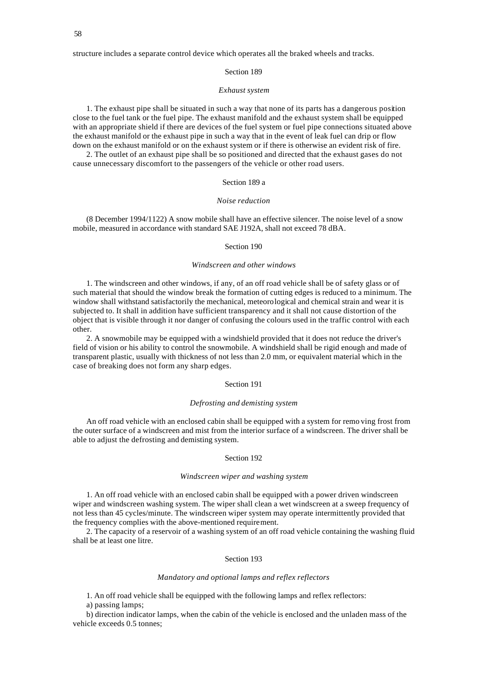structure includes a separate control device which operates all the braked wheels and tracks.

Section 189

#### *Exhaust system*

1. The exhaust pipe shall be situated in such a way that none of its parts has a dangerous position close to the fuel tank or the fuel pipe. The exhaust manifold and the exhaust system shall be equipped with an appropriate shield if there are devices of the fuel system or fuel pipe connections situated above the exhaust manifold or the exhaust pipe in such a way that in the event of leak fuel can drip or flow down on the exhaust manifold or on the exhaust system or if there is otherwise an evident risk of fire.

2. The outlet of an exhaust pipe shall be so positioned and directed that the exhaust gases do not cause unnecessary discomfort to the passengers of the vehicle or other road users.

# Section 189 a

#### *Noise reduction*

(8 December 1994/1122) A snow mobile shall have an effective silencer. The noise level of a snow mobile, measured in accordance with standard SAE J192A, shall not exceed 78 dBA.

# Section 190

# *Windscreen and other windows*

1. The windscreen and other windows, if any, of an off road vehicle shall be of safety glass or of such material that should the window break the formation of cutting edges is reduced to a minimum. The window shall withstand satisfactorily the mechanical, meteorological and chemical strain and wear it is subjected to. It shall in addition have sufficient transparency and it shall not cause distortion of the object that is visible through it nor danger of confusing the colours used in the traffic control with each other.

2. A snowmobile may be equipped with a windshield provided that it does not reduce the driver's field of vision or his ability to control the snowmobile. A windshield shall be rigid enough and made of transparent plastic, usually with thickness of not less than 2.0 mm, or equivalent material which in the case of breaking does not form any sharp edges.

# Section 191

#### *Defrosting and demisting system*

An off road vehicle with an enclosed cabin shall be equipped with a system for remo ving frost from the outer surface of a windscreen and mist from the interior surface of a windscreen. The driver shall be able to adjust the defrosting and demisting system.

#### Section 192

#### *Windscreen wiper and washing system*

1. An off road vehicle with an enclosed cabin shall be equipped with a power driven windscreen wiper and windscreen washing system. The wiper shall clean a wet windscreen at a sweep frequency of not less than 45 cycles/minute. The windscreen wiper system may operate intermittently provided that the frequency complies with the above-mentioned requirement.

2. The capacity of a reservoir of a washing system of an off road vehicle containing the washing fluid shall be at least one litre.

# Section 193

#### *Mandatory and optional lamps and reflex reflectors*

1. An off road vehicle shall be equipped with the following lamps and reflex reflectors:

a) passing lamps;

b) direction indicator lamps, when the cabin of the vehicle is enclosed and the unladen mass of the vehicle exceeds 0.5 tonnes;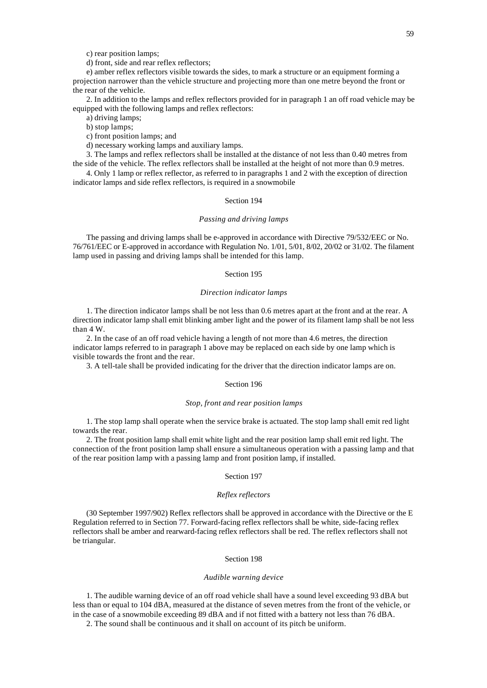c) rear position lamps;

d) front, side and rear reflex reflectors;

e) amber reflex reflectors visible towards the sides, to mark a structure or an equipment forming a projection narrower than the vehicle structure and projecting more than one metre beyond the front or the rear of the vehicle.

2. In addition to the lamps and reflex reflectors provided for in paragraph 1 an off road vehicle may be equipped with the following lamps and reflex reflectors:

a) driving lamps;

b) stop lamps;

c) front position lamps; and

d) necessary working lamps and auxiliary lamps.

3. The lamps and reflex reflectors shall be installed at the distance of not less than 0.40 metres from the side of the vehicle. The reflex reflectors shall be installed at the height of not more than 0.9 metres.

4. Only 1 lamp or reflex reflector, as referred to in paragraphs 1 and 2 with the exception of direction indicator lamps and side reflex reflectors, is required in a snowmobile

# Section 194

## *Passing and driving lamps*

The passing and driving lamps shall be e-approved in accordance with Directive 79/532/EEC or No. 76/761/EEC or E-approved in accordance with Regulation No. 1/01, 5/01, 8/02, 20/02 or 31/02. The filament lamp used in passing and driving lamps shall be intended for this lamp.

# Section 195

## *Direction indicator lamps*

1. The direction indicator lamps shall be not less than 0.6 metres apart at the front and at the rear. A direction indicator lamp shall emit blinking amber light and the power of its filament lamp shall be not less than 4 W.

2. In the case of an off road vehicle having a length of not more than 4.6 metres, the direction indicator lamps referred to in paragraph 1 above may be replaced on each side by one lamp which is visible towards the front and the rear.

3. A tell-tale shall be provided indicating for the driver that the direction indicator lamps are on.

#### Section 196

#### *Stop, front and rear position lamps*

1. The stop lamp shall operate when the service brake is actuated. The stop lamp shall emit red light towards the rear.

2. The front position lamp shall emit white light and the rear position lamp shall emit red light. The connection of the front position lamp shall ensure a simultaneous operation with a passing lamp and that of the rear position lamp with a passing lamp and front position lamp, if installed.

## Section 197

#### *Reflex reflectors*

(30 September 1997/902) Reflex reflectors shall be approved in accordance with the Directive or the E Regulation referred to in Section 77. Forward-facing reflex reflectors shall be white, side-facing reflex reflectors shall be amber and rearward-facing reflex reflectors shall be red. The reflex reflectors shall not be triangular.

#### Section 198

#### *Audible warning device*

1. The audible warning device of an off road vehicle shall have a sound level exceeding 93 dBA but less than or equal to 104 dBA, measured at the distance of seven metres from the front of the vehicle, or in the case of a snowmobile exceeding 89 dBA and if not fitted with a battery not less than 76 dBA.

2. The sound shall be continuous and it shall on account of its pitch be uniform.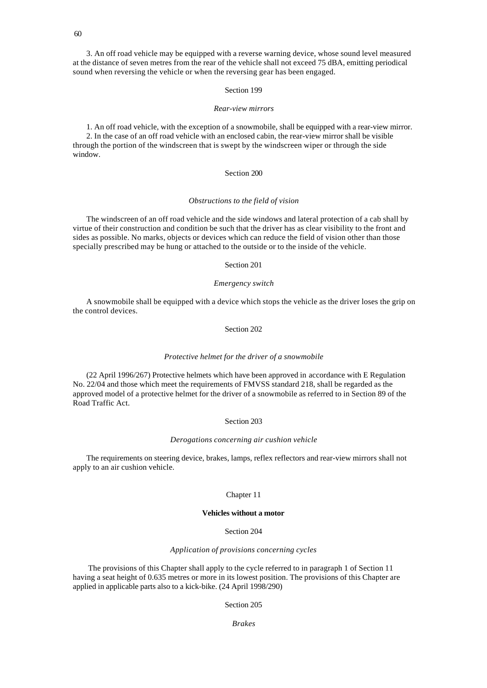3. An off road vehicle may be equipped with a reverse warning device, whose sound level measured at the distance of seven metres from the rear of the vehicle shall not exceed 75 dBA, emitting periodical sound when reversing the vehicle or when the reversing gear has been engaged.

# Section 199

#### *Rear-view mirrors*

1. An off road vehicle, with the exception of a snowmobile, shall be equipped with a rear-view mirror. 2. In the case of an off road vehicle with an enclosed cabin, the rear-view mirror shall be visible through the portion of the windscreen that is swept by the windscreen wiper or through the side window.

## Section 200

#### *Obstructions to the field of vision*

The windscreen of an off road vehicle and the side windows and lateral protection of a cab shall by virtue of their construction and condition be such that the driver has as clear visibility to the front and sides as possible. No marks, objects or devices which can reduce the field of vision other than those specially prescribed may be hung or attached to the outside or to the inside of the vehicle.

## Section 201

## *Emergency switch*

A snowmobile shall be equipped with a device which stops the vehicle as the driver loses the grip on the control devices.

# Section 202

#### *Protective helmet for the driver of a snowmobile*

(22 April 1996/267) Protective helmets which have been approved in accordance with E Regulation No. 22/04 and those which meet the requirements of FMVSS standard 218, shall be regarded as the approved model of a protective helmet for the driver of a snowmobile as referred to in Section 89 of the Road Traffic Act.

#### Section 203

#### *Derogations concerning air cushion vehicle*

The requirements on steering device, brakes, lamps, reflex reflectors and rear-view mirrors shall not apply to an air cushion vehicle.

## Chapter 11

# **Vehicles without a motor**

# Section 204

## *Application of provisions concerning cycles*

 The provisions of this Chapter shall apply to the cycle referred to in paragraph 1 of Section 11 having a seat height of 0.635 metres or more in its lowest position. The provisions of this Chapter are applied in applicable parts also to a kick-bike. (24 April 1998/290)

# Section 205

*Brakes*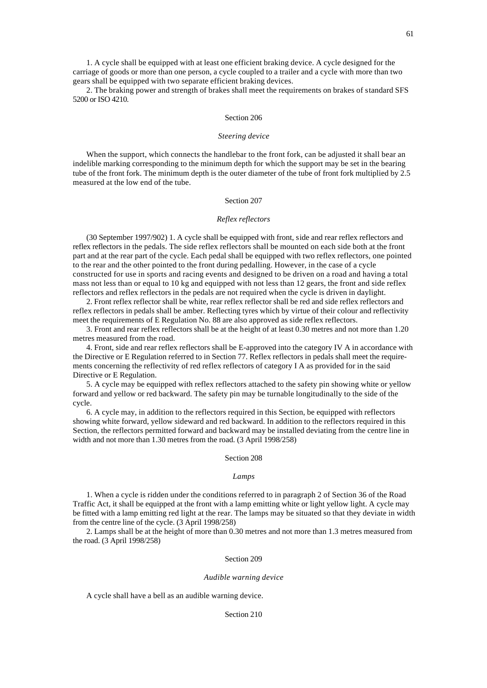2. The braking power and strength of brakes shall meet the requirements on brakes of standard SFS 5200 or ISO 4210.

#### Section 206

#### *Steering device*

When the support, which connects the handlebar to the front fork, can be adjusted it shall bear an indelible marking corresponding to the minimum depth for which the support may be set in the bearing tube of the front fork. The minimum depth is the outer diameter of the tube of front fork multiplied by 2.5 measured at the low end of the tube.

# Section 207

# *Reflex reflectors*

(30 September 1997/902) 1. A cycle shall be equipped with front, side and rear reflex reflectors and reflex reflectors in the pedals. The side reflex reflectors shall be mounted on each side both at the front part and at the rear part of the cycle. Each pedal shall be equipped with two reflex reflectors, one pointed to the rear and the other pointed to the front during pedalling. However, in the case of a cycle constructed for use in sports and racing events and designed to be driven on a road and having a total mass not less than or equal to 10 kg and equipped with not less than 12 gears, the front and side reflex reflectors and reflex reflectors in the pedals are not required when the cycle is driven in daylight.

2. Front reflex reflector shall be white, rear reflex reflector shall be red and side reflex reflectors and reflex reflectors in pedals shall be amber. Reflecting tyres which by virtue of their colour and reflectivity meet the requirements of E Regulation No. 88 are also approved as side reflex reflectors.

3. Front and rear reflex reflectors shall be at the height of at least 0.30 metres and not more than 1.20 metres measured from the road.

4. Front, side and rear reflex reflectors shall be E-approved into the category IV A in accordance with the Directive or E Regulation referred to in Section 77. Reflex reflectors in pedals shall meet the requirements concerning the reflectivity of red reflex reflectors of category I A as provided for in the said Directive or E Regulation.

5. A cycle may be equipped with reflex reflectors attached to the safety pin showing white or yellow forward and yellow or red backward. The safety pin may be turnable longitudinally to the side of the cycle.

6. A cycle may, in addition to the reflectors required in this Section, be equipped with reflectors showing white forward, yellow sideward and red backward. In addition to the reflectors required in this Section, the reflectors permitted forward and backward may be installed deviating from the centre line in width and not more than 1.30 metres from the road. (3 April 1998/258)

#### Section 208

#### *Lamps*

1. When a cycle is ridden under the conditions referred to in paragraph 2 of Section 36 of the Road Traffic Act, it shall be equipped at the front with a lamp emitting white or light yellow light. A cycle may be fitted with a lamp emitting red light at the rear. The lamps may be situated so that they deviate in width from the centre line of the cycle. (3 April 1998/258)

2. Lamps shall be at the height of more than 0.30 metres and not more than 1.3 metres measured from the road. (3 April 1998/258)

#### Section 209

#### *Audible warning device*

A cycle shall have a bell as an audible warning device.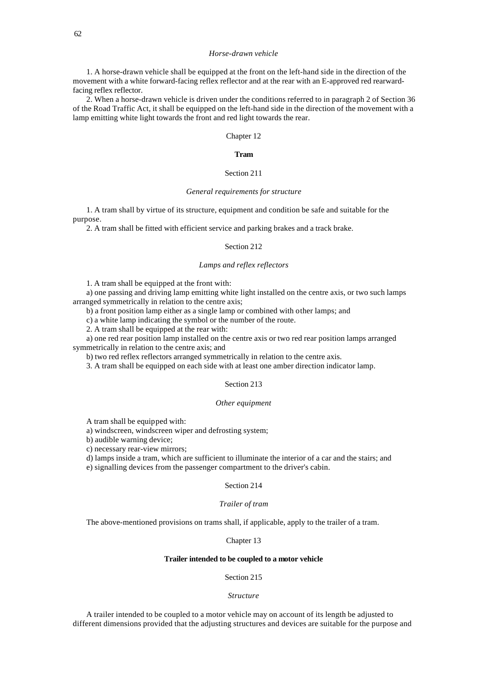#### *Horse-drawn vehicle*

1. A horse-drawn vehicle shall be equipped at the front on the left-hand side in the direction of the movement with a white forward-facing reflex reflector and at the rear with an E-approved red rearwardfacing reflex reflector.

2. When a horse-drawn vehicle is driven under the conditions referred to in paragraph 2 of Section 36 of the Road Traffic Act, it shall be equipped on the left-hand side in the direction of the movement with a lamp emitting white light towards the front and red light towards the rear.

## Chapter 12

## **Tram**

# Section 211

## *General requirements for structure*

1. A tram shall by virtue of its structure, equipment and condition be safe and suitable for the purpose.

2. A tram shall be fitted with efficient service and parking brakes and a track brake.

# Section 212

# *Lamps and reflex reflectors*

1. A tram shall be equipped at the front with:

a) one passing and driving lamp emitting white light installed on the centre axis, or two such lamps arranged symmetrically in relation to the centre axis;

b) a front position lamp either as a single lamp or combined with other lamps; and

c) a white lamp indicating the symbol or the number of the route.

2. A tram shall be equipped at the rear with:

a) one red rear position lamp installed on the centre axis or two red rear position lamps arranged symmetrically in relation to the centre axis; and

b) two red reflex reflectors arranged symmetrically in relation to the centre axis.

3. A tram shall be equipped on each side with at least one amber direction indicator lamp.

## Section 213

#### *Other equipment*

A tram shall be equipped with:

a) windscreen, windscreen wiper and defrosting system;

b) audible warning device;

c) necessary rear-view mirrors;

d) lamps inside a tram, which are sufficient to illuminate the interior of a car and the stairs; and

e) signalling devices from the passenger compartment to the driver's cabin.

## Section 214

# *Trailer of tram*

The above-mentioned provisions on trams shall, if applicable, apply to the trailer of a tram.

#### Chapter 13

## **Trailer intended to be coupled to a motor vehicle**

# Section 215

#### *Structure*

A trailer intended to be coupled to a motor vehicle may on account of its length be adjusted to different dimensions provided that the adjusting structures and devices are suitable for the purpose and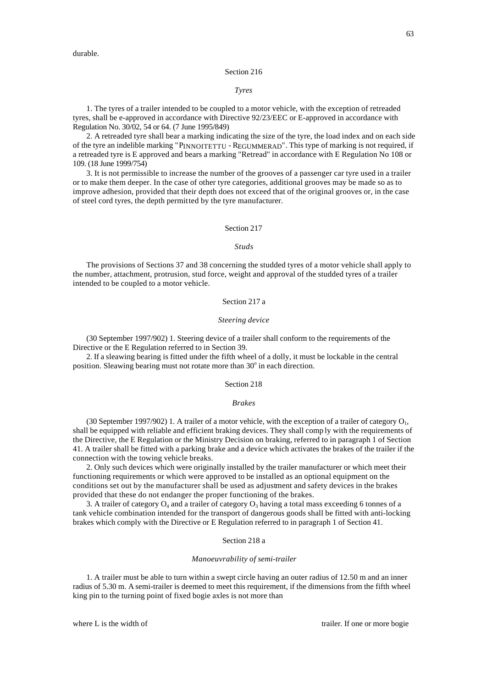durable.

#### Section 216

#### *Tyres*

1. The tyres of a trailer intended to be coupled to a motor vehicle, with the exception of retreaded tyres, shall be e-approved in accordance with Directive 92/23/EEC or E-approved in accordance with Regulation No. 30/02, 54 or 64. (7 June 1995/849)

2. A retreaded tyre shall bear a marking indicating the size of the tyre, the load index and on each side of the tyre an indelible marking "PINNOITETTU - REGUMMERAD". This type of marking is not required, if a retreaded tyre is E approved and bears a marking "Retread" in accordance with E Regulation No 108 or 109. (18 June 1999/754)

3. It is not permissible to increase the number of the grooves of a passenger car tyre used in a trailer or to make them deeper. In the case of other tyre categories, additional grooves may be made so as to improve adhesion, provided that their depth does not exceed that of the original grooves or, in the case of steel cord tyres, the depth permitted by the tyre manufacturer.

# Section 217

#### *Studs*

The provisions of Sections 37 and 38 concerning the studded tyres of a motor vehicle shall apply to the number, attachment, protrusion, stud force, weight and approval of the studded tyres of a trailer intended to be coupled to a motor vehicle.

# Section 217 a

## *Steering device*

(30 September 1997/902) 1. Steering device of a trailer shall conform to the requirements of the Directive or the E Regulation referred to in Section 39.

2. If a sleawing bearing is fitted under the fifth wheel of a dolly, it must be lockable in the central position. Sleawing bearing must not rotate more than 30° in each direction.

#### Section 218

#### *Brakes*

(30 September 1997/902) 1. A trailer of a motor vehicle, with the exception of a trailer of category  $O<sub>1</sub>$ , shall be equipped with reliable and efficient braking devices. They shall comp ly with the requirements of the Directive, the E Regulation or the Ministry Decision on braking, referred to in paragraph 1 of Section 41. A trailer shall be fitted with a parking brake and a device which activates the brakes of the trailer if the connection with the towing vehicle breaks.

2. Only such devices which were originally installed by the trailer manufacturer or which meet their functioning requirements or which were approved to be installed as an optional equipment on the conditions set out by the manufacturer shall be used as adjustment and safety devices in the brakes provided that these do not endanger the proper functioning of the brakes.

3. A trailer of category  $O_4$  and a trailer of category  $O_3$  having a total mass exceeding 6 tonnes of a tank vehicle combination intended for the transport of dangerous goods shall be fitted with anti-locking brakes which comply with the Directive or E Regulation referred to in paragraph 1 of Section 41.

## Section 218 a

# *Manoeuvrability of semi-trailer*

1. A trailer must be able to turn within a swept circle having an outer radius of 12.50 m and an inner radius of 5.30 m. A semi-trailer is deemed to meet this requirement, if the dimensions from the fifth wheel king pin to the turning point of fixed bogie axles is not more than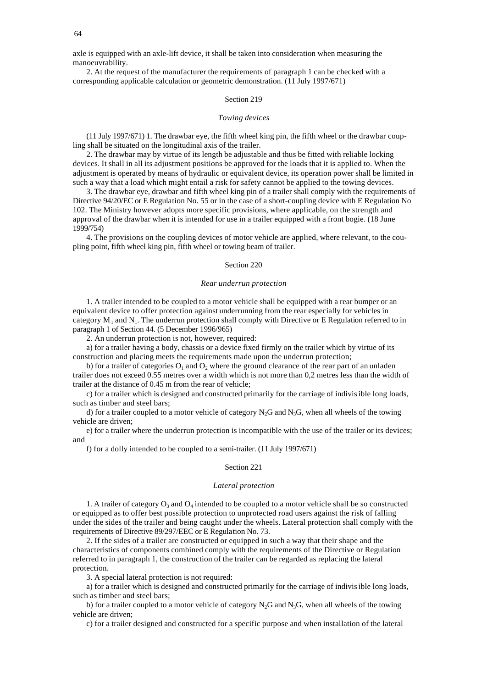64

axle is equipped with an axle-lift device, it shall be taken into consideration when measuring the manoeuvrability.

2. At the request of the manufacturer the requirements of paragraph 1 can be checked with a corresponding applicable calculation or geometric demonstration. (11 July 1997/671)

## Section 219

## *Towing devices*

(11 July 1997/671) 1. The drawbar eye, the fifth wheel king pin, the fifth wheel or the drawbar coupling shall be situated on the longitudinal axis of the trailer.

2. The drawbar may by virtue of its length be adjustable and thus be fitted with reliable locking devices. It shall in all its adjustment positions be approved for the loads that it is applied to. When the adjustment is operated by means of hydraulic or equivalent device, its operation power shall be limited in such a way that a load which might entail a risk for safety cannot be applied to the towing devices.

3. The drawbar eye, drawbar and fifth wheel king pin of a trailer shall comply with the requirements of Directive 94/20/EC or E Regulation No. 55 or in the case of a short-coupling device with E Regulation No 102. The Ministry however adopts more specific provisions, where applicable, on the strength and approval of the drawbar when it is intended for use in a trailer equipped with a front bogie. (18 June 1999/754)

4. The provisions on the coupling devices of motor vehicle are applied, where relevant, to the coupling point, fifth wheel king pin, fifth wheel or towing beam of trailer.

## Section 220

#### *Rear underrun protection*

1. A trailer intended to be coupled to a motor vehicle shall be equipped with a rear bumper or an equivalent device to offer protection against underrunning from the rear especially for vehicles in category  $M_1$  and  $N_1$ . The underrun protection shall comply with Directive or E Regulation referred to in paragraph 1 of Section 44. (5 December 1996/965)

2. An underrun protection is not, however, required:

a) for a trailer having a body, chassis or a device fixed firmly on the trailer which by virtue of its construction and placing meets the requirements made upon the underrun protection;

b) for a trailer of categories  $O_1$  and  $O_2$  where the ground clearance of the rear part of an unladen trailer does not exceed 0.55 metres over a width which is not more than 0,2 metres less than the width of trailer at the distance of 0.45 m from the rear of vehicle;

c) for a trailer which is designed and constructed primarily for the carriage of indivisible long loads, such as timber and steel bars;

d) for a trailer coupled to a motor vehicle of category  $N_2G$  and  $N_3G$ , when all wheels of the towing vehicle are driven;

e) for a trailer where the underrun protection is incompatible with the use of the trailer or its devices; and

f) for a dolly intended to be coupled to a semi-trailer. (11 July 1997/671)

#### Section 221

## *Lateral protection*

1. A trailer of category  $O_3$  and  $O_4$  intended to be coupled to a motor vehicle shall be so constructed or equipped as to offer best possible protection to unprotected road users against the risk of falling under the sides of the trailer and being caught under the wheels. Lateral protection shall comply with the requirements of Directive 89/297/EEC or E Regulation No. 73.

2. If the sides of a trailer are constructed or equipped in such a way that their shape and the characteristics of components combined comply with the requirements of the Directive or Regulation referred to in paragraph 1, the construction of the trailer can be regarded as replacing the lateral protection.

3. A special lateral protection is not required:

a) for a trailer which is designed and constructed primarily for the carriage of indivisible long loads, such as timber and steel bars;

b) for a trailer coupled to a motor vehicle of category  $N_2G$  and  $N_3G$ , when all wheels of the towing vehicle are driven;

c) for a trailer designed and constructed for a specific purpose and when installation of the lateral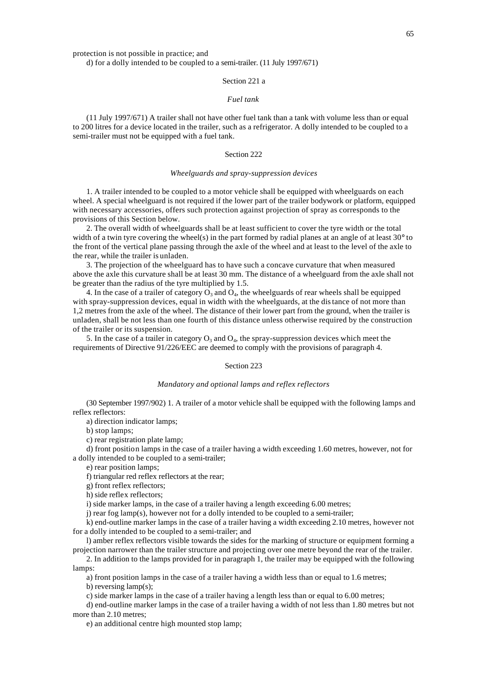protection is not possible in practice; and

d) for a dolly intended to be coupled to a semi-trailer. (11 July 1997/671)

# Section 221 a

# *Fuel tank*

(11 July 1997/671) A trailer shall not have other fuel tank than a tank with volume less than or equal to 200 litres for a device located in the trailer, such as a refrigerator. A dolly intended to be coupled to a semi-trailer must not be equipped with a fuel tank.

#### Section 222

## *Wheelguards and spray-suppression devices*

1. A trailer intended to be coupled to a motor vehicle shall be equipped with wheelguards on each wheel. A special wheelguard is not required if the lower part of the trailer bodywork or platform, equipped with necessary accessories, offers such protection against projection of spray as corresponds to the provisions of this Section below.

2. The overall width of wheelguards shall be at least sufficient to cover the tyre width or the total width of a twin tyre covering the wheel(s) in the part formed by radial planes at an angle of at least  $30^{\circ}$  to the front of the vertical plane passing through the axle of the wheel and at least to the level of the axle to the rear, while the trailer is unladen.

3. The projection of the wheelguard has to have such a concave curvature that when measured above the axle this curvature shall be at least 30 mm. The distance of a wheelguard from the axle shall not be greater than the radius of the tyre multiplied by 1.5.

4. In the case of a trailer of category  $O_3$  and  $O_4$ , the wheelguards of rear wheels shall be equipped with spray-suppression devices, equal in width with the wheelguards, at the distance of not more than 1,2 metres from the axle of the wheel. The distance of their lower part from the ground, when the trailer is unladen, shall be not less than one fourth of this distance unless otherwise required by the construction of the trailer or its suspension.

5. In the case of a trailer in category  $O_3$  and  $O_4$ , the spray-suppression devices which meet the requirements of Directive 91/226/EEC are deemed to comply with the provisions of paragraph 4.

#### Section 223

#### *Mandatory and optional lamps and reflex reflectors*

(30 September 1997/902) 1. A trailer of a motor vehicle shall be equipped with the following lamps and reflex reflectors:

a) direction indicator lamps;

b) stop lamps;

c) rear registration plate lamp;

d) front position lamps in the case of a trailer having a width exceeding 1.60 metres, however, not for a dolly intended to be coupled to a semi-trailer;

e) rear position lamps;

f) triangular red reflex reflectors at the rear;

g) front reflex reflectors;

h) side reflex reflectors;

i) side marker lamps, in the case of a trailer having a length exceeding 6.00 metres;

j) rear fog lamp(s), however not for a dolly intended to be coupled to a semi-trailer;

k) end-outline marker lamps in the case of a trailer having a width exceeding 2.10 metres, however not for a dolly intended to be coupled to a semi-trailer; and

l) amber reflex reflectors visible towards the sides for the marking of structure or equipment forming a projection narrower than the trailer structure and projecting over one metre beyond the rear of the trailer.

2. In addition to the lamps provided for in paragraph 1, the trailer may be equipped with the following lamps:

a) front position lamps in the case of a trailer having a width less than or equal to 1.6 metres;

b) reversing lamp(s);

c) side marker lamps in the case of a trailer having a length less than or equal to 6.00 metres;

d) end-outline marker lamps in the case of a trailer having a width of not less than 1.80 metres but not more than 2.10 metres;

e) an additional centre high mounted stop lamp;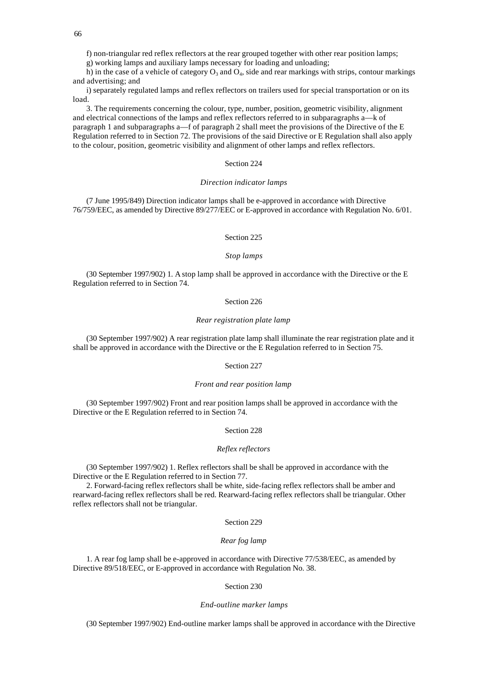f) non-triangular red reflex reflectors at the rear grouped together with other rear position lamps;

g) working lamps and auxiliary lamps necessary for loading and unloading;

h) in the case of a vehicle of category  $O_3$  and  $O_4$ , side and rear markings with strips, contour markings and advertising; and

i) separately regulated lamps and reflex reflectors on trailers used for special transportation or on its load.

3. The requirements concerning the colour, type, number, position, geometric visibility, alignment and electrical connections of the lamps and reflex reflectors referred to in subparagraphs a—k of paragraph 1 and subparagraphs a—f of paragraph 2 shall meet the provisions of the Directive of the E Regulation referred to in Section 72. The provisions of the said Directive or E Regulation shall also apply to the colour, position, geometric visibility and alignment of other lamps and reflex reflectors.

# Section 224

## *Direction indicator lamps*

(7 June 1995/849) Direction indicator lamps shall be e-approved in accordance with Directive 76/759/EEC, as amended by Directive 89/277/EEC or E-approved in accordance with Regulation No. 6/01.

## Section 225

## *Stop lamps*

(30 September 1997/902) 1. A stop lamp shall be approved in accordance with the Directive or the E Regulation referred to in Section 74.

#### Section 226

## *Rear registration plate lamp*

(30 September 1997/902) A rear registration plate lamp shall illuminate the rear registration plate and it shall be approved in accordance with the Directive or the E Regulation referred to in Section 75.

# Section 227

#### *Front and rear position lamp*

(30 September 1997/902) Front and rear position lamps shall be approved in accordance with the Directive or the E Regulation referred to in Section 74.

#### Section 228

# *Reflex reflectors*

(30 September 1997/902) 1. Reflex reflectors shall be shall be approved in accordance with the Directive or the E Regulation referred to in Section 77.

2. Forward-facing reflex reflectors shall be white, side-facing reflex reflectors shall be amber and rearward-facing reflex reflectors shall be red. Rearward-facing reflex reflectors shall be triangular. Other reflex reflectors shall not be triangular.

#### Section 229

# *Rear fog lamp*

1. A rear fog lamp shall be e-approved in accordance with Directive 77/538/EEC, as amended by Directive 89/518/EEC, or E-approved in accordance with Regulation No. 38.

## Section 230

#### *End-outline marker lamps*

(30 September 1997/902) End-outline marker lamps shall be approved in accordance with the Directive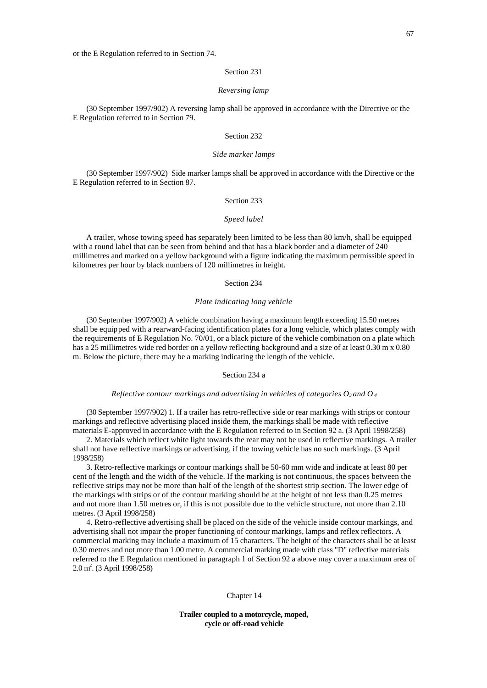#### Section 231

#### *Reversing lamp*

(30 September 1997/902) A reversing lamp shall be approved in accordance with the Directive or the E Regulation referred to in Section 79.

## Section 232

#### *Side marker lamps*

(30 September 1997/902) Side marker lamps shall be approved in accordance with the Directive or the E Regulation referred to in Section 87.

# Section 233

#### *Speed label*

A trailer, whose towing speed has separately been limited to be less than 80 km/h, shall be equipped with a round label that can be seen from behind and that has a black border and a diameter of 240 millimetres and marked on a yellow background with a figure indicating the maximum permissible speed in kilometres per hour by black numbers of 120 millimetres in height.

## Section 234

## *Plate indicating long vehicle*

(30 September 1997/902) A vehicle combination having a maximum length exceeding 15.50 metres shall be equipped with a rearward-facing identification plates for a long vehicle, which plates comply with the requirements of E Regulation No. 70/01, or a black picture of the vehicle combination on a plate which has a 25 millimetres wide red border on a yellow reflecting background and a size of at least 0.30 m x 0.80 m. Below the picture, there may be a marking indicating the length of the vehicle.

## Section 234 a

#### *Reflective contour markings and advertising in vehicles of categories O3 and O<sup>4</sup>*

(30 September 1997/902) 1. If a trailer has retro-reflective side or rear markings with strips or contour markings and reflective advertising placed inside them, the markings shall be made with reflective materials E-approved in accordance with the E Regulation referred to in Section 92 a. (3 April 1998/258)

2. Materials which reflect white light towards the rear may not be used in reflective markings. A trailer shall not have reflective markings or advertising, if the towing vehicle has no such markings. (3 April 1998/258)

3. Retro-reflective markings or contour markings shall be 50-60 mm wide and indicate at least 80 per cent of the length and the width of the vehicle. If the marking is not continuous, the spaces between the reflective strips may not be more than half of the length of the shortest strip section. The lower edge of the markings with strips or of the contour marking should be at the height of not less than 0.25 metres and not more than 1.50 metres or, if this is not possible due to the vehicle structure, not more than 2.10 metres. (3 April 1998/258)

4. Retro-reflective advertising shall be placed on the side of the vehicle inside contour markings, and advertising shall not impair the proper functioning of contour markings, lamps and reflex reflectors. A commercial marking may include a maximum of 15 characters. The height of the characters shall be at least 0.30 metres and not more than 1.00 metre. A commercial marking made with class "D" reflective materials referred to the E Regulation mentioned in paragraph 1 of Section 92 a above may cover a maximum area of 2.0 m<sup>2</sup>. (3 April 1998/258)

#### Chapter 14

**Trailer coupled to a motorcycle, moped, cycle or off-road vehicle**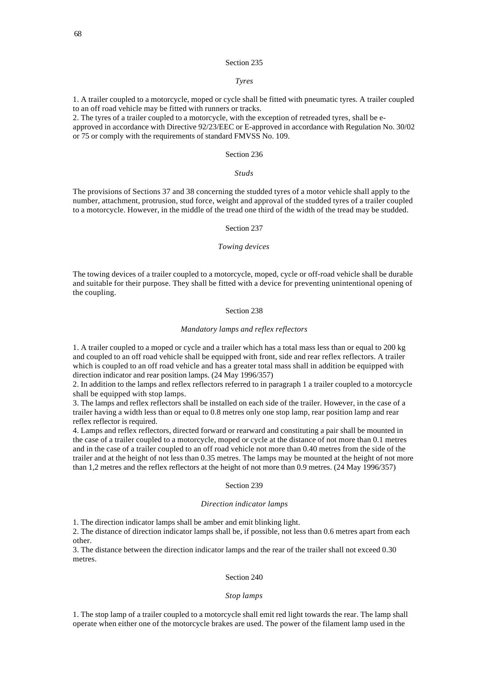## Section 235

# *Tyres*

1. A trailer coupled to a motorcycle, moped or cycle shall be fitted with pneumatic tyres. A trailer coupled to an off road vehicle may be fitted with runners or tracks.

2. The tyres of a trailer coupled to a motorcycle, with the exception of retreaded tyres, shall be eapproved in accordance with Directive 92/23/EEC or E-approved in accordance with Regulation No. 30/02 or 75 or comply with the requirements of standard FMVSS No. 109.

## Section 236

## *Studs*

The provisions of Sections 37 and 38 concerning the studded tyres of a motor vehicle shall apply to the number, attachment, protrusion, stud force, weight and approval of the studded tyres of a trailer coupled to a motorcycle. However, in the middle of the tread one third of the width of the tread may be studded.

#### Section 237

#### *Towing devices*

The towing devices of a trailer coupled to a motorcycle, moped, cycle or off-road vehicle shall be durable and suitable for their purpose. They shall be fitted with a device for preventing unintentional opening of the coupling.

# Section 238

## *Mandatory lamps and reflex reflectors*

1. A trailer coupled to a moped or cycle and a trailer which has a total mass less than or equal to 200 kg and coupled to an off road vehicle shall be equipped with front, side and rear reflex reflectors. A trailer which is coupled to an off road vehicle and has a greater total mass shall in addition be equipped with direction indicator and rear position lamps. (24 May 1996/357)

2. In addition to the lamps and reflex reflectors referred to in paragraph 1 a trailer coupled to a motorcycle shall be equipped with stop lamps.

3. The lamps and reflex reflectors shall be installed on each side of the trailer. However, in the case of a trailer having a width less than or equal to 0.8 metres only one stop lamp, rear position lamp and rear reflex reflector is required.

4. Lamps and reflex reflectors, directed forward or rearward and constituting a pair shall be mounted in the case of a trailer coupled to a motorcycle, moped or cycle at the distance of not more than 0.1 metres and in the case of a trailer coupled to an off road vehicle not more than 0.40 metres from the side of the trailer and at the height of not less than 0.35 metres. The lamps may be mounted at the height of not more than 1,2 metres and the reflex reflectors at the height of not more than 0.9 metres. (24 May 1996/357)

#### Section 239

# *Direction indicator lamps*

1. The direction indicator lamps shall be amber and emit blinking light.

2. The distance of direction indicator lamps shall be, if possible, not less than 0.6 metres apart from each other.

3. The distance between the direction indicator lamps and the rear of the trailer shall not exceed 0.30 metres.

#### Section 240

#### *Stop lamps*

1. The stop lamp of a trailer coupled to a motorcycle shall emit red light towards the rear. The lamp shall operate when either one of the motorcycle brakes are used. The power of the filament lamp used in the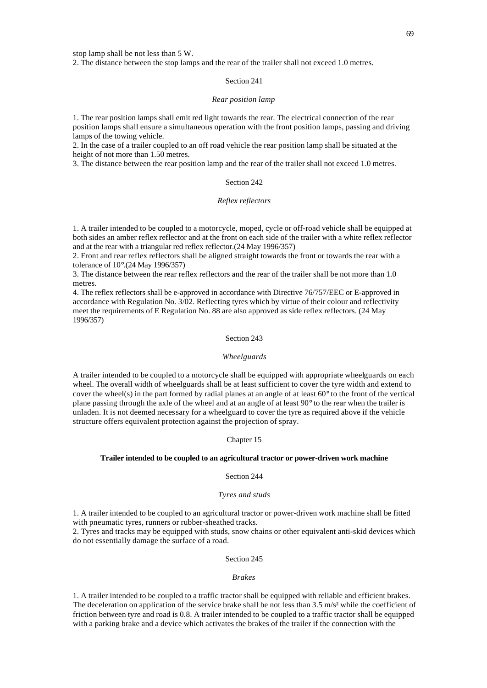stop lamp shall be not less than 5 W.

2. The distance between the stop lamps and the rear of the trailer shall not exceed 1.0 metres.

## Section 241

#### *Rear position lamp*

1. The rear position lamps shall emit red light towards the rear. The electrical connection of the rear position lamps shall ensure a simultaneous operation with the front position lamps, passing and driving lamps of the towing vehicle.

2. In the case of a trailer coupled to an off road vehicle the rear position lamp shall be situated at the height of not more than 1.50 metres.

3. The distance between the rear position lamp and the rear of the trailer shall not exceed 1.0 metres.

# Section 242

# *Reflex reflectors*

1. A trailer intended to be coupled to a motorcycle, moped, cycle or off-road vehicle shall be equipped at both sides an amber reflex reflector and at the front on each side of the trailer with a white reflex reflector and at the rear with a triangular red reflex reflector.(24 May 1996/357)

2. Front and rear reflex reflectors shall be aligned straight towards the front or towards the rear with a tolerance of 10°.(24 May 1996/357)

3. The distance between the rear reflex reflectors and the rear of the trailer shall be not more than 1.0 metres.

4. The reflex reflectors shall be e-approved in accordance with Directive 76/757/EEC or E-approved in accordance with Regulation No. 3/02. Reflecting tyres which by virtue of their colour and reflectivity meet the requirements of E Regulation No. 88 are also approved as side reflex reflectors. (24 May 1996/357)

# Section 243

## *Wheelguards*

A trailer intended to be coupled to a motorcycle shall be equipped with appropriate wheelguards on each wheel. The overall width of wheelguards shall be at least sufficient to cover the tyre width and extend to cover the wheel(s) in the part formed by radial planes at an angle of at least 60° to the front of the vertical plane passing through the axle of the wheel and at an angle of at least 90° to the rear when the trailer is unladen. It is not deemed necessary for a wheelguard to cover the tyre as required above if the vehicle structure offers equivalent protection against the projection of spray.

#### Chapter 15

## **Trailer intended to be coupled to an agricultural tractor or power-driven work machine**

#### Section 244

#### *Tyres and studs*

1. A trailer intended to be coupled to an agricultural tractor or power-driven work machine shall be fitted with pneumatic tyres, runners or rubber-sheathed tracks.

2. Tyres and tracks may be equipped with studs, snow chains or other equivalent anti-skid devices which do not essentially damage the surface of a road.

## Section 245

## *Brakes*

1. A trailer intended to be coupled to a traffic tractor shall be equipped with reliable and efficient brakes. The deceleration on application of the service brake shall be not less than  $3.5 \text{ m/s}^2$  while the coefficient of friction between tyre and road is 0.8. A trailer intended to be coupled to a traffic tractor shall be equipped with a parking brake and a device which activates the brakes of the trailer if the connection with the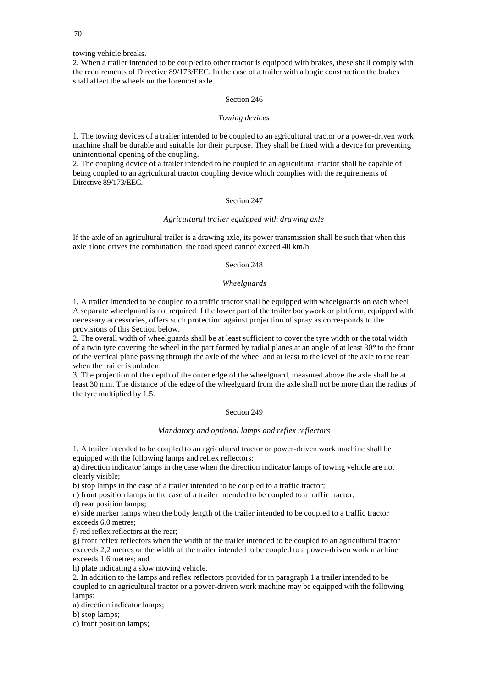towing vehicle breaks.

2. When a trailer intended to be coupled to other tractor is equipped with brakes, these shall comply with the requirements of Directive 89/173/EEC. In the case of a trailer with a bogie construction the brakes shall affect the wheels on the foremost axle.

# Section 246

## *Towing devices*

1. The towing devices of a trailer intended to be coupled to an agricultural tractor or a power-driven work machine shall be durable and suitable for their purpose. They shall be fitted with a device for preventing unintentional opening of the coupling.

2. The coupling device of a trailer intended to be coupled to an agricultural tractor shall be capable of being coupled to an agricultural tractor coupling device which complies with the requirements of Directive 89/173/EEC.

# Section 247

## *Agricultural trailer equipped with drawing axle*

If the axle of an agricultural trailer is a drawing axle, its power transmission shall be such that when this axle alone drives the combination, the road speed cannot exceed 40 km/h.

# Section 248

# *Wheelguards*

1. A trailer intended to be coupled to a traffic tractor shall be equipped with wheelguards on each wheel. A separate wheelguard is not required if the lower part of the trailer bodywork or platform, equipped with necessary accessories, offers such protection against projection of spray as corresponds to the provisions of this Section below.

2. The overall width of wheelguards shall be at least sufficient to cover the tyre width or the total width of a twin tyre covering the wheel in the part formed by radial planes at an angle of at least 30° to the front of the vertical plane passing through the axle of the wheel and at least to the level of the axle to the rear when the trailer is unladen.

3. The projection of the depth of the outer edge of the wheelguard, measured above the axle shall be at least 30 mm. The distance of the edge of the wheelguard from the axle shall not be more than the radius of the tyre multiplied by 1.5.

#### Section 249

## *Mandatory and optional lamps and reflex reflectors*

1. A trailer intended to be coupled to an agricultural tractor or power-driven work machine shall be equipped with the following lamps and reflex reflectors:

a) direction indicator lamps in the case when the direction indicator lamps of towing vehicle are not clearly visible;

b) stop lamps in the case of a trailer intended to be coupled to a traffic tractor;

c) front position lamps in the case of a trailer intended to be coupled to a traffic tractor; d) rear position lamps;

e) side marker lamps when the body length of the trailer intended to be coupled to a traffic tractor exceeds 6.0 metres;

f) red reflex reflectors at the rear;

g) front reflex reflectors when the width of the trailer intended to be coupled to an agricultural tractor exceeds 2,2 metres or the width of the trailer intended to be coupled to a power-driven work machine exceeds 1.6 metres; and

h) plate indicating a slow moving vehicle.

2. In addition to the lamps and reflex reflectors provided for in paragraph 1 a trailer intended to be coupled to an agricultural tractor or a power-driven work machine may be equipped with the following lamps:

a) direction indicator lamps;

b) stop lamps;

c) front position lamps;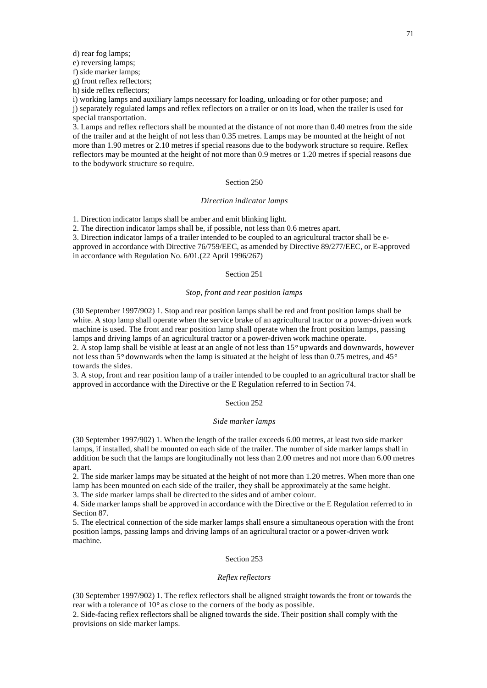d) rear fog lamps;

e) reversing lamps;

f) side marker lamps;

g) front reflex reflectors;

h) side reflex reflectors;

i) working lamps and auxiliary lamps necessary for loading, unloading or for other purpose; and j) separately regulated lamps and reflex reflectors on a trailer or on its load, when the trailer is used for special transportation.

3. Lamps and reflex reflectors shall be mounted at the distance of not more than 0.40 metres from the side of the trailer and at the height of not less than 0.35 metres. Lamps may be mounted at the height of not more than 1.90 metres or 2.10 metres if special reasons due to the bodywork structure so require. Reflex reflectors may be mounted at the height of not more than 0.9 metres or 1.20 metres if special reasons due to the bodywork structure so require.

# Section 250

## *Direction indicator lamps*

1. Direction indicator lamps shall be amber and emit blinking light.

2. The direction indicator lamps shall be, if possible, not less than 0.6 metres apart.

3. Direction indicator lamps of a trailer intended to be coupled to an agricultural tractor shall be eapproved in accordance with Directive 76/759/EEC, as amended by Directive 89/277/EEC, or E-approved in accordance with Regulation No. 6/01.(22 April 1996/267)

#### Section 251

## *Stop, front and rear position lamps*

(30 September 1997/902) 1. Stop and rear position lamps shall be red and front position lamps shall be white. A stop lamp shall operate when the service brake of an agricultural tractor or a power-driven work machine is used. The front and rear position lamp shall operate when the front position lamps, passing lamps and driving lamps of an agricultural tractor or a power-driven work machine operate. 2. A stop lamp shall be visible at least at an angle of not less than 15° upwards and downwards, however

not less than 5° downwards when the lamp is situated at the height of less than 0.75 metres, and 45° towards the sides.

3. A stop, front and rear position lamp of a trailer intended to be coupled to an agricultural tractor shall be approved in accordance with the Directive or the E Regulation referred to in Section 74.

# Section 252

#### *Side marker lamps*

(30 September 1997/902) 1. When the length of the trailer exceeds 6.00 metres, at least two side marker lamps, if installed, shall be mounted on each side of the trailer. The number of side marker lamps shall in addition be such that the lamps are longitudinally not less than 2.00 metres and not more than 6.00 metres apart.

2. The side marker lamps may be situated at the height of not more than 1.20 metres. When more than one lamp has been mounted on each side of the trailer, they shall be approximately at the same height.

3. The side marker lamps shall be directed to the sides and of amber colour.

4. Side marker lamps shall be approved in accordance with the Directive or the E Regulation referred to in Section 87.

5. The electrical connection of the side marker lamps shall ensure a simultaneous operation with the front position lamps, passing lamps and driving lamps of an agricultural tractor or a power-driven work machine.

## Section 253

#### *Reflex reflectors*

(30 September 1997/902) 1. The reflex reflectors shall be aligned straight towards the front or towards the rear with a tolerance of 10° as close to the corners of the body as possible.

2. Side-facing reflex reflectors shall be aligned towards the side. Their position shall comply with the provisions on side marker lamps.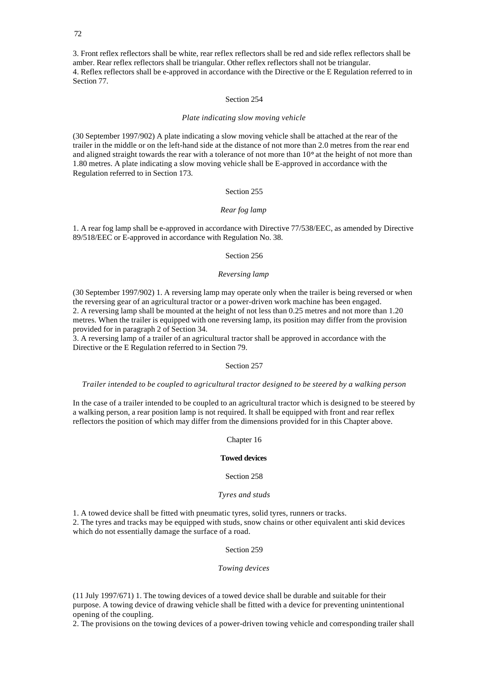3. Front reflex reflectors shall be white, rear reflex reflectors shall be red and side reflex reflectors shall be amber. Rear reflex reflectors shall be triangular. Other reflex reflectors shall not be triangular. 4. Reflex reflectors shall be e-approved in accordance with the Directive or the E Regulation referred to in Section 77.

## Section 254

#### *Plate indicating slow moving vehicle*

(30 September 1997/902) A plate indicating a slow moving vehicle shall be attached at the rear of the trailer in the middle or on the left-hand side at the distance of not more than 2.0 metres from the rear end and aligned straight towards the rear with a tolerance of not more than 10° at the height of not more than 1.80 metres. A plate indicating a slow moving vehicle shall be E-approved in accordance with the Regulation referred to in Section 173.

# Section 255

# *Rear fog lamp*

1. A rear fog lamp shall be e-approved in accordance with Directive 77/538/EEC, as amended by Directive 89/518/EEC or E-approved in accordance with Regulation No. 38.

# Section 256

## *Reversing lamp*

(30 September 1997/902) 1. A reversing lamp may operate only when the trailer is being reversed or when the reversing gear of an agricultural tractor or a power-driven work machine has been engaged. 2. A reversing lamp shall be mounted at the height of not less than 0.25 metres and not more than 1.20 metres. When the trailer is equipped with one reversing lamp, its position may differ from the provision provided for in paragraph 2 of Section 34.

3. A reversing lamp of a trailer of an agricultural tractor shall be approved in accordance with the Directive or the E Regulation referred to in Section 79.

## Section 257

## *Trailer intended to be coupled to agricultural tractor designed to be steered by a walking person*

In the case of a trailer intended to be coupled to an agricultural tractor which is designed to be steered by a walking person, a rear position lamp is not required. It shall be equipped with front and rear reflex reflectors the position of which may differ from the dimensions provided for in this Chapter above.

Chapter 16

#### **Towed devices**

## Section 258

#### *Tyres and studs*

1. A towed device shall be fitted with pneumatic tyres, solid tyres, runners or tracks.

2. The tyres and tracks may be equipped with studs, snow chains or other equivalent anti skid devices which do not essentially damage the surface of a road.

# Section 259

## *Towing devices*

(11 July 1997/671) 1. The towing devices of a towed device shall be durable and suitable for their purpose. A towing device of drawing vehicle shall be fitted with a device for preventing unintentional opening of the coupling.

2. The provisions on the towing devices of a power-driven towing vehicle and corresponding trailer shall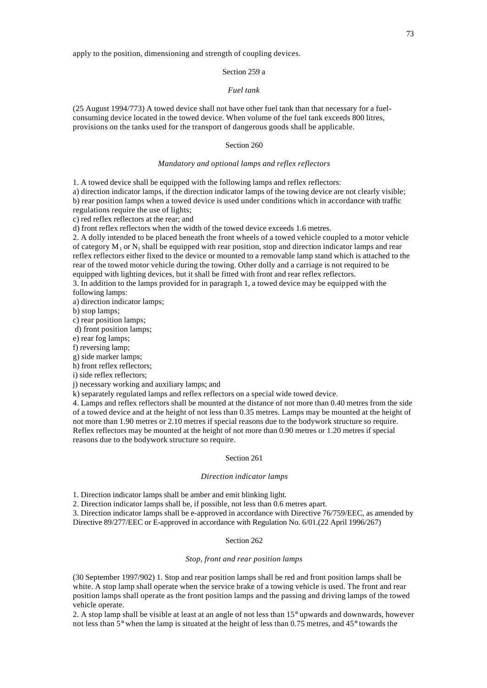# Section 259 a

# *Fuel tank*

(25 August 1994/773) A towed device shall not have other fuel tank than that necessary for a fuelconsuming device located in the towed device. When volume of the fuel tank exceeds 800 litres, provisions on the tanks used for the transport of dangerous goods shall be applicable.

## Section 260

#### *Mandatory and optional lamps and reflex reflectors*

1. A towed device shall be equipped with the following lamps and reflex reflectors:

a) direction indicator lamps, if the direction indicator lamps of the towing device are not clearly visible; b) rear position lamps when a towed device is used under conditions which in accordance with traffic regulations require the use of lights;

c) red reflex reflectors at the rear; and

d) front reflex reflectors when the width of the towed device exceeds 1.6 metres.

2. A dolly intended to be placed beneath the front wheels of a towed vehicle coupled to a motor vehicle of category  $M_1$  or  $N_1$  shall be equipped with rear position, stop and direction indicator lamps and rear reflex reflectors either fixed to the device or mounted to a removable lamp stand which is attached to the rear of the towed motor vehicle during the towing. Other dolly and a carriage is not required to be equipped with lighting devices, but it shall be fitted with front and rear reflex reflectors.

3. In addition to the lamps provided for in paragraph 1, a towed device may be equipped with the following lamps:

a) direction indicator lamps;

b) stop lamps;

c) rear position lamps;

d) front position lamps;

e) rear fog lamps;

f) reversing lamp;

g) side marker lamps;

h) front reflex reflectors;

i) side reflex reflectors;

j) necessary working and auxiliary lamps; and

k) separately regulated lamps and reflex reflectors on a special wide towed device.

4. Lamps and reflex reflectors shall be mounted at the distance of not more than 0.40 metres from the side of a towed device and at the height of not less than 0.35 metres. Lamps may be mounted at the height of not more than 1.90 metres or 2.10 metres if special reasons due to the bodywork structure so require. Reflex reflectors may be mounted at the height of not more than 0.90 metres or 1.20 metres if special reasons due to the bodywork structure so require.

#### Section 261

### *Direction indicator lamps*

1. Direction indicator lamps shall be amber and emit blinking light.

2. Direction indicator lamps shall be, if possible, not less than 0.6 metres apart.

3. Direction indicator lamps shall be e-approved in accordance with Directive 76/759/EEC, as amended by Directive 89/277/EEC or E-approved in accordance with Regulation No. 6/01.(22 April 1996/267)

## Section 262

# *Stop, front and rear position lamps*

(30 September 1997/902) 1. Stop and rear position lamps shall be red and front position lamps shall be white. A stop lamp shall operate when the service brake of a towing vehicle is used. The front and rear position lamps shall operate as the front position lamps and the passing and driving lamps of the towed vehicle operate.

2. A stop lamp shall be visible at least at an angle of not less than 15° upwards and downwards, however not less than 5° when the lamp is situated at the height of less than 0.75 metres, and 45° towards the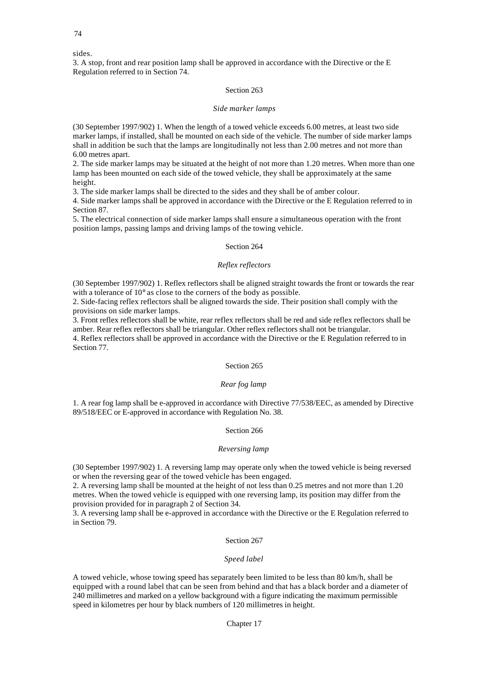sides.

3. A stop, front and rear position lamp shall be approved in accordance with the Directive or the E Regulation referred to in Section 74.

# Section 263

## *Side marker lamps*

(30 September 1997/902) 1. When the length of a towed vehicle exceeds 6.00 metres, at least two side marker lamps, if installed, shall be mounted on each side of the vehicle. The number of side marker lamps shall in addition be such that the lamps are longitudinally not less than 2.00 metres and not more than 6.00 metres apart.

2. The side marker lamps may be situated at the height of not more than 1.20 metres. When more than one lamp has been mounted on each side of the towed vehicle, they shall be approximately at the same height.

3. The side marker lamps shall be directed to the sides and they shall be of amber colour.

4. Side marker lamps shall be approved in accordance with the Directive or the E Regulation referred to in Section 87.

5. The electrical connection of side marker lamps shall ensure a simultaneous operation with the front position lamps, passing lamps and driving lamps of the towing vehicle.

# Section 264

# *Reflex reflectors*

(30 September 1997/902) 1. Reflex reflectors shall be aligned straight towards the front or towards the rear with a tolerance of  $10^{\circ}$  as close to the corners of the body as possible.

2. Side-facing reflex reflectors shall be aligned towards the side. Their position shall comply with the provisions on side marker lamps.

3. Front reflex reflectors shall be white, rear reflex reflectors shall be red and side reflex reflectors shall be amber. Rear reflex reflectors shall be triangular. Other reflex reflectors shall not be triangular.

4. Reflex reflectors shall be approved in accordance with the Directive or the E Regulation referred to in Section 77.

# Section 265

#### *Rear fog lamp*

1. A rear fog lamp shall be e-approved in accordance with Directive 77/538/EEC, as amended by Directive 89/518/EEC or E-approved in accordance with Regulation No. 38.

# Section 266

#### *Reversing lamp*

(30 September 1997/902) 1. A reversing lamp may operate only when the towed vehicle is being reversed or when the reversing gear of the towed vehicle has been engaged.

2. A reversing lamp shall be mounted at the height of not less than 0.25 metres and not more than 1.20 metres. When the towed vehicle is equipped with one reversing lamp, its position may differ from the provision provided for in paragraph 2 of Section 34.

3. A reversing lamp shall be e-approved in accordance with the Directive or the E Regulation referred to in Section 79.

#### Section 267

# *Speed label*

A towed vehicle, whose towing speed has separately been limited to be less than 80 km/h, shall be equipped with a round label that can be seen from behind and that has a black border and a diameter of 240 millimetres and marked on a yellow background with a figure indicating the maximum permissible speed in kilometres per hour by black numbers of 120 millimetres in height.

# Chapter 17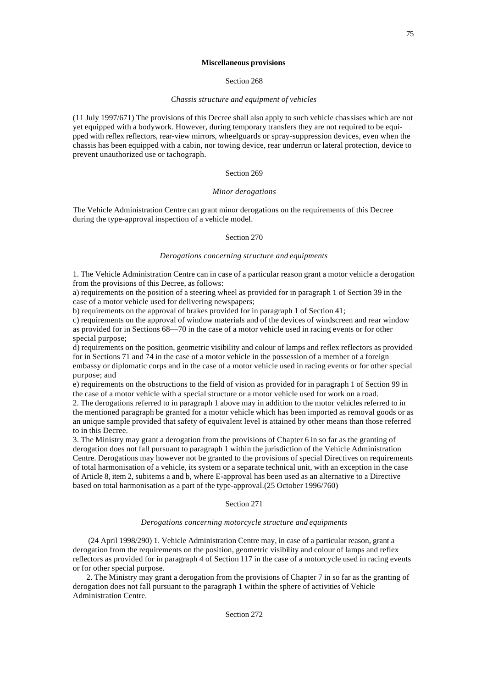#### **Miscellaneous provisions**

# Section 268

#### *Chassis structure and equipment of vehicles*

(11 July 1997/671) The provisions of this Decree shall also apply to such vehicle chassises which are not yet equipped with a bodywork. However, during temporary transfers they are not required to be equipped with reflex reflectors, rear-view mirrors, wheelguards or spray-suppression devices, even when the chassis has been equipped with a cabin, nor towing device, rear underrun or lateral protection, device to prevent unauthorized use or tachograph.

### Section 269

## *Minor derogations*

The Vehicle Administration Centre can grant minor derogations on the requirements of this Decree during the type-approval inspection of a vehicle model.

# Section 270

### *Derogations concerning structure and equipments*

1. The Vehicle Administration Centre can in case of a particular reason grant a motor vehicle a derogation from the provisions of this Decree, as follows:

a) requirements on the position of a steering wheel as provided for in paragraph 1 of Section 39 in the case of a motor vehicle used for delivering newspapers;

b) requirements on the approval of brakes provided for in paragraph 1 of Section 41;

c) requirements on the approval of window materials and of the devices of windscreen and rear window as provided for in Sections 68—70 in the case of a motor vehicle used in racing events or for other special purpose;

d) requirements on the position, geometric visibility and colour of lamps and reflex reflectors as provided for in Sections 71 and 74 in the case of a motor vehicle in the possession of a member of a foreign embassy or diplomatic corps and in the case of a motor vehicle used in racing events or for other special purpose; and

e) requirements on the obstructions to the field of vision as provided for in paragraph 1 of Section 99 in the case of a motor vehicle with a special structure or a motor vehicle used for work on a road.

2. The derogations referred to in paragraph 1 above may in addition to the motor vehicles referred to in the mentioned paragraph be granted for a motor vehicle which has been imported as removal goods or as an unique sample provided that safety of equivalent level is attained by other means than those referred to in this Decree.

3. The Ministry may grant a derogation from the provisions of Chapter 6 in so far as the granting of derogation does not fall pursuant to paragraph 1 within the jurisdiction of the Vehicle Administration Centre. Derogations may however not be granted to the provisions of special Directives on requirements of total harmonisation of a vehicle, its system or a separate technical unit, with an exception in the case of Article 8, item 2, subitems a and b, where E-approval has been used as an alternative to a Directive based on total harmonisation as a part of the type-approval.(25 October 1996/760)

# Section 271

#### *Derogations concerning motorcycle structure and equipments*

 (24 April 1998/290) 1. Vehicle Administration Centre may, in case of a particular reason, grant a derogation from the requirements on the position, geometric visibility and colour of lamps and reflex reflectors as provided for in paragraph 4 of Section 117 in the case of a motorcycle used in racing events or for other special purpose.

2. The Ministry may grant a derogation from the provisions of Chapter 7 in so far as the granting of derogation does not fall pursuant to the paragraph 1 within the sphere of activities of Vehicle Administration Centre.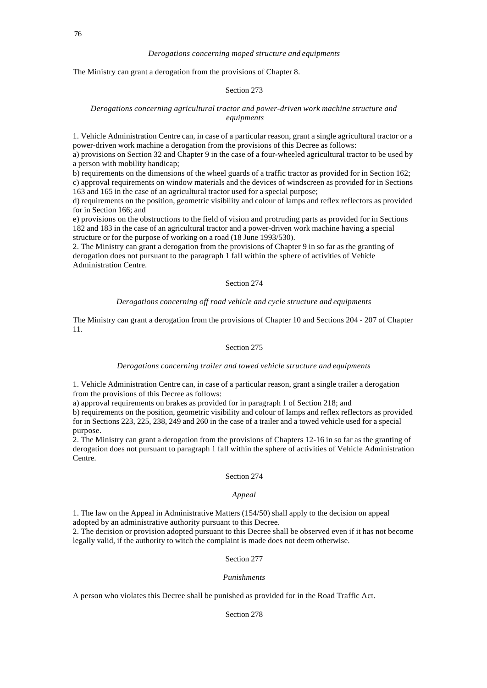#### *Derogations concerning moped structure and equipments*

The Ministry can grant a derogation from the provisions of Chapter 8.

#### Section 273

# *Derogations concerning agricultural tractor and power-driven work machine structure and equipments*

1. Vehicle Administration Centre can, in case of a particular reason, grant a single agricultural tractor or a power-driven work machine a derogation from the provisions of this Decree as follows:

a) provisions on Section 32 and Chapter 9 in the case of a four-wheeled agricultural tractor to be used by a person with mobility handicap;

b) requirements on the dimensions of the wheel guards of a traffic tractor as provided for in Section 162; c) approval requirements on window materials and the devices of windscreen as provided for in Sections 163 and 165 in the case of an agricultural tractor used for a special purpose;

d) requirements on the position, geometric visibility and colour of lamps and reflex reflectors as provided for in Section 166; and

e) provisions on the obstructions to the field of vision and protruding parts as provided for in Sections 182 and 183 in the case of an agricultural tractor and a power-driven work machine having a special structure or for the purpose of working on a road (18 June 1993/530).

2. The Ministry can grant a derogation from the provisions of Chapter 9 in so far as the granting of derogation does not pursuant to the paragraph 1 fall within the sphere of activities of Vehicle Administration Centre.

# Section 274

# *Derogations concerning off road vehicle and cycle structure and equipments*

The Ministry can grant a derogation from the provisions of Chapter 10 and Sections 204 - 207 of Chapter 11.

# Section 275

#### *Derogations concerning trailer and towed vehicle structure and equipments*

1. Vehicle Administration Centre can, in case of a particular reason, grant a single trailer a derogation from the provisions of this Decree as follows:

a) approval requirements on brakes as provided for in paragraph 1 of Section 218; and

b) requirements on the position, geometric visibility and colour of lamps and reflex reflectors as provided for in Sections 223, 225, 238, 249 and 260 in the case of a trailer and a towed vehicle used for a special purpose.

2. The Ministry can grant a derogation from the provisions of Chapters 12-16 in so far as the granting of derogation does not pursuant to paragraph 1 fall within the sphere of activities of Vehicle Administration Centre.

#### Section 274

#### *Appeal*

1. The law on the Appeal in Administrative Matters (154/50) shall apply to the decision on appeal adopted by an administrative authority pursuant to this Decree.

2. The decision or provision adopted pursuant to this Decree shall be observed even if it has not become legally valid, if the authority to witch the complaint is made does not deem otherwise.

# Section 277

# *Punishments*

A person who violates this Decree shall be punished as provided for in the Road Traffic Act.

Section 278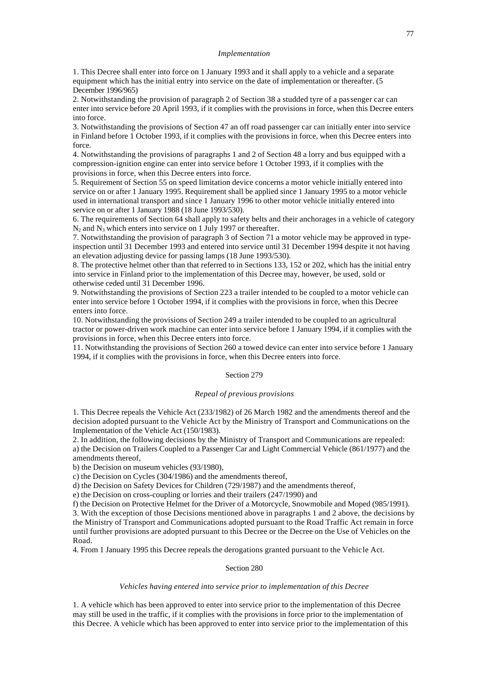#### *Implementation*

1. This Decree shall enter into force on 1 January 1993 and it shall apply to a vehicle and a separate equipment which has the initial entry into service on the date of implementation or thereafter. (5 December 1996/965)

2. Notwithstanding the provision of paragraph 2 of Section 38 a studded tyre of a passenger car can enter into service before 20 April 1993, if it complies with the provisions in force, when this Decree enters into force.

3. Notwithstanding the provisions of Section 47 an off road passenger car can initially enter into service in Finland before 1 October 1993, if it complies with the provisions in force, when this Decree enters into force.

4. Notwithstanding the provisions of paragraphs 1 and 2 of Section 48 a lorry and bus equipped with a compression-ignition engine can enter into service before 1 October 1993, if it complies with the provisions in force, when this Decree enters into force.

5. Requirement of Section 55 on speed limitation device concerns a motor vehicle initially entered into service on or after 1 January 1995. Requirement shall be applied since 1 January 1995 to a motor vehicle used in international transport and since 1 January 1996 to other motor vehicle initially entered into service on or after 1 January 1988 (18 June 1993/530).

6. The requirements of Section 64 shall apply to safety belts and their anchorages in a vehicle of category  $N_2$  and  $N_3$  which enters into service on 1 July 1997 or thereafter.

7. Notwithstanding the provision of paragraph 3 of Section 71 a motor vehicle may be approved in typeinspection until 31 December 1993 and entered into service until 31 December 1994 despite it not having an elevation adjusting device for passing lamps (18 June 1993/530).

8. The protective helmet other than that referred to in Sections 133, 152 or 202, which has the initial entry into service in Finland prior to the implementation of this Decree may, however, be used, sold or otherwise ceded until 31 December 1996.

9. Notwithstanding the provisions of Section 223 a trailer intended to be coupled to a motor vehicle can enter into service before 1 October 1994, if it complies with the provisions in force, when this Decree enters into force.

10. Notwithstanding the provisions of Section 249 a trailer intended to be coupled to an agricultural tractor or power-driven work machine can enter into service before 1 January 1994, if it complies with the provisions in force, when this Decree enters into force.

11. Notwithstanding the provisions of Section 260 a towed device can enter into service before 1 January 1994, if it complies with the provisions in force, when this Decree enters into force.

### Section 279

### *Repeal of previous provisions*

1. This Decree repeals the Vehicle Act (233/1982) of 26 March 1982 and the amendments thereof and the decision adopted pursuant to the Vehicle Act by the Ministry of Transport and Communications on the Implementation of the Vehicle Act (150/1983).

2. In addition, the following decisions by the Ministry of Transport and Communications are repealed: a) the Decision on Trailers Coupled to a Passenger Car and Light Commercial Vehicle (861/1977) and the amendments thereof,

b) the Decision on museum vehicles (93/1980),

c) the Decision on Cycles (304/1986) and the amendments thereof,

d) the Decision on Safety Devices for Children (729/1987) and the amendments thereof,

e) the Decision on cross-coupling or lorries and their trailers (247/1990) and

f) the Decision on Protective Helmet for the Driver of a Motorcycle, Snowmobile and Moped (985/1991).

3. With the exception of those Decisions mentioned above in paragraphs 1 and 2 above, the decisions by the Ministry of Transport and Communications adopted pursuant to the Road Traffic Act remain in force until further provisions are adopted pursuant to this Decree or the Decree on the Use of Vehicles on the Road.

4. From 1 January 1995 this Decree repeals the derogations granted pursuant to the Vehicle Act.

## Section 280

#### *Vehicles having entered into service prior to implementation of this Decree*

1. A vehicle which has been approved to enter into service prior to the implementation of this Decree may still be used in the traffic, if it complies with the provisions in force prior to the implementation of this Decree. A vehicle which has been approved to enter into service prior to the implementation of this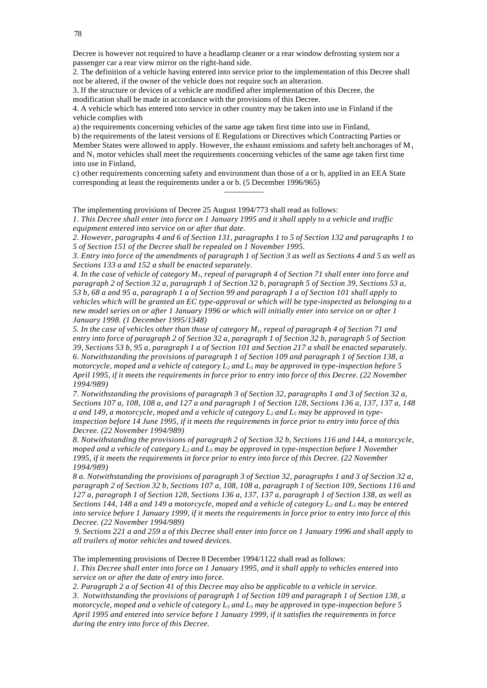Decree is however not required to have a headlamp cleaner or a rear window defrosting system nor a passenger car a rear view mirror on the right-hand side.

2. The definition of a vehicle having entered into service prior to the implementation of this Decree shall not be altered, if the owner of the vehicle does not require such an alteration.

3. If the structure or devices of a vehicle are modified after implementation of this Decree, the modification shall be made in accordance with the provisions of this Decree.

4. A vehicle which has entered into service in other country may be taken into use in Finland if the vehicle complies with

a) the requirements concerning vehicles of the same age taken first time into use in Finland,

b) the requirements of the latest versions of E Regulations or Directives which Contracting Parties or Member States were allowed to apply. However, the exhaust emissions and safety belt anchorages of  $M_1$ and  $N_1$  motor vehicles shall meet the requirements concerning vehicles of the same age taken first time into use in Finland,

c) other requirements concerning safety and environment than those of a or b, applied in an EEA State corresponding at least the requirements under a or b. (5 December 1996/965)

—————

The implementing provisions of Decree 25 August 1994/773 shall read as follows:

*1. This Decree shall enter into force on 1 January 1995 and it shall apply to a vehicle and traffic equipment entered into service on or after that date.*

*2. However, paragraphs 4 and 6 of Section 131, paragraphs 1 to 5 of Section 132 and paragraphs 1 to 5 of Section 151 of the Decree shall be repealed on 1 November 1995.*

*3. Entry into force of the amendments of paragraph 1 of Section 3 as well as Sections 4 and 5 as well as Sections 133 a and 152 a shall be enacted separately.*

*4. In the case of vehicle of category M1, repeal of paragraph 4 of Section 71 shall enter into force and paragraph 2 of Section 32 a, paragraph 1 of Section 32 b, paragraph 5 of Section 39, Sections 53 a, 53 b, 68 a and 95 a, paragraph 1 a of Section 99 and paragraph 1 a of Section 101 shall apply to vehicles which will be granted an EC type-approval or which will be type-inspected as belonging to a new model series on or after 1 January 1996 or which will initially enter into service on or after 1 January 1998. (1 December 1995/1348)*

*5. In the case of vehicles other than those of category M1, repeal of paragraph 4 of Section 71 and entry into force of paragraph 2 of Section 32 a, paragraph 1 of Section 32 b, paragraph 5 of Section 39, Sections 53 b, 95 a, paragraph 1 a of Section 101 and Section 217 a shall be enacted separately. 6. Notwithstanding the provisions of paragraph 1 of Section 109 and paragraph 1 of Section 138, a motorcycle, moped and a vehicle of category L2 and L5 may be approved in type-inspection before 5 April 1995, if it meets the requirements in force prior to entry into force of this Decree. (22 November 1994/989)*

*7. Notwithstanding the provisions of paragraph 3 of Section 32, paragraphs 1 and 3 of Section 32 a, Sections 107 a, 108, 108 a, and 127 a and paragraph 1 of Section 128, Sections 136 a, 137, 137 a, 148 a and 149, a motorcycle, moped and a vehicle of category L2 and L5 may be approved in typeinspection before 14 June 1995, if it meets the requirements in force prior to entry into force of this Decree. (22 November 1994/989)*

*8. Notwithstanding the provisions of paragraph 2 of Section 32 b, Sections 116 and 144, a motorcycle, moped and a vehicle of category L2 and L5 may be approved in type-inspection before 1 November 1995, if it meets the requirements in force prior to entry into force of this Decree. (22 November 1994/989)*

*8 a. Notwithstanding the provisions of paragraph 3 of Section 32, paragraphs 1 and 3 of Section 32 a, paragraph 2 of Section 32 b, Sections 107 a, 108, 108 a, paragraph 1 of Section 109, Sections 116 and 127 a, paragraph 1 of Section 128, Sections 136 a, 137, 137 a, paragraph 1 of Section 138, as well as Sections 144, 148 a and 149 a motorcycle, moped and a vehicle of category L2 and L5 may be entered into service before 1 January 1999, if it meets the requirements in force prior to entry into force of this Decree. (22 November 1994/989)*

 *9. Sections 221 a and 259 a of this Decree shall enter into force on 1 January 1996 and shall apply to all trailers of motor vehicles and towed devices.*

The implementing provisions of Decree 8 December 1994/1122 shall read as follows:

*1. This Decree shall enter into force on 1 January 1995, and it shall apply to vehicles entered into service on or after the date of entry into force.*

*2. Paragraph 2 a of Section 41 of this Decree may also be applicable to a vehicle in service. 3. Notwithstanding the provisions of paragraph 1 of Section 109 and paragraph 1 of Section 138, a motorcycle, moped and a vehicle of category L2 and L5 may be approved in type-inspection before 5 April 1995 and entered into service before 1 January 1999, if it satisfies the requirements in force during the entry into force of this Decree.*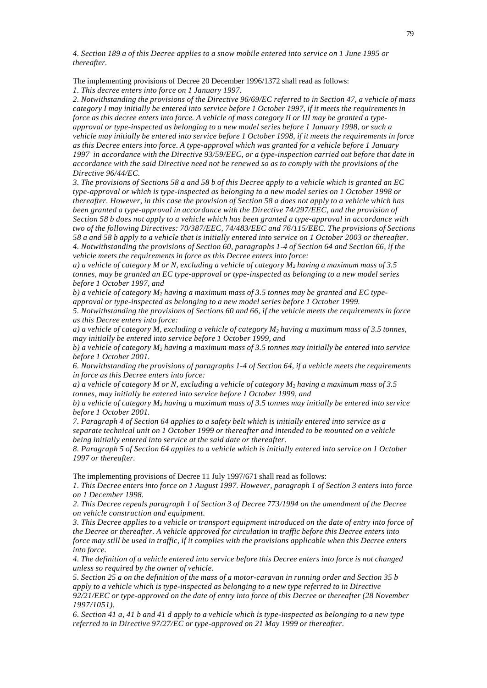*4. Section 189 a of this Decree applies to a snow mobile entered into service on 1 June 1995 or thereafter.*

The implementing provisions of Decree 20 December 1996/1372 shall read as follows:

*1. This decree enters into force on 1 January 1997.*

*2. Notwithstanding the provisions of the Directive 96/69/EC referred to in Section 47, a vehicle of mass category I may initially be entered into service before 1 October 1997, if it meets the requirements in force as this decree enters into force. A vehicle of mass category II or III may be granted a typeapproval or type-inspected as belonging to a new model series before 1 January 1998, or such a vehicle may initially be entered into service before 1 October 1998, if it meets the requirements in force as this Decree enters into force. A type-approval which was granted for a vehicle before 1 January 1997 in accordance with the Directive 93/59/EEC, or a type-inspection carried out before that date in accordance with the said Directive need not be renewed so as to comply with the provisions of the Directive 96/44/EC.*

*3. The provisions of Sections 58 a and 58 b of this Decree apply to a vehicle which is granted an EC type-approval or which is type-inspected as belonging to a new model series on 1 October 1998 or thereafter. However, in this case the provision of Section 58 a does not apply to a vehicle which has been granted a type-approval in accordance with the Directive 74/297/EEC, and the provision of Section 58 b does not apply to a vehicle which has been granted a type-approval in accordance with two of the following Directives: 70/387/EEC, 74/483/EEC and 76/115/EEC. The provisions of Sections 58 a and 58 b apply to a vehicle that is initially entered into service on 1 October 2003 or thereafter. 4. Notwithstanding the provisions of Section 60, paragraphs 1-4 of Section 64 and Section 66, if the vehicle meets the requirements in force as this Decree enters into force:*

*a) a vehicle of category M or N, excluding a vehicle of category M2 having a maximum mass of 3.5 tonnes, may be granted an EC type-approval or type-inspected as belonging to a new model series before 1 October 1997, and*

*b) a vehicle of category M2 having a maximum mass of 3.5 tonnes may be granted and EC typeapproval or type-inspected as belonging to a new model series before 1 October 1999.*

*5. Notwithstanding the provisions of Sections 60 and 66, if the vehicle meets the requirements in force as this Decree enters into force:*

*a) a vehicle of category M, excluding a vehicle of category M2 having a maximum mass of 3.5 tonnes, may initially be entered into service before 1 October 1999, and*

*b) a vehicle of category M2 having a maximum mass of 3.5 tonnes may initially be entered into service before 1 October 2001.*

*6. Notwithstanding the provisions of paragraphs 1-4 of Section 64, if a vehicle meets the requirements in force as this Decree enters into force:*

*a) a vehicle of category M or N, excluding a vehicle of category M2 having a maximum mass of 3.5 tonnes, may initially be entered into service before 1 October 1999, and*

*b) a vehicle of category M2 having a maximum mass of 3.5 tonnes may initially be entered into service before 1 October 2001.*

*7. Paragraph 4 of Section 64 applies to a safety belt which is initially entered into service as a separate technical unit on 1 October 1999 or thereafter and intended to be mounted on a vehicle being initially entered into service at the said date or thereafter.*

*8. Paragraph 5 of Section 64 applies to a vehicle which is initially entered into service on 1 October 1997 or thereafter.*

The implementing provisions of Decree 11 July 1997/671 shall read as follows:

*1. This Decree enters into force on 1 August 1997. However, paragraph 1 of Section 3 enters into force on 1 December 1998.*

*2. This Decree repeals paragraph 1 of Section 3 of Decree 773/1994 on the amendment of the Decree on vehicle construction and equipment.*

*3. This Decree applies to a vehicle or transport equipment introduced on the date of entry into force of the Decree or thereafter. A vehicle approved for circulation in traffic before this Decree enters into force may still be used in traffic, if it complies with the provisions applicable when this Decree enters into force.*

*4. The definition of a vehicle entered into service before this Decree enters into force is not changed unless so required by the owner of vehicle.*

*5. Section 25 a on the definition of the mass of a motor-caravan in running order and Section 35 b apply to a vehicle which is type-inspected as belonging to a new type referred to in Directive 92/21/EEC or type-approved on the date of entry into force of this Decree or thereafter (28 November 1997/1051).*

*6. Section 41 a, 41 b and 41 d apply to a vehicle which is type-inspected as belonging to a new type referred to in Directive 97/27/EC or type-approved on 21 May 1999 or thereafter.*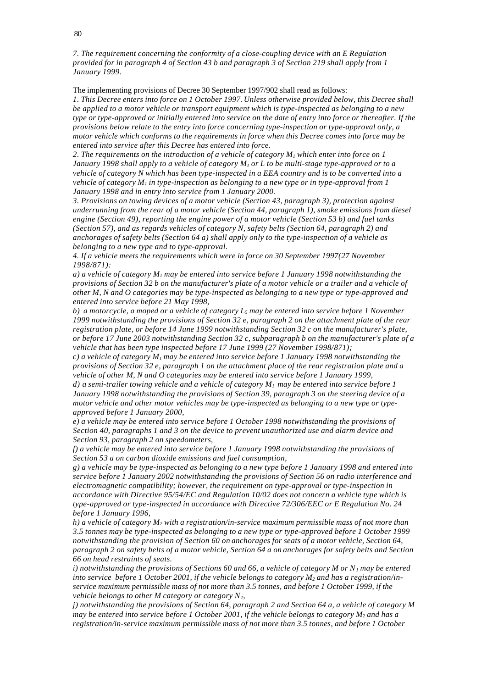*7. The requirement concerning the conformity of a close-coupling device with an E Regulation provided for in paragraph 4 of Section 43 b and paragraph 3 of Section 219 shall apply from 1 January 1999.*

The implementing provisions of Decree 30 September 1997/902 shall read as follows:

*1. This Decree enters into force on 1 October 1997. Unless otherwise provided below, this Decree shall be applied to a motor vehicle or transport equipment which is type-inspected as belonging to a new type or type-approved or initially entered into service on the date of entry into force or thereafter. If the provisions below relate to the entry into force concerning type-inspection or type-approval only, a motor vehicle which conforms to the requirements in force when this Decree comes into force may be entered into service after this Decree has entered into force.*

*2. The requirements on the introduction of a vehicle of category M1 which enter into force on 1 January 1998 shall apply to a vehicle of category M1 or L to be multi-stage type-approved or to a vehicle of category N which has been type-inspected in a EEA country and is to be converted into a vehicle of category M1 in type-inspection as belonging to a new type or in type-approval from 1 January 1998 and in entry into service from 1 January 2000.*

*3. Provisions on towing devices of a motor vehicle (Section 43, paragraph 3), protection against underrunning from the rear of a motor vehicle (Section 44, paragraph 1), smoke emissions from diesel engine (Section 49), reporting the engine power of a motor vehicle (Section 53 b) and fuel tanks (Section 57), and as regards vehicles of category N, safety belts (Section 64, paragraph 2) and anchorages of safety belts (Section 64 a) shall apply only to the type-inspection of a vehicle as belonging to a new type and to type-approval.*

*4. If a vehicle meets the requirements which were in force on 30 September 1997(27 November 1998/871):*

*a) a vehicle of category M1 may be entered into service before 1 January 1998 notwithstanding the provisions of Section 32 b on the manufacturer's plate of a motor vehicle or a trailer and a vehicle of other M, N and O categories may be type-inspected as belonging to a new type or type-approved and entered into service before 21 May 1998,*

*b) a motorcycle, a moped or a vehicle of category L5 may be entered into service before 1 November 1999 notwithstanding the provisions of Section 32 e, paragraph 2 on the attachment plate of the rear registration plate, or before 14 June 1999 notwithstanding Section 32 c on the manufacturer's plate, or before 17 June 2003 notwithstanding Section 32 c, subparagraph b on the manufacturer's plate of a vehicle that has been type inspected before 17 June 1999 (27 November 1998/871);*

*c) a vehicle of category M1 may be entered into service before 1 January 1998 notwithstanding the provisions of Section 32 e, paragraph 1 on the attachment place of the rear registration plate and a vehicle of other M, N and O categories may be entered into service before 1 January 1999,*

*d) a semi-trailer towing vehicle and a vehicle of category M1 may be entered into service before 1 January 1998 notwithstanding the provisions of Section 39, paragraph 3 on the steering device of a motor vehicle and other motor vehicles may be type-inspected as belonging to a new type or typeapproved before 1 January 2000,*

*e) a vehicle may be entered into service before 1 October 1998 notwithstanding the provisions of Section 40, paragraphs 1 and 3 on the device to prevent unauthorized use and alarm device and Section 93, paragraph 2 on speedometers,*

*f) a vehicle may be entered into service before 1 January 1998 notwithstanding the provisions of Section 53 a on carbon dioxide emissions and fuel consumption*,

*g) a vehicle may be type-inspected as belonging to a new type before 1 January 1998 and entered into service before 1 January 2002 notwithstanding the provisions of Section 56 on radio interference and electromagnetic compatibility; however, the requirement on type-approval or type-inspection in accordance with Directive 95/54/EC and Regulation 10/02 does not concern a vehicle type which is type-approved or type-inspected in accordance with Directive 72/306/EEC or E Regulation No. 24 before 1 January 1996,*

*h) a vehicle of category M2 with a registration/in-service maximum permissible mass of not more than 3.5 tonnes may be type-inspected as belonging to a new type or type-approved before 1 October 1999 notwithstanding the provision of Section 60 on anchorages for seats of a motor vehicle, Section 64, paragraph 2 on safety belts of a motor vehicle, Section 64 a on anchorages for safety belts and Section 66 on head restraints of seats.*

*i) notwithstanding the provisions of Sections 60 and 66, a vehicle of category M or N1 may be entered into service before 1 October 2001, if the vehicle belongs to category M2 and has a registration/inservice maximum permissible mass of not more than 3.5 tonnes, and before 1 October 1999, if the vehicle belongs to other M category or category N1,*

*j) notwithstanding the provisions of Section 64, paragraph 2 and Section 64 a, a vehicle of category M may be entered into service before 1 October 2001, if the vehicle belongs to category M2 and has a registration/in-service maximum permissible mass of not more than 3.5 tonnes, and before 1 October*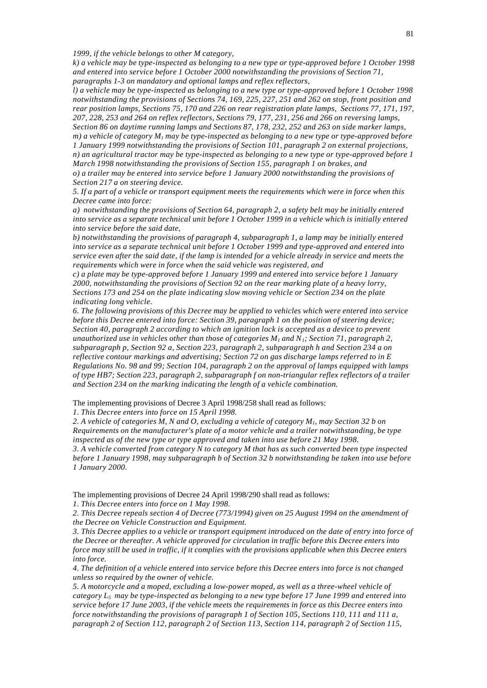*1999, if the vehicle belongs to other M category,*

*k) a vehicle may be type-inspected as belonging to a new type or type-approved before 1 October 1998 and entered into service before 1 October 2000 notwithstanding the provisions of Section 71, paragraphs 1-3 on mandatory and optional lamps and reflex reflectors,*

*l) a vehicle may be type-inspected as belonging to a new type or type-approved before 1 October 1998 notwithstanding the provisions of Sections 74, 169, 225, 227, 251 and 262 on stop, front position and rear position lamps, Sections 75, 170 and 226 on rear registration plate lamps, Sections 77, 171, 197, 207, 228, 253 and 264 on reflex reflectors, Sections 79, 177, 231, 256 and 266 on reversing lamps, Section 86 on daytime running lamps and Sections 87, 178, 232, 252 and 263 on side marker lamps, m) a vehicle of category M1 may be type-inspected as belonging to a new type or type-approved before 1 January 1999 notwithstanding the provisions of Section 101, paragraph 2 on external projections, n) an agricultural tractor may be type-inspected as belonging to a new type or type-approved before 1 March 1998 notwithstanding the provisions of Section 155, paragraph 1 on brakes, and*

*o) a trailer may be entered into service before 1 January 2000 notwithstanding the provisions of Section 217 a on steering device.*

*5. If a part of a vehicle or transport equipment meets the requirements which were in force when this Decree came into force:*

*a) notwithstanding the provisions of Section 64, paragraph 2, a safety belt may be initially entered into service as a separate technical unit before 1 October 1999 in a vehicle which is initially entered into service before the said date,*

*b) notwithstanding the provisions of paragraph 4, subparagraph 1, a lamp may be initially entered into service as a separate technical unit before 1 October 1999 and type-approved and entered into service even after the said date, if the lamp is intended for a vehicle already in service and meets the requirements which were in force when the said vehicle was registered, and*

*c) a plate may be type-approved before 1 January 1999 and entered into service before 1 January 2000, notwithstanding the provisions of Section 92 on the rear marking plate of a heavy lorry, Sections 173 and 254 on the plate indicating slow moving vehicle or Section 234 on the plate indicating long vehicle.*

*6. The following provisions of this Decree may be applied to vehicles which were entered into service before this Decree entered into force: Section 39, paragraph 1 on the position of steering device; Section 40, paragraph 2 according to which an ignition lock is accepted as a device to prevent unauthorized use in vehicles other than those of categories M1 and N1; Section 71, paragraph 2, subparagraph p, Section 92 a, Section 223, paragraph 2, subparagraph h and Section 234 a on reflective contour markings and advertising; Section 72 on gas discharge lamps referred to in E Regulations No. 98 and 99; Section 104, paragraph 2 on the approval of lamps equipped with lamps of type HB7; Section 223, paragraph 2, subparagraph f on non-triangular reflex reflectors of a trailer and Section 234 on the marking indicating the length of a vehicle combination.* 

The implementing provisions of Decree 3 April 1998/258 shall read as follows:

*1. This Decree enters into force on 15 April 1998.*

*2. A vehicle of categories M, N and O, excluding a vehicle of category M1, may Section 32 b on Requirements on the manufacturer's plate of a motor vehicle and a trailer notwithstanding, be type inspected as of the new type or type approved and taken into use before 21 May 1998.*

*3. A vehicle converted from category N to category M that has as such converted been type inspected before 1 January 1998, may subparagraph b of Section 32 b notwithstanding be taken into use before 1 January 2000.* 

The implementing provisions of Decree 24 April 1998/290 shall read as follows:

*1. This Decree enters into force on 1 May 1998.*

*2. This Decree repeals section 4 of Decree (773/1994) given on 25 August 1994 on the amendment of the Decree on Vehicle Construction and Equipment.*

*3. This Decree applies to a vehicle or transport equipment introduced on the date of entry into force of the Decree or thereafter. A vehicle approved for circulation in traffic before this Decree enters into force may still be used in traffic, if it complies with the provisions applicable when this Decree enters into force.*

*4. The definition of a vehicle entered into service before this Decree enters into force is not changed unless so required by the owner of vehicle.*

*5. A motorcycle and a moped, excluding a low-power moped, as well as a three-wheel vehicle of category L5 may be type-inspected as belonging to a new type before 17 June 1999 and entered into service before 17 June 2003, if the vehicle meets the requirements in force as this Decree enters into force notwithstanding the provisions of paragraph 1 of Section 105, Sections 110, 111 and 111 a, paragraph 2 of Section 112, paragraph 2 of Section 113, Section 114, paragraph 2 of Section 115,*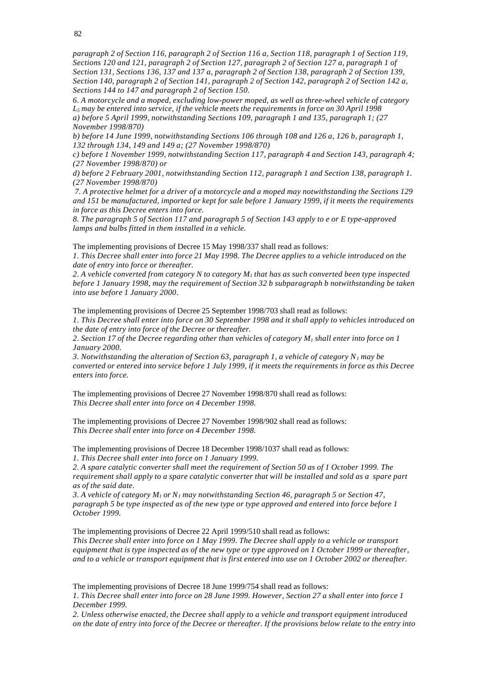82

*paragraph 2 of Section 116, paragraph 2 of Section 116 a, Section 118, paragraph 1 of Section 119, Sections 120 and 121, paragraph 2 of Section 127, paragraph 2 of Section 127 a, paragraph 1 of Section 131, Sections 136, 137 and 137 a, paragraph 2 of Section 138, paragraph 2 of Section 139, Section 140, paragraph 2 of Section 141, paragraph 2 of Section 142, paragraph 2 of Section 142 a, Sections 144 to 147 and paragraph 2 of Section 150.*

*6. A motorcycle and a moped, excluding low-power moped, as well as three-wheel vehicle of category L5 may be entered into service, if the vehicle meets the requirements in force on 30 April 1998 a) before 5 April 1999, notwithstanding Sections 109, paragraph 1 and 135, paragraph 1; (27 November 1998/870)*

*b) before 14 June 1999, notwithstanding Sections 106 through 108 and 126 a, 126 b, paragraph 1, 132 through 134, 149 and 149 a; (27 November 1998/870)*

*c) before 1 November 1999, notwithstanding Section 117, paragraph 4 and Section 143, paragraph 4; (27 November 1998/870) or*

*d) before 2 February 2001, notwithstanding Section 112, paragraph 1 and Section 138, paragraph 1. (27 November 1998/870)*

 *7. A protective helmet for a driver of a motorcycle and a moped may notwithstanding the Sections 129 and 151 be manufactured, imported or kept for sale before 1 January 1999, if it meets the requirements in force as this Decree enters into force.*

*8. The paragraph 5 of Section 117 and paragraph 5 of Section 143 apply to e or E type-approved lamps and bulbs fitted in them installed in a vehicle.*

The implementing provisions of Decree 15 May 1998/337 shall read as follows:

*1. This Decree shall enter into force 21 May 1998. The Decree applies to a vehicle introduced on the date of entry into force or thereafter.*

*2. A vehicle converted from category N to category M1 that has as such converted been type inspected before 1 January 1998, may the requirement of Section 32 b subparagraph b notwithstanding be taken into use before 1 January 2000*.

The implementing provisions of Decree 25 September 1998/703 shall read as follows:

*1. This Decree shall enter into force on 30 September 1998 and it shall apply to vehicles introduced on the date of entry into force of the Decree or thereafter.*

*2. Section 17 of the Decree regarding other than vehicles of category M1 shall enter into force on 1 January 2000.*

*3. Notwithstanding the alteration of Section 63, paragraph 1, a vehicle of category N1 may be converted or entered into service before 1 July 1999, if it meets the requirements in force as this Decree enters into force.*

The implementing provisions of Decree 27 November 1998/870 shall read as follows: *This Decree shall enter into force on 4 December 1998.*

The implementing provisions of Decree 27 November 1998/902 shall read as follows: *This Decree shall enter into force on 4 December 1998.*

The implementing provisions of Decree 18 December 1998/1037 shall read as follows: *1. This Decree shall enter into force on 1 January 1999.*

*2. A spare catalytic converter shall meet the requirement of Section 50 as of 1 October 1999. The requirement shall apply to a spare catalytic converter that will be installed and sold as a spare part as of the said date.*

*3. A vehicle of category M1 or N1 may notwithstanding Section 46, paragraph 5 or Section 47, paragraph 5 be type inspected as of the new type or type approved and entered into force before 1 October 1999.*

The implementing provisions of Decree 22 April 1999/510 shall read as follows:

*This Decree shall enter into force on 1 May 1999. The Decree shall apply to a vehicle or transport equipment that is type inspected as of the new type or type approved on 1 October 1999 or thereafter, and to a vehicle or transport equipment that is first entered into use on 1 October 2002 or thereafter.*

The implementing provisions of Decree 18 June 1999/754 shall read as follows:

*1. This Decree shall enter into force on 28 June 1999. However, Section 27 a shall enter into force 1 December 1999.*

*2. Unless otherwise enacted, the Decree shall apply to a vehicle and transport equipment introduced on the date of entry into force of the Decree or thereafter. If the provisions below relate to the entry into*